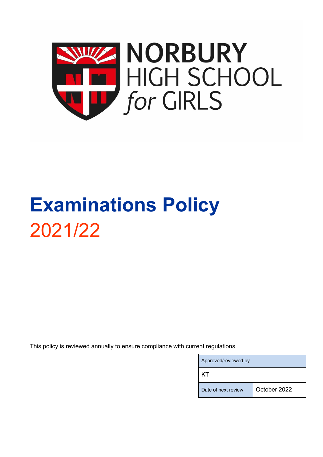

# **Examinations Policy** 2021/22

This policy is reviewed annually to ensure compliance with current regulations

| Approved/reviewed by |              |  |  |
|----------------------|--------------|--|--|
| K I.                 |              |  |  |
| Date of next review  | October 2022 |  |  |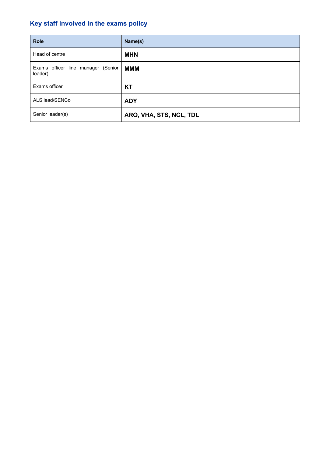# **Key staff involved in the exams policy**

| <b>Role</b>                                   | Name(s)                 |
|-----------------------------------------------|-------------------------|
| Head of centre                                | <b>MHN</b>              |
| Exams officer line manager (Senior<br>leader) | <b>MMM</b>              |
| Exams officer                                 | <b>KT</b>               |
| ALS lead/SENCo                                | <b>ADY</b>              |
| Senior leader(s)                              | ARO, VHA, STS, NCL, TDL |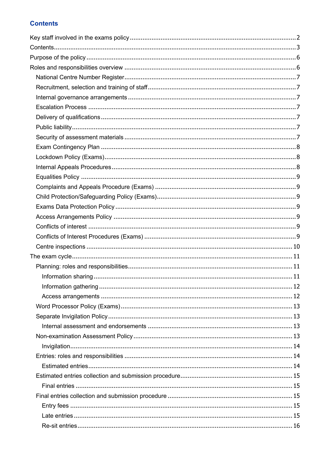# **Contents**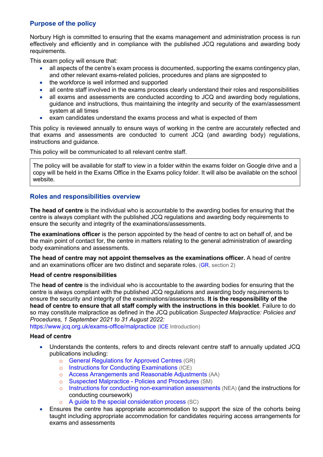# **Purpose of the policy**

Norbury High is committed to ensuring that the exams management and administration process is run effectively and efficiently and in compliance with the published JCQ regulations and awarding body requirements.

This exam policy will ensure that:

- all aspects of the centre's exam process is documented, supporting the exams contingency plan, and other relevant exams-related policies, procedures and plans are signposted to
- the workforce is well informed and supported
- all centre staff involved in the exams process clearly understand their roles and responsibilities
- all exams and assessments are conducted according to JCQ and awarding body regulations, guidance and instructions, thus maintaining the integrity and security of the exam/assessment system at all times
- exam candidates understand the exams process and what is expected of them

This policy is reviewed annually to ensure ways of working in the centre are accurately reflected and that exams and assessments are conducted to current JCQ (and awarding body) regulations, instructions and guidance.

This policy will be communicated to all relevant centre staff.

The policy will be available for staff to view in a folder within the exams folder on Google drive and a copy will be held in the Exams Office in the Exams policy folder. It will also be available on the school website.

# **Roles and responsibilities overview**

**The head of centre** is the individual who is accountable to the awarding bodies for ensuring that the centre is always compliant with the published JCQ regulations and awarding body requirements to ensure the security and integrity of the examinations/assessments.

**The examinations officer** is the person appointed by the head of centre to act on behalf of, and be the main point of contact for, the centre in matters relating to the general administration of awarding body examinations and assessments.

**The head of centre may not appoint themselves as the examinations officer.** A head of centre and an examinations officer are two distinct and separate roles. (GR, section 2)

#### **Head of centre responsibilities**

The **head of centre** is the individual who is accountable to the awarding bodies for ensuring that the centre is always compliant with the published JCQ regulations and awarding body requirements to ensure the security and integrity of the examinations/assessments. **It is the responsibility of the head of centre to ensure that all staff comply with the instructions in this booklet**. Failure to do so may constitute malpractice as defined in the JCQ publication *Suspected Malpractice: Policies and Procedures, 1 September 2021 to 31 August 2022:* 

https://www.jcq.org.uk/exams-office/malpractice (ICE Introduction)

#### **Head of centre**

- Understands the contents, refers to and directs relevant centre staff to annually updated JCQ publications including:
	- o General Regulations for Approved Centres (GR)
	- o Instructions for Conducting Examinations (ICE)
	- o Access Arrangements and Reasonable Adjustments (AA)
	- o Suspected Malpractice Policies and Procedures (SM)
	- o Instructions for conducting non-examination assessments (NEA) (and the instructions for conducting coursework)
	- A guide to the special consideration process (SC)
- Ensures the centre has appropriate accommodation to support the size of the cohorts being taught including appropriate accommodation for candidates requiring access arrangements for exams and assessments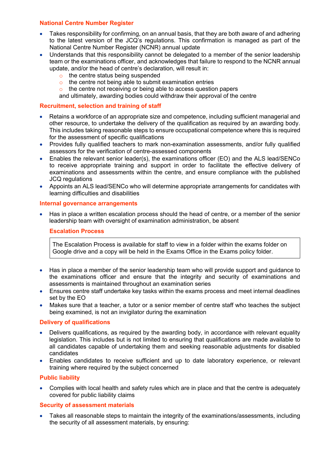# **National Centre Number Register**

- Takes responsibility for confirming, on an annual basis, that they are both aware of and adhering to the latest version of the JCQ's regulations. This confirmation is managed as part of the National Centre Number Register (NCNR) annual update
- Understands that this responsibility cannot be delegated to a member of the senior leadership team or the examinations officer, and acknowledges that failure to respond to the NCNR annual update, and/or the head of centre's declaration, will result in:
	- o the centre status being suspended
	- $\circ$  the centre not being able to submit examination entries
	- o the centre not receiving or being able to access question papers

and ultimately, awarding bodies could withdraw their approval of the centre

#### **Recruitment, selection and training of staff**

- Retains a workforce of an appropriate size and competence, including sufficient managerial and other resource, to undertake the delivery of the qualification as required by an awarding body. This includes taking reasonable steps to ensure occupational competence where this is required for the assessment of specific qualifications
- Provides fully qualified teachers to mark non-examination assessments, and/or fully qualified assessors for the verification of centre-assessed components
- Enables the relevant senior leader(s), the examinations officer (EO) and the ALS lead/SENCo to receive appropriate training and support in order to facilitate the effective delivery of examinations and assessments within the centre, and ensure compliance with the published JCQ regulations
- Appoints an ALS lead/SENCo who will determine appropriate arrangements for candidates with learning difficulties and disabilities

#### **Internal governance arrangements**

• Has in place a written escalation process should the head of centre, or a member of the senior leadership team with oversight of examination administration, be absent

#### **Escalation Process**

The Escalation Process is available for staff to view in a folder within the exams folder on Google drive and a copy will be held in the Exams Office in the Exams policy folder.

- Has in place a member of the senior leadership team who will provide support and guidance to the examinations officer and ensure that the integrity and security of examinations and assessments is maintained throughout an examination series
- Ensures centre staff undertake key tasks within the exams process and meet internal deadlines set by the EO
- Makes sure that a teacher, a tutor or a senior member of centre staff who teaches the subject being examined, is not an invigilator during the examination

#### **Delivery of qualifications**

- Delivers qualifications, as required by the awarding body, in accordance with relevant equality legislation. This includes but is not limited to ensuring that qualifications are made available to all candidates capable of undertaking them and seeking reasonable adjustments for disabled candidates
- Enables candidates to receive sufficient and up to date laboratory experience, or relevant training where required by the subject concerned

#### **Public liability**

• Complies with local health and safety rules which are in place and that the centre is adequately covered for public liability claims

#### **Security of assessment materials**

• Takes all reasonable steps to maintain the integrity of the examinations/assessments, including the security of all assessment materials, by ensuring: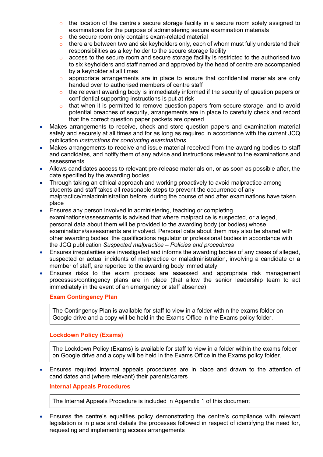- $\circ$  the location of the centre's secure storage facility in a secure room solely assigned to examinations for the purpose of administering secure examination materials
- o the secure room only contains exam-related material
- $\circ$  there are between two and six keyholders only, each of whom must fully understand their responsibilities as a key holder to the secure storage facility
- o access to the secure room and secure storage facility is restricted to the authorised two to six keyholders and staff named and approved by the head of centre are accompanied by a keyholder at all times
- o appropriate arrangements are in place to ensure that confidential materials are only handed over to authorised members of centre staff
- o the relevant awarding body is immediately informed if the security of question papers or confidential supporting instructions is put at risk
- o that when it is permitted to remove question papers from secure storage, and to avoid potential breaches of security, arrangements are in place to carefully check and record that the correct question paper packets are opened
- Makes arrangements to receive, check and store question papers and examination material safely and securely at all times and for as long as required in accordance with the current JCQ publication *Instructions for conducting examinations*
- Makes arrangements to receive and issue material received from the awarding bodies to staff and candidates, and notify them of any advice and instructions relevant to the examinations and assessments
- Allows candidates access to relevant pre-release materials on, or as soon as possible after, the date specified by the awarding bodies
- Through taking an ethical approach and working proactively to avoid malpractice among students and staff takes all reasonable steps to prevent the occurrence of any malpractice/maladministration before, during the course of and after examinations have taken place
- Ensures any person involved in administering, teaching or completing examinations/assessments is advised that where malpractice is suspected, or alleged, personal data about them will be provided to the awarding body (or bodies) whose examinations/assessments are involved. Personal data about them may also be shared with other awarding bodies, the qualifications regulator or professional bodies in accordance with the JCQ publication *Suspected malpractice – Policies and procedures*
- Ensures irregularities are investigated and informs the awarding bodies of any cases of alleged, suspected or actual incidents of malpractice or maladministration, involving a candidate or a member of staff, are reported to the awarding body immediately
- Ensures risks to the exam process are assessed and appropriate risk management processes/contingency plans are in place (that allow the senior leadership team to act immediately in the event of an emergency or staff absence)

# **Exam Contingency Plan**

The Contingency Plan is available for staff to view in a folder within the exams folder on Google drive and a copy will be held in the Exams Office in the Exams policy folder.

# **Lockdown Policy (Exams)**

The Lockdown Policy (Exams) is available for staff to view in a folder within the exams folder on Google drive and a copy will be held in the Exams Office in the Exams policy folder.

• Ensures required internal appeals procedures are in place and drawn to the attention of candidates and (where relevant) their parents/carers

# **Internal Appeals Procedures**

The Internal Appeals Procedure is included in Appendix 1 of this document

• Ensures the centre's equalities policy demonstrating the centre's compliance with relevant legislation is in place and details the processes followed in respect of identifying the need for, requesting and implementing access arrangements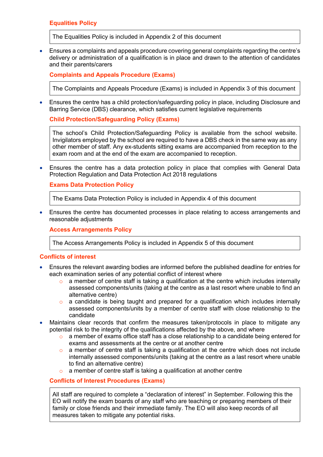**Equalities Policy**

The Equalities Policy is included in Appendix 2 of this document

• Ensures a complaints and appeals procedure covering general complaints regarding the centre's delivery or administration of a qualification is in place and drawn to the attention of candidates and their parents/carers

**Complaints and Appeals Procedure (Exams)**

The Complaints and Appeals Procedure (Exams) is included in Appendix 3 of this document

• Ensures the centre has a child protection/safeguarding policy in place, including Disclosure and Barring Service (DBS) clearance, which satisfies current legislative requirements

**Child Protection/Safeguarding Policy (Exams)**

The school's Child Protection/Safeguarding Policy is available from the school website. Invigilators employed by the school are required to have a DBS check in the same way as any other member of staff. Any ex-students sitting exams are accompanied from reception to the exam room and at the end of the exam are accompanied to reception.

• Ensures the centre has a data protection policy in place that complies with General Data Protection Regulation and Data Protection Act 2018 regulations

**Exams Data Protection Policy**

The Exams Data Protection Policy is included in Appendix 4 of this document

• Ensures the centre has documented processes in place relating to access arrangements and reasonable adjustments

**Access Arrangements Policy**

The Access Arrangements Policy is included in Appendix 5 of this document

#### **Conflicts of interest**

- Ensures the relevant awarding bodies are informed before the published deadline for entries for each examination series of any potential conflict of interest where
	- o a member of centre staff is taking a qualification at the centre which includes internally assessed components/units (taking at the centre as a last resort where unable to find an alternative centre)
	- o a candidate is being taught and prepared for a qualification which includes internally assessed components/units by a member of centre staff with close relationship to the candidate
- Maintains clear records that confirm the measures taken/protocols in place to mitigate any potential risk to the integrity of the qualifications affected by the above, and where
	- o a member of exams office staff has a close relationship to a candidate being entered for exams and assessments at the centre or at another centre
	- $\circ$  a member of centre staff is taking a qualification at the centre which does not include internally assessed components/units (taking at the centre as a last resort where unable to find an alternative centre)
	- o a member of centre staff is taking a qualification at another centre

**Conflicts of Interest Procedures (Exams)**

All staff are required to complete a "declaration of interest" in September. Following this the EO will notify the exam boards of any staff who are teaching or preparing members of their family or close friends and their immediate family. The EO will also keep records of all measures taken to mitigate any potential risks.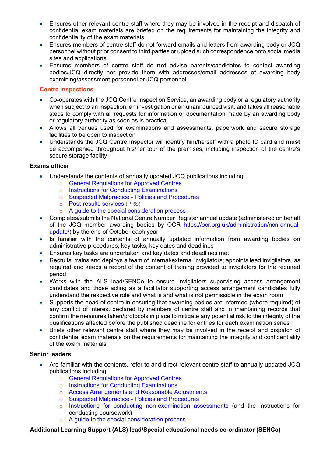- Ensures other relevant centre staff where they may be involved in the receipt and dispatch of confidential exam materials are briefed on the requirements for maintaining the integrity and confidentiality of the exam materials
- Ensures members of centre staff do not forward emails and letters from awarding body or JCQ personnel without prior consent to third parties or upload such correspondence onto social media sites and applications
- Ensures members of centre staff do **not** advise parents/candidates to contact awarding bodies/JCQ directly nor provide them with addresses/email addresses of awarding body examining/assessment personnel or JCQ personnel

# **Centre inspections**

- Co-operates with the JCQ Centre Inspection Service, an awarding body or a regulatory authority when subject to an inspection, an investigation or an unannounced visit, and takes all reasonable steps to comply with all requests for information or documentation made by an awarding body or regulatory authority as soon as is practical
- Allows all venues used for examinations and assessments, paperwork and secure storage facilities to be open to inspection
- Understands the JCQ Centre Inspector will identify him/herself with a photo ID card and **must**  be accompanied throughout his/her tour of the premises, including inspection of the centre's secure storage facility

# **Exams officer**

- Understands the contents of annually updated JCQ publications including:
	- o General Regulations for Approved Centres
	- o Instructions for Conducting Examinations
	- o Suspected Malpractice Policies and Procedures
	- o Post-results services (PRS)
	- o A guide to the special consideration process
- Completes/submits the National Centre Number Register annual update (administered on behalf of the JCQ member awarding bodies by OCR https://ocr.org.uk/administration/ncn-annualupdate/) by the end of October each year
- Is familiar with the contents of annually updated information from awarding bodies on administrative procedures, key tasks, key dates and deadlines
- Ensures key tasks are undertaken and key dates and deadlines met
- Recruits, trains and deploys a team of internal/external invigilators; appoints lead invigilators, as required and keeps a record of the content of training provided to invigilators for the required period
- Works with the ALS lead/SENCo to ensure invigilators supervising access arrangement candidates and those acting as a facilitator supporting access arrangement candidates fully understand the respective role and what is and what is not permissible in the exam room
- Supports the head of centre in ensuring that awarding bodies are informed (where required) of any conflict of interest declared by members of centre staff and in maintaining records that confirm the measures taken/protocols in place to mitigate any potential risk to the integrity of the qualifications affected before the published deadline for entries for each examination series
- Briefs other relevant centre staff where they may be involved in the receipt and dispatch of confidential exam materials on the requirements for maintaining the integrity and confidentiality of the exam materials

# **Senior leaders**

- Are familiar with the contents, refer to and direct relevant centre staff to annually updated JCQ publications including:
	- o General Regulations for Approved Centres
	- o Instructions for Conducting Examinations
	- o Access Arrangements and Reasonable Adjustments
	- o Suspected Malpractice Policies and Procedures
	- o Instructions for conducting non-examination assessments (and the instructions for conducting coursework)
	- o A guide to the special consideration process

**Additional Learning Support (ALS) lead/Special educational needs co-ordinator (SENCo)**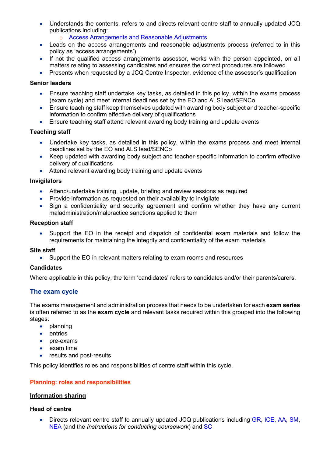- Understands the contents, refers to and directs relevant centre staff to annually updated JCQ publications including:
	- o Access Arrangements and Reasonable Adjustments
- Leads on the access arrangements and reasonable adjustments process (referred to in this policy as 'access arrangements')
- If not the qualified access arrangements assessor, works with the person appointed, on all matters relating to assessing candidates and ensures the correct procedures are followed
- Presents when requested by a JCQ Centre Inspector, evidence of the assessor's qualification

#### **Senior leaders**

- Ensure teaching staff undertake key tasks, as detailed in this policy, within the exams process (exam cycle) and meet internal deadlines set by the EO and ALS lead/SENCo
- Ensure teaching staff keep themselves updated with awarding body subject and teacher-specific information to confirm effective delivery of qualifications
- Ensure teaching staff attend relevant awarding body training and update events

#### **Teaching staff**

- Undertake key tasks, as detailed in this policy, within the exams process and meet internal deadlines set by the EO and ALS lead/SENCo
- Keep updated with awarding body subject and teacher-specific information to confirm effective delivery of qualifications
- Attend relevant awarding body training and update events

#### **Invigilators**

- Attend/undertake training, update, briefing and review sessions as required
- Provide information as requested on their availability to invigilate
- Sign a confidentiality and security agreement and confirm whether they have any current maladministration/malpractice sanctions applied to them

#### **Reception staff**

• Support the EO in the receipt and dispatch of confidential exam materials and follow the requirements for maintaining the integrity and confidentiality of the exam materials

#### **Site staff**

• Support the EO in relevant matters relating to exam rooms and resources

#### **Candidates**

Where applicable in this policy, the term 'candidates' refers to candidates and/or their parents/carers.

# **The exam cycle**

The exams management and administration process that needs to be undertaken for each **exam series** is often referred to as the **exam cycle** and relevant tasks required within this grouped into the following stages:

- planning
- entries
- pre-exams
- exam time
- results and post-results

This policy identifies roles and responsibilities of centre staff within this cycle.

#### **Planning: roles and responsibilities**

#### **Information sharing**

#### **Head of centre**

• Directs relevant centre staff to annually updated JCQ publications including GR, ICE, AA, SM, NEA (and the *Instructions for conducting coursework*) and SC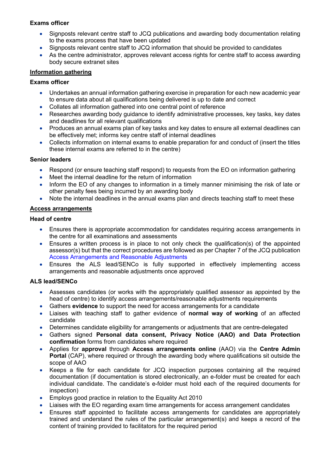# **Exams officer**

- Signposts relevant centre staff to JCQ publications and awarding body documentation relating to the exams process that have been updated
- Signposts relevant centre staff to JCQ information that should be provided to candidates
- As the centre administrator, approves relevant access rights for centre staff to access awarding body secure extranet sites

## **Information gathering**

# **Exams officer**

- Undertakes an annual information gathering exercise in preparation for each new academic year to ensure data about all qualifications being delivered is up to date and correct
- Collates all information gathered into one central point of reference
- Researches awarding body guidance to identify administrative processes, key tasks, key dates and deadlines for all relevant qualifications
- Produces an annual exams plan of key tasks and key dates to ensure all external deadlines can be effectively met; informs key centre staff of internal deadlines
- Collects information on internal exams to enable preparation for and conduct of (insert the titles these internal exams are referred to in the centre)

#### **Senior leaders**

- Respond (or ensure teaching staff respond) to requests from the EO on information gathering
- Meet the internal deadline for the return of information
- Inform the EO of any changes to information in a timely manner minimising the risk of late or other penalty fees being incurred by an awarding body
- Note the internal deadlines in the annual exams plan and directs teaching staff to meet these

#### **Access arrangements**

#### **Head of centre**

- Ensures there is appropriate accommodation for candidates requiring access arrangements in the centre for all examinations and assessments
- Ensures a written process is in place to not only check the qualification(s) of the appointed assessor(s) but that the correct procedures are followed as per Chapter 7 of the JCQ publication Access Arrangements and Reasonable Adjustments
- Ensures the ALS lead/SENCo is fully supported in effectively implementing access arrangements and reasonable adjustments once approved

#### **ALS lead/SENCo**

- Assesses candidates (or works with the appropriately qualified assessor as appointed by the head of centre) to identify access arrangements/reasonable adjustments requirements
- Gathers **evidence** to support the need for access arrangements for a candidate
- Liaises with teaching staff to gather evidence of **normal way of working** of an affected candidate
- Determines candidate eligibility for arrangements or adjustments that are centre-delegated
- Gathers signed **Personal data consent, Privacy Notice (AAO) and Data Protection confirmation** forms from candidates where required
- Applies for **approval** through **Access arrangements online** (AAO) via the **Centre Admin Portal** (CAP), where required or through the awarding body where qualifications sit outside the scope of AAO
- Keeps a file for each candidate for JCQ inspection purposes containing all the required documentation (if documentation is stored electronically, an e-folder must be created for each individual candidate. The candidate's e-folder must hold each of the required documents for inspection)
- Employs good practice in relation to the Equality Act 2010
- Liaises with the EO regarding exam time arrangements for access arrangement candidates
- Ensures staff appointed to facilitate access arrangements for candidates are appropriately trained and understand the rules of the particular arrangement(s) and keeps a record of the content of training provided to facilitators for the required period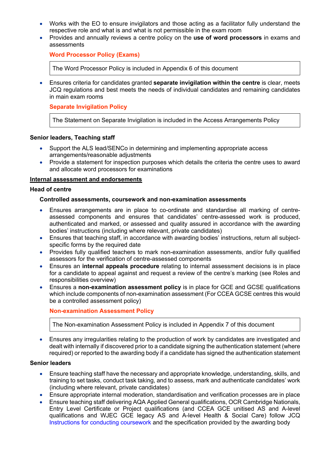- Works with the EO to ensure invigilators and those acting as a facilitator fully understand the respective role and what is and what is not permissible in the exam room
- Provides and annually reviews a centre policy on the **use of word processors** in exams and assessments

## **Word Processor Policy (Exams)**

The Word Processor Policy is included in Appendix 6 of this document

• Ensures criteria for candidates granted **separate invigilation within the centre** is clear, meets JCQ regulations and best meets the needs of individual candidates and remaining candidates in main exam rooms

## **Separate Invigilation Policy**

The Statement on Separate Invigilation is included in the Access Arrangements Policy

#### **Senior leaders, Teaching staff**

- Support the ALS lead/SENCo in determining and implementing appropriate access arrangements/reasonable adjustments
- Provide a statement for inspection purposes which details the criteria the centre uses to award and allocate word processors for examinations

#### **Internal assessment and endorsements**

#### **Head of centre**

#### **Controlled assessments, coursework and non-examination assessments**

- Ensures arrangements are in place to co-ordinate and standardise all marking of centreassessed components and ensures that candidates' centre-assessed work is produced, authenticated and marked, or assessed and quality assured in accordance with the awarding bodies' instructions (including where relevant, private candidates)
- Ensures that teaching staff, in accordance with awarding bodies' instructions, return all subjectspecific forms by the required date
- Provides fully qualified teachers to mark non-examination assessments, and/or fully qualified assessors for the verification of centre-assessed components
- Ensures an **internal appeals procedure** relating to internal assessment decisions is in place for a candidate to appeal against and request a review of the centre's marking (see Roles and responsibilities overview)
- Ensures a **non-examination assessment policy** is in place for GCE and GCSE qualifications which include components of non-examination assessment (For CCEA GCSE centres this would be a controlled assessment policy)

#### **Non-examination Assessment Policy**

The Non-examination Assessment Policy is included in Appendix 7 of this document

• Ensures any irregularities relating to the production of work by candidates are investigated and dealt with internally if discovered prior to a candidate signing the authentication statement (where required) or reported to the awarding body if a candidate has signed the authentication statement

#### **Senior leaders**

- Ensure teaching staff have the necessary and appropriate knowledge, understanding, skills, and training to set tasks, conduct task taking, and to assess, mark and authenticate candidates' work (including where relevant, private candidates)
- Ensure appropriate internal moderation, standardisation and verification processes are in place
- Ensure teaching staff delivering AQA Applied General qualifications, OCR Cambridge Nationals, Entry Level Certificate or Project qualifications (and CCEA GCE unitised AS and A-level qualifications and WJEC GCE legacy AS and A-level Health & Social Care) follow JCQ Instructions for conducting coursework and the specification provided by the awarding body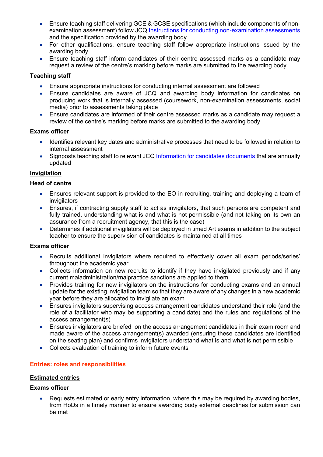- Ensure teaching staff delivering GCE & GCSE specifications (which include components of nonexamination assessment) follow JCQ Instructions for conducting non-examination assessments and the specification provided by the awarding body
- For other qualifications, ensure teaching staff follow appropriate instructions issued by the awarding body
- Ensure teaching staff inform candidates of their centre assessed marks as a candidate may request a review of the centre's marking before marks are submitted to the awarding body

# **Teaching staff**

- Ensure appropriate instructions for conducting internal assessment are followed
- Ensure candidates are aware of JCQ and awarding body information for candidates on producing work that is internally assessed (coursework, non-examination assessments, social media) prior to assessments taking place
- Ensure candidates are informed of their centre assessed marks as a candidate may request a review of the centre's marking before marks are submitted to the awarding body

#### **Exams officer**

- Identifies relevant key dates and administrative processes that need to be followed in relation to internal assessment
- Signposts teaching staff to relevant JCQ Information for candidates documents that are annually updated

# **Invigilation**

#### **Head of centre**

- Ensures relevant support is provided to the EO in recruiting, training and deploying a team of invigilators
- Ensures, if contracting supply staff to act as invigilators, that such persons are competent and fully trained, understanding what is and what is not permissible (and not taking on its own an assurance from a recruitment agency, that this is the case)
- Determines if additional invigilators will be deployed in timed Art exams in addition to the subject teacher to ensure the supervision of candidates is maintained at all times

#### **Exams officer**

- Recruits additional invigilators where required to effectively cover all exam periods/series' throughout the academic year
- Collects information on new recruits to identify if they have invigilated previously and if any current maladministration/malpractice sanctions are applied to them
- Provides training for new invigilators on the instructions for conducting exams and an annual update for the existing invigilation team so that they are aware of any changes in a new academic year before they are allocated to invigilate an exam
- Ensures invigilators supervising access arrangement candidates understand their role (and the role of a facilitator who may be supporting a candidate) and the rules and regulations of the access arrangement(s)
- Ensures invigilators are briefed on the access arrangement candidates in their exam room and made aware of the access arrangement(s) awarded (ensuring these candidates are identified on the seating plan) and confirms invigilators understand what is and what is not permissible
- Collects evaluation of training to inform future events

#### **Entries: roles and responsibilities**

## **Estimated entries**

#### **Exams officer**

• Requests estimated or early entry information, where this may be required by awarding bodies, from HoDs in a timely manner to ensure awarding body external deadlines for submission can be met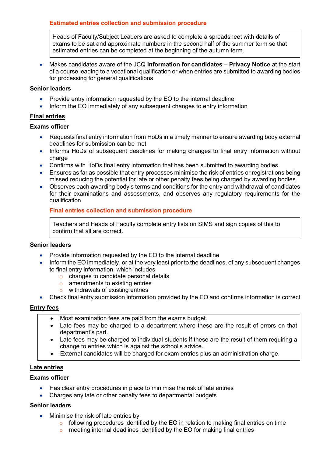## **Estimated entries collection and submission procedure**

Heads of Faculty/Subject Leaders are asked to complete a spreadsheet with details of exams to be sat and approximate numbers in the second half of the summer term so that estimated entries can be completed at the beginning of the autumn term.

• Makes candidates aware of the JCQ **Information for candidates – Privacy Notice** at the start of a course leading to a vocational qualification or when entries are submitted to awarding bodies for processing for general qualifications

#### **Senior leaders**

- Provide entry information requested by the EO to the internal deadline
- Inform the EO immediately of any subsequent changes to entry information

# **Final entries**

#### **Exams officer**

- Requests final entry information from HoDs in a timely manner to ensure awarding body external deadlines for submission can be met
- Informs HoDs of subsequent deadlines for making changes to final entry information without charge
- Confirms with HoDs final entry information that has been submitted to awarding bodies
- Ensures as far as possible that entry processes minimise the risk of entries or registrations being missed reducing the potential for late or other penalty fees being charged by awarding bodies
- Observes each awarding body's terms and conditions for the entry and withdrawal of candidates for their examinations and assessments, and observes any regulatory requirements for the qualification

#### **Final entries collection and submission procedure**

Teachers and Heads of Faculty complete entry lists on SIMS and sign copies of this to confirm that all are correct.

#### **Senior leaders**

- Provide information requested by the EO to the internal deadline
- Inform the EO immediately, or at the very least prior to the deadlines, of any subsequent changes to final entry information, which includes
	- o changes to candidate personal details
	- o amendments to existing entries
	- o withdrawals of existing entries
- Check final entry submission information provided by the EO and confirms information is correct

#### **Entry fees**

- Most examination fees are paid from the exams budget.
- Late fees may be charged to a department where these are the result of errors on that department's part.
- Late fees may be charged to individual students if these are the result of them requiring a change to entries which is against the school's advice.
- External candidates will be charged for exam entries plus an administration charge.

#### **Late entries**

## **Exams officer**

- Has clear entry procedures in place to minimise the risk of late entries
- Charges any late or other penalty fees to departmental budgets

#### **Senior leaders**

- Minimise the risk of late entries by
	- o following procedures identified by the EO in relation to making final entries on time
	- o meeting internal deadlines identified by the EO for making final entries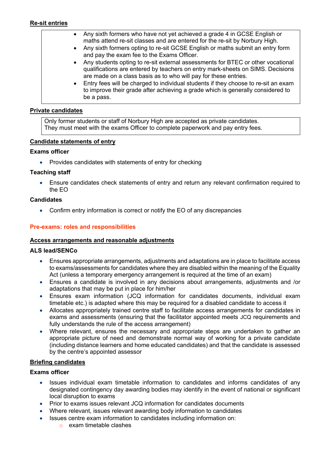# **Re-sit entries**

- Any sixth formers who have not yet achieved a grade 4 in GCSE English or maths attend re-sit classes and are entered for the re-sit by Norbury High.
	- Any sixth formers opting to re-sit GCSE English or maths submit an entry form and pay the exam fee to the Exams Officer.
	- Any students opting to re-sit external assessments for BTEC or other vocational qualifications are entered by teachers on entry mark-sheets on SIMS. Decisions are made on a class basis as to who will pay for these entries.
	- Entry fees will be charged to individual students if they choose to re-sit an exam to improve their grade after achieving a grade which is generally considered to be a pass.

# **Private candidates**

Only former students or staff of Norbury High are accepted as private candidates. They must meet with the exams Officer to complete paperwork and pay entry fees.

#### **Candidate statements of entry**

# **Exams officer**

• Provides candidates with statements of entry for checking

#### **Teaching staff**

• Ensure candidates check statements of entry and return any relevant confirmation required to the EO

#### **Candidates**

• Confirm entry information is correct or notify the EO of any discrepancies

#### **Pre-exams: roles and responsibilities**

#### **Access arrangements and reasonable adjustments**

#### **ALS lead/SENCo**

- Ensures appropriate arrangements, adjustments and adaptations are in place to facilitate access to exams/assessments for candidates where they are disabled within the meaning of the Equality Act (unless a temporary emergency arrangement is required at the time of an exam)
- Ensures a candidate is involved in any decisions about arrangements, adjustments and /or adaptations that may be put in place for him/her
- Ensures exam information (JCQ information for candidates documents, individual exam timetable etc.) is adapted where this may be required for a disabled candidate to access it
- Allocates appropriately trained centre staff to facilitate access arrangements for candidates in exams and assessments (ensuring that the facilitator appointed meets JCQ requirements and fully understands the rule of the access arrangement)
- Where relevant, ensures the necessary and appropriate steps are undertaken to gather an appropriate picture of need and demonstrate normal way of working for a private candidate (including distance learners and home educated candidates) and that the candidate is assessed by the centre's appointed assessor

#### **Briefing candidates**

#### **Exams officer**

- Issues individual exam timetable information to candidates and informs candidates of any designated contingency day awarding bodies may identify in the event of national or significant local disruption to exams
- Prior to exams issues relevant JCQ information for candidates documents
- Where relevant, issues relevant awarding body information to candidates
- Issues centre exam information to candidates including information on:
	- o exam timetable clashes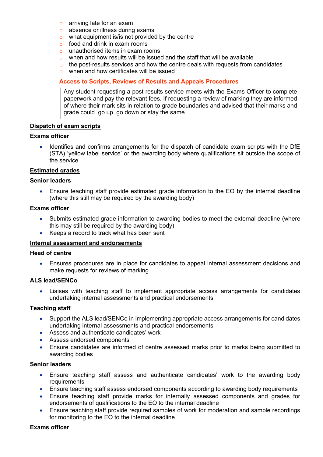- o arriving late for an exam
- o absence or illness during exams
- o what equipment is/is not provided by the centre
- o food and drink in exam rooms
- o unauthorised items in exam rooms
- o when and how results will be issued and the staff that will be available
- $\circ$  the post-results services and how the centre deals with requests from candidates
- o when and how certificates will be issued

## **Access to Scripts, Reviews of Results and Appeals Procedures**

Any student requesting a post results service meets with the Exams Officer to complete paperwork and pay the relevant fees. If requesting a review of marking they are informed of where their mark sits in relation to grade boundaries and advised that their marks and grade could go up, go down or stay the same.

#### **Dispatch of exam scripts**

#### **Exams officer**

• Identifies and confirms arrangements for the dispatch of candidate exam scripts with the DfE (STA) 'yellow label service' or the awarding body where qualifications sit outside the scope of the service

#### **Estimated grades**

#### **Senior leaders**

• Ensure teaching staff provide estimated grade information to the EO by the internal deadline (where this still may be required by the awarding body)

#### **Exams officer**

- Submits estimated grade information to awarding bodies to meet the external deadline (where this may still be required by the awarding body)
- Keeps a record to track what has been sent

#### **Internal assessment and endorsements**

#### **Head of centre**

• Ensures procedures are in place for candidates to appeal internal assessment decisions and make requests for reviews of marking

#### **ALS lead/SENCo**

• Liaises with teaching staff to implement appropriate access arrangements for candidates undertaking internal assessments and practical endorsements

#### **Teaching staff**

- Support the ALS lead/SENCo in implementing appropriate access arrangements for candidates undertaking internal assessments and practical endorsements
- Assess and authenticate candidates' work
- Assess endorsed components
- Ensure candidates are informed of centre assessed marks prior to marks being submitted to awarding bodies

#### **Senior leaders**

- Ensure teaching staff assess and authenticate candidates' work to the awarding body requirements
- Ensure teaching staff assess endorsed components according to awarding body requirements
- Ensure teaching staff provide marks for internally assessed components and grades for endorsements of qualifications to the EO to the internal deadline
- Ensure teaching staff provide required samples of work for moderation and sample recordings for monitoring to the EO to the internal deadline

#### **Exams officer**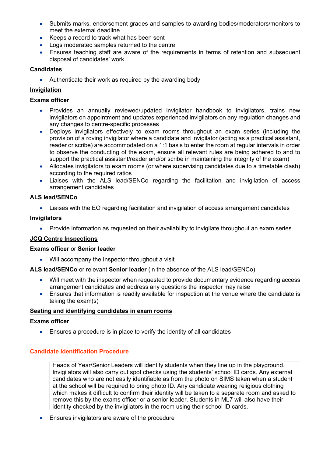- Submits marks, endorsement grades and samples to awarding bodies/moderators/monitors to meet the external deadline
- Keeps a record to track what has been sent
- Logs moderated samples returned to the centre
- Ensures teaching staff are aware of the requirements in terms of retention and subsequent disposal of candidates' work

# **Candidates**

• Authenticate their work as required by the awarding body

# **Invigilation**

## **Exams officer**

- Provides an annually reviewed/updated invigilator handbook to invigilators, trains new invigilators on appointment and updates experienced invigilators on any regulation changes and any changes to centre-specific processes
- Deploys invigilators effectively to exam rooms throughout an exam series (including the provision of a roving invigilator where a candidate and invigilator (acting as a practical assistant, reader or scribe) are accommodated on a 1:1 basis to enter the room at regular intervals in order to observe the conducting of the exam, ensure all relevant rules are being adhered to and to support the practical assistant/reader and/or scribe in maintaining the integrity of the exam)
- Allocates invigilators to exam rooms (or where supervising candidates due to a timetable clash) according to the required ratios
- Liaises with the ALS lead/SENCo regarding the facilitation and invigilation of access arrangement candidates

# **ALS lead/SENCo**

• Liaises with the EO regarding facilitation and invigilation of access arrangement candidates

#### **Invigilators**

• Provide information as requested on their availability to invigilate throughout an exam series

# **JCQ Centre Inspections**

#### **Exams officer** or **Senior leader**

• Will accompany the Inspector throughout a visit

#### **ALS lead/SENCo** or relevant **Senior leader** (in the absence of the ALS lead/SENCo)

- Will meet with the inspector when requested to provide documentary evidence regarding access arrangement candidates and address any questions the inspector may raise
- Ensures that information is readily available for inspection at the venue where the candidate is taking the exam(s)

#### **Seating and identifying candidates in exam rooms**

#### **Exams officer**

• Ensures a procedure is in place to verify the identity of all candidates

# **Candidate Identification Procedure**

Heads of Year/Senior Leaders will identify students when they line up in the playground. Invigilators will also carry out spot checks using the students' school ID cards. Any external candidates who are not easily identifiable as from the photo on SIMS taken when a student at the school will be required to bring photo ID. Any candidate wearing religious clothing which makes it difficult to confirm their identity will be taken to a separate room and asked to remove this by the exams officer or a senior leader. Students in ML7 will also have their identity checked by the invigilators in the room using their school ID cards.

• Ensures invigilators are aware of the procedure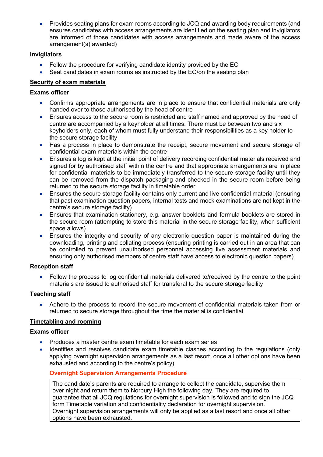• Provides seating plans for exam rooms according to JCQ and awarding body requirements (and ensures candidates with access arrangements are identified on the seating plan and invigilators are informed of those candidates with access arrangements and made aware of the access arrangement(s) awarded)

# **Invigilators**

- Follow the procedure for verifying candidate identity provided by the EO
- Seat candidates in exam rooms as instructed by the EO/on the seating plan

# **Security of exam materials**

# **Exams officer**

- Confirms appropriate arrangements are in place to ensure that confidential materials are only handed over to those authorised by the head of centre
- Ensures access to the secure room is restricted and staff named and approved by the head of centre are accompanied by a keyholder at all times. There must be between two and six keyholders only, each of whom must fully understand their responsibilities as a key holder to the secure storage facility
- Has a process in place to demonstrate the receipt, secure movement and secure storage of confidential exam materials within the centre
- Ensures a log is kept at the initial point of delivery recording confidential materials received and signed for by authorised staff within the centre and that appropriate arrangements are in place for confidential materials to be immediately transferred to the secure storage facility until they can be removed from the dispatch packaging and checked in the secure room before being returned to the secure storage facility in timetable order
- Ensures the secure storage facility contains only current and live confidential material (ensuring that past examination question papers, internal tests and mock examinations are not kept in the centre's secure storage facility)
- Ensures that examination stationery, e.g. answer booklets and formula booklets are stored in the secure room (attempting to store this material in the secure storage facility, when sufficient space allows)
- Ensures the integrity and security of any electronic question paper is maintained during the downloading, printing and collating process (ensuring printing is carried out in an area that can be controlled to prevent unauthorised personnel accessing live assessment materials and ensuring only authorised members of centre staff have access to electronic question papers)

# **Reception staff**

• Follow the process to log confidential materials delivered to/received by the centre to the point materials are issued to authorised staff for transferal to the secure storage facility

# **Teaching staff**

• Adhere to the process to record the secure movement of confidential materials taken from or returned to secure storage throughout the time the material is confidential

# **Timetabling and rooming**

# **Exams officer**

- Produces a master centre exam timetable for each exam series
- Identifies and resolves candidate exam timetable clashes according to the regulations (only applying overnight supervision arrangements as a last resort, once all other options have been exhausted and according to the centre's policy)

# **Overnight Supervision Arrangements Procedure**

The candidate's parents are required to arrange to collect the candidate, supervise them over night and return them to Norbury High the following day. They are required to guarantee that all JCQ regulations for overnight supervision is followed and to sign the JCQ form Timetable variation and confidentiality declaration for overnight supervision. Overnight supervision arrangements will only be applied as a last resort and once all other options have been exhausted.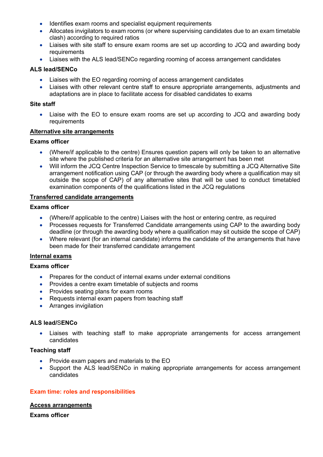- Identifies exam rooms and specialist equipment requirements
- Allocates invigilators to exam rooms (or where supervising candidates due to an exam timetable clash) according to required ratios
- Liaises with site staff to ensure exam rooms are set up according to JCQ and awarding body requirements
- Liaises with the ALS lead/SENCo regarding rooming of access arrangement candidates

# **ALS lead/SENCo**

- Liaises with the EO regarding rooming of access arrangement candidates
- Liaises with other relevant centre staff to ensure appropriate arrangements, adjustments and adaptations are in place to facilitate access for disabled candidates to exams

#### **Site staff**

• Liaise with the EO to ensure exam rooms are set up according to JCQ and awarding body requirements

# **Alternative site arrangements**

#### **Exams officer**

- (Where/if applicable to the centre) Ensures question papers will only be taken to an alternative site where the published criteria for an alternative site arrangement has been met
- Will inform the JCQ Centre Inspection Service to timescale by submitting a JCQ Alternative Site arrangement notification using CAP (or through the awarding body where a qualification may sit outside the scope of CAP) of any alternative sites that will be used to conduct timetabled examination components of the qualifications listed in the JCQ regulations

#### **Transferred candidate arrangements**

#### **Exams officer**

- (Where/if applicable to the centre) Liaises with the host or entering centre, as required
- Processes requests for Transferred Candidate arrangements using CAP to the awarding body deadline (or through the awarding body where a qualification may sit outside the scope of CAP)
- Where relevant (for an internal candidate) informs the candidate of the arrangements that have been made for their transferred candidate arrangement

#### **Internal exams**

# **Exams officer**

- Prepares for the conduct of internal exams under external conditions
- Provides a centre exam timetable of subjects and rooms
- Provides seating plans for exam rooms
- Requests internal exam papers from teaching staff
- Arranges invigilation

#### **ALS lead/**S**ENCo**

• Liaises with teaching staff to make appropriate arrangements for access arrangement candidates

#### **Teaching staff**

- Provide exam papers and materials to the EO
- Support the ALS lead/SENCo in making appropriate arrangements for access arrangement candidates

#### **Exam time: roles and responsibilities**

#### **Access arrangements**

**Exams officer**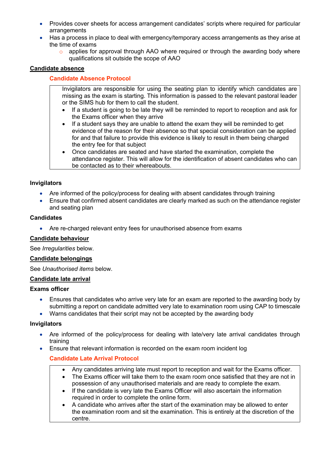- Provides cover sheets for access arrangement candidates' scripts where required for particular arrangements
- Has a process in place to deal with emergency/temporary access arrangements as they arise at the time of exams
	- o applies for approval through AAO where required or through the awarding body where qualifications sit outside the scope of AAO

## **Candidate absence**

## **Candidate Absence Protocol**

Invigilators are responsible for using the seating plan to identify which candidates are missing as the exam is starting. This information is passed to the relevant pastoral leader or the SIMS hub for them to call the student.

- If a student is going to be late they will be reminded to report to reception and ask for the Exams officer when they arrive
- If a student says they are unable to attend the exam they will be reminded to get evidence of the reason for their absence so that special consideration can be applied for and that failure to provide this evidence is likely to result in them being charged the entry fee for that subject
- Once candidates are seated and have started the examination, complete the attendance register. This will allow for the identification of absent candidates who can be contacted as to their whereabouts.

#### **Invigilators**

- Are informed of the policy/process for dealing with absent candidates through training
- Ensure that confirmed absent candidates are clearly marked as such on the attendance register and seating plan

#### **Candidates**

• Are re-charged relevant entry fees for unauthorised absence from exams

#### **Candidate behaviour**

See *Irregularities* below.

#### **Candidate belongings**

See *Unauthorised items* below.

#### **Candidate late arrival**

#### **Exams officer**

- Ensures that candidates who arrive very late for an exam are reported to the awarding body by submitting a report on candidate admitted very late to examination room using CAP to timescale
- Warns candidates that their script may not be accepted by the awarding body

#### **Invigilators**

- Are informed of the policy/process for dealing with late/very late arrival candidates through training
- Ensure that relevant information is recorded on the exam room incident log

# **Candidate Late Arrival Protocol**

- Any candidates arriving late must report to reception and wait for the Exams officer.
- The Exams officer will take them to the exam room once satisfied that they are not in possession of any unauthorised materials and are ready to complete the exam.
- If the candidate is very late the Exams Officer will also ascertain the information required in order to complete the online form.
- A candidate who arrives after the start of the examination may be allowed to enter the examination room and sit the examination. This is entirely at the discretion of the centre.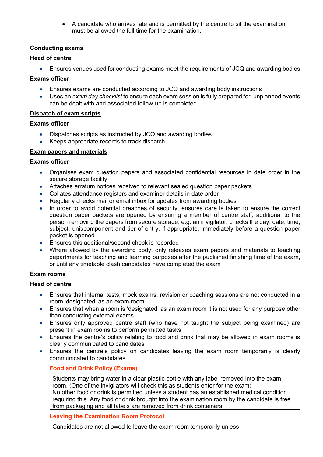• A candidate who arrives late and is permitted by the centre to sit the examination, must be allowed the full time for the examination.

## **Conducting exams**

## **Head of centre**

• Ensures venues used for conducting exams meet the requirements of JCQ and awarding bodies

# **Exams officer**

- Ensures exams are conducted according to JCQ and awarding body instructions
- Uses an *exam day checklist* to ensure each exam session is fully prepared for, unplanned events can be dealt with and associated follow-up is completed

# **Dispatch of exam scripts**

#### **Exams officer**

- Dispatches scripts as instructed by JCQ and awarding bodies
- Keeps appropriate records to track dispatch

# **Exam papers and materials**

#### **Exams officer**

- Organises exam question papers and associated confidential resources in date order in the secure storage facility
- Attaches erratum notices received to relevant sealed question paper packets
- Collates attendance registers and examiner details in date order
- Regularly checks mail or email inbox for updates from awarding bodies
- In order to avoid potential breaches of security, ensures care is taken to ensure the correct question paper packets are opened by ensuring a member of centre staff, additional to the person removing the papers from secure storage, e.g. an invigilator, checks the day, date, time, subject, unit/component and tier of entry, if appropriate, immediately before a question paper packet is opened
- Ensures this additional/second check is recorded
- Where allowed by the awarding body, only releases exam papers and materials to teaching departments for teaching and learning purposes after the published finishing time of the exam, or until any timetable clash candidates have completed the exam

# **Exam rooms**

#### **Head of centre**

- Ensures that internal tests, mock exams, revision or coaching sessions are not conducted in a room 'designated' as an exam room
- Ensures that when a room is 'designated' as an exam room it is not used for any purpose other than conducting external exams
- Ensures only approved centre staff (who have not taught the subject being examined) are present in exam rooms to perform permitted tasks
- Ensures the centre's policy relating to food and drink that may be allowed in exam rooms is clearly communicated to candidates
- Ensures the centre's policy on candidates leaving the exam room temporarily is clearly communicated to candidates

# **Food and Drink Policy (Exams)**

Students may bring water in a clear plastic bottle with any label removed into the exam room. (One of the invigilators will check this as students enter for the exam) No other food or drink is permitted unless a student has an established medical condition requiring this. Any food or drink brought into the examination room by the candidate is free from packaging and all labels are removed from drink containers

#### **Leaving the Examination Room Protocol**

Candidates are not allowed to leave the exam room temporarily unless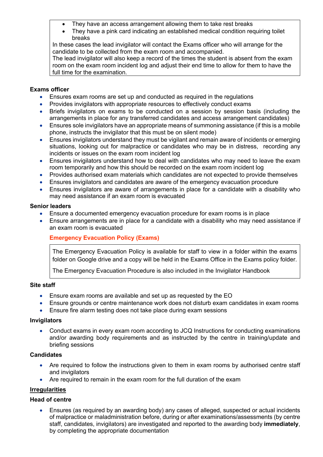- They have an access arrangement allowing them to take rest breaks
- They have a pink card indicating an established medical condition requiring toilet breaks

In these cases the lead invigilator will contact the Exams officer who will arrange for the candidate to be collected from the exam room and accompanied.

The lead invigilator will also keep a record of the times the student is absent from the exam room on the exam room incident log and adjust their end time to allow for them to have the full time for the examination.

# **Exams officer**

- Ensures exam rooms are set up and conducted as required in the regulations
- Provides invigilators with appropriate resources to effectively conduct exams
- Briefs invigilators on exams to be conducted on a session by session basis (including the arrangements in place for any transferred candidates and access arrangement candidates)
- Ensures sole invigilators have an appropriate means of summoning assistance (if this is a mobile phone, instructs the invigilator that this must be on silent mode)
- Ensures invigilators understand they must be vigilant and remain aware of incidents or emerging situations, looking out for malpractice or candidates who may be in distress, recording any incidents or issues on the exam room incident log
- Ensures invigilators understand how to deal with candidates who may need to leave the exam room temporarily and how this should be recorded on the exam room incident log
- Provides authorised exam materials which candidates are not expected to provide themselves
- Ensures invigilators and candidates are aware of the emergency evacuation procedure
- Ensures invigilators are aware of arrangements in place for a candidate with a disability who may need assistance if an exam room is evacuated

#### **Senior leaders**

- Ensure a documented emergency evacuation procedure for exam rooms is in place
- Ensure arrangements are in place for a candidate with a disability who may need assistance if an exam room is evacuated

# **Emergency Evacuation Policy (Exams)**

The Emergency Evacuation Policy is available for staff to view in a folder within the exams folder on Google drive and a copy will be held in the Exams Office in the Exams policy folder.

The Emergency Evacuation Procedure is also included in the Invigilator Handbook

#### **Site staff**

- Ensure exam rooms are available and set up as requested by the EO
- Ensure grounds or centre maintenance work does not disturb exam candidates in exam rooms
- Ensure fire alarm testing does not take place during exam sessions

#### **Invigilators**

• Conduct exams in every exam room according to JCQ Instructions for conducting examinations and/or awarding body requirements and as instructed by the centre in training/update and briefing sessions

## **Candidates**

- Are required to follow the instructions given to them in exam rooms by authorised centre staff and invigilators
- Are required to remain in the exam room for the full duration of the exam

# **Irregularities**

# **Head of centre**

• Ensures (as required by an awarding body) any cases of alleged, suspected or actual incidents of malpractice or maladministration before, during or after examinations/assessments (by centre staff, candidates, invigilators) are investigated and reported to the awarding body **immediately**, by completing the appropriate documentation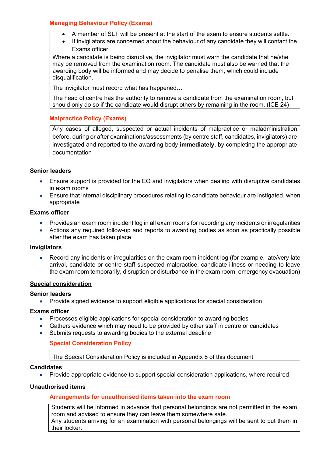# **Managing Behaviour Policy (Exams)**

- A member of SLT will be present at the start of the exam to ensure students settle.
- If invigilators are concerned about the behaviour of any candidate they will contact the Exams officer

Where a candidate is being disruptive, the invigilator must warn the candidate that he/she may be removed from the examination room. The candidate must also be warned that the awarding body will be informed and may decide to penalise them, which could include disqualification.

The invigilator must record what has happened…

The head of centre has the authority to remove a candidate from the examination room, but should only do so if the candidate would disrupt others by remaining in the room. (ICE 24)

# **Malpractice Policy (Exams)**

Any cases of alleged, suspected or actual incidents of malpractice or maladministration before, during or after examinations/assessments (by centre staff, candidates, invigilators) are investigated and reported to the awarding body **immediately**, by completing the appropriate documentation

# **Senior leaders**

- Ensure support is provided for the EO and invigilators when dealing with disruptive candidates in exam rooms
- Ensure that internal disciplinary procedures relating to candidate behaviour are instigated, when appropriate

#### **Exams officer**

- Provides an exam room incident log in all exam rooms for recording any incidents or irregularities
- Actions any required follow-up and reports to awarding bodies as soon as practically possible after the exam has taken place

#### **Invigilators**

• Record any incidents or irregularities on the exam room incident log (for example, late/very late arrival, candidate or centre staff suspected malpractice, candidate illness or needing to leave the exam room temporarily, disruption or disturbance in the exam room, emergency evacuation)

#### **Special consideration**

#### **Senior leaders**

• Provide signed evidence to support eligible applications for special consideration

#### **Exams officer**

- Processes eligible applications for special consideration to awarding bodies
- Gathers evidence which may need to be provided by other staff in centre or candidates
- Submits requests to awarding bodies to the external deadline

#### **Special Consideration Policy**

The Special Consideration Policy is included in Appendix 8 of this document

#### **Candidates**

• Provide appropriate evidence to support special consideration applications, where required

#### **Unauthorised items**

#### **Arrangements for unauthorised items taken into the exam room**

Students will be informed in advance that personal belongings are not permitted in the exam room and advised to ensure they can leave them somewhere safe. Any students arriving for an examination with personal belongings will be sent to put them in their locker.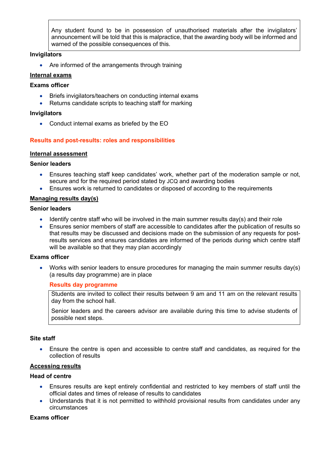Any student found to be in possession of unauthorised materials after the invigilators' announcement will be told that this is malpractice, that the awarding body will be informed and warned of the possible consequences of this.

#### **Invigilators**

• Are informed of the arrangements through training

## **Internal exams**

#### **Exams officer**

- Briefs invigilators/teachers on conducting internal exams
- Returns candidate scripts to teaching staff for marking

#### **Invigilators**

• Conduct internal exams as briefed by the EO

# **Results and post-results: roles and responsibilities**

#### **Internal assessment**

#### **Senior leaders**

- Ensures teaching staff keep candidates' work, whether part of the moderation sample or not, secure and for the required period stated by JCQ and awarding bodies
- Ensures work is returned to candidates or disposed of according to the requirements

#### **Managing results day(s)**

#### **Senior leaders**

- Identify centre staff who will be involved in the main summer results day(s) and their role
- Ensures senior members of staff are accessible to candidates after the publication of results so that results may be discussed and decisions made on the submission of any requests for postresults services and ensures candidates are informed of the periods during which centre staff will be available so that they may plan accordingly

#### **Exams officer**

• Works with senior leaders to ensure procedures for managing the main summer results day(s) (a results day programme) are in place

#### **Results day programme**

Students are invited to collect their results between 9 am and 11 am on the relevant results day from the school hall.

Senior leaders and the careers advisor are available during this time to advise students of possible next steps.

#### **Site staff**

• Ensure the centre is open and accessible to centre staff and candidates, as required for the collection of results

#### **Accessing results**

#### **Head of centre**

- Ensures results are kept entirely confidential and restricted to key members of staff until the official dates and times of release of results to candidates
- Understands that it is not permitted to withhold provisional results from candidates under any circumstances

## **Exams officer**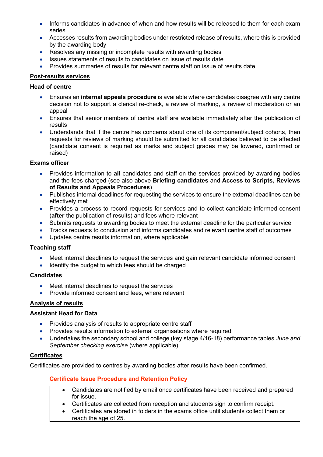- Informs candidates in advance of when and how results will be released to them for each exam series
- Accesses results from awarding bodies under restricted release of results, where this is provided by the awarding body
- Resolves any missing or incomplete results with awarding bodies
- Issues statements of results to candidates on issue of results date
- Provides summaries of results for relevant centre staff on issue of results date

## **Post-results services**

#### **Head of centre**

- Ensures an **internal appeals procedure** is available where candidates disagree with any centre decision not to support a clerical re-check, a review of marking, a review of moderation or an appeal
- Ensures that senior members of centre staff are available immediately after the publication of results
- Understands that if the centre has concerns about one of its component/subject cohorts, then requests for reviews of marking should be submitted for all candidates believed to be affected (candidate consent is required as marks and subject grades may be lowered, confirmed or raised)

#### **Exams officer**

- Provides information to **all** candidates and staff on the services provided by awarding bodies and the fees charged (see also above **Briefing candidates** and **Access to Scripts, Reviews of Results and Appeals Procedures**)
- Publishes internal deadlines for requesting the services to ensure the external deadlines can be effectively met
- Provides a process to record requests for services and to collect candidate informed consent (**after** the publication of results) and fees where relevant
- Submits requests to awarding bodies to meet the external deadline for the particular service
- Tracks requests to conclusion and informs candidates and relevant centre staff of outcomes
- Updates centre results information, where applicable

#### **Teaching staff**

- Meet internal deadlines to request the services and gain relevant candidate informed consent
- Identify the budget to which fees should be charged

#### **Candidates**

- Meet internal deadlines to request the services
- Provide informed consent and fees, where relevant

#### **Analysis of results**

# **Assistant Head for Data**

- Provides analysis of results to appropriate centre staff
- Provides results information to external organisations where required
- Undertakes the secondary school and college (key stage 4/16-18) performance tables *June and September checking exercise* (where applicable)

#### **Certificates**

Certificates are provided to centres by awarding bodies after results have been confirmed.

#### **Certificate Issue Procedure and Retention Policy**

- Candidates are notified by email once certificates have been received and prepared for issue.
	- Certificates are collected from reception and students sign to confirm receipt.
- Certificates are stored in folders in the exams office until students collect them or reach the age of 25.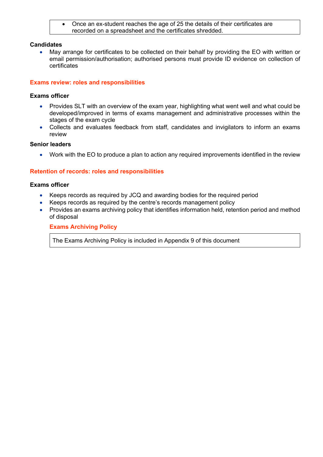• Once an ex-student reaches the age of 25 the details of their certificates are recorded on a spreadsheet and the certificates shredded.

#### **Candidates**

• May arrange for certificates to be collected on their behalf by providing the EO with written or email permission/authorisation; authorised persons must provide ID evidence on collection of certificates

#### **Exams review: roles and responsibilities**

#### **Exams officer**

- Provides SLT with an overview of the exam year, highlighting what went well and what could be developed/improved in terms of exams management and administrative processes within the stages of the exam cycle
- Collects and evaluates feedback from staff, candidates and invigilators to inform an exams review

#### **Senior leaders**

• Work with the EO to produce a plan to action any required improvements identified in the review

#### **Retention of records: roles and responsibilities**

#### **Exams officer**

- Keeps records as required by JCQ and awarding bodies for the required period
- Keeps records as required by the centre's records management policy
- Provides an exams archiving policy that identifies information held, retention period and method of disposal

#### **Exams Archiving Policy**

The Exams Archiving Policy is included in Appendix 9 of this document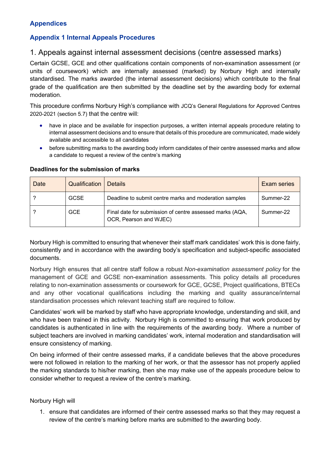# **Appendices**

# **Appendix 1 Internal Appeals Procedures**

# 1. Appeals against internal assessment decisions (centre assessed marks)

Certain GCSE, GCE and other qualifications contain components of non-examination assessment (or units of coursework) which are internally assessed (marked) by Norbury High and internally standardised. The marks awarded (the internal assessment decisions) which contribute to the final grade of the qualification are then submitted by the deadline set by the awarding body for external moderation.

This procedure confirms Norbury High's compliance with JCQ's General Regulations for Approved Centres 2020-2021 (section 5.7) that the centre will:

- have in place and be available for inspection purposes, a written internal appeals procedure relating to internal assessment decisions and to ensure that details of this procedure are communicated, made widely available and accessible to all candidates
- before submitting marks to the awarding body inform candidates of their centre assessed marks and allow a candidate to request a review of the centre's marking

| Date | Qualification | <b>Details</b>                                                                     | <b>Exam series</b> |
|------|---------------|------------------------------------------------------------------------------------|--------------------|
|      | GCSE          | Deadline to submit centre marks and moderation samples                             | Summer-22          |
|      | <b>GCE</b>    | Final date for submission of centre assessed marks (AQA,<br>OCR, Pearson and WJEC) | Summer-22          |

#### **Deadlines for the submission of marks**

Norbury High is committed to ensuring that whenever their staff mark candidates' work this is done fairly, consistently and in accordance with the awarding body's specification and subject-specific associated documents.

Norbury High ensures that all centre staff follow a robust *Non-examination assessment policy* for the management of GCE and GCSE non-examination assessments. This policy details all procedures relating to non-examination assessments or coursework for GCE, GCSE, Project qualifications, BTECs and any other vocational qualifications including the marking and quality assurance/internal standardisation processes which relevant teaching staff are required to follow.

Candidates' work will be marked by staff who have appropriate knowledge, understanding and skill, and who have been trained in this activity. Norbury High is committed to ensuring that work produced by candidates is authenticated in line with the requirements of the awarding body. Where a number of subject teachers are involved in marking candidates' work, internal moderation and standardisation will ensure consistency of marking.

On being informed of their centre assessed marks, if a candidate believes that the above procedures were not followed in relation to the marking of her work, or that the assessor has not properly applied the marking standards to his/her marking, then she may make use of the appeals procedure below to consider whether to request a review of the centre's marking.

#### Norbury High will

1. ensure that candidates are informed of their centre assessed marks so that they may request a review of the centre's marking before marks are submitted to the awarding body.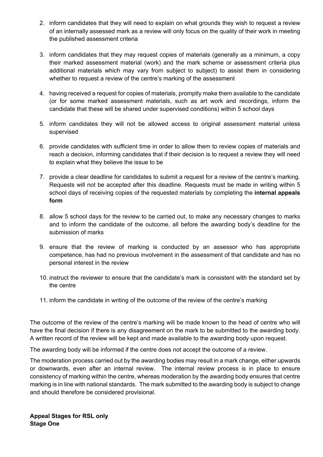- 2. inform candidates that they will need to explain on what grounds they wish to request a review of an internally assessed mark as a review will only focus on the quality of their work in meeting the published assessment criteria
- 3. inform candidates that they may request copies of materials (generally as a minimum, a copy their marked assessment material (work) and the mark scheme or assessment criteria plus additional materials which may vary from subject to subject) to assist them in considering whether to request a review of the centre's marking of the assessment
- 4. having received a request for copies of materials, promptly make them available to the candidate (or for some marked assessment materials, such as art work and recordings, inform the candidate that these will be shared under supervised conditions) within 5 school days
- 5. inform candidates they will not be allowed access to original assessment material unless supervised
- 6. provide candidates with sufficient time in order to allow them to review copies of materials and reach a decision, informing candidates that if their decision is to request a review they will need to explain what they believe the issue to be
- 7. provide a clear deadline for candidates to submit a request for a review of the centre's marking. Requests will not be accepted after this deadline. Requests must be made in writing within 5 school days of receiving copies of the requested materials by completing the **internal appeals form**
- 8. allow 5 school days for the review to be carried out, to make any necessary changes to marks and to inform the candidate of the outcome, all before the awarding body's deadline for the submission of marks
- 9. ensure that the review of marking is conducted by an assessor who has appropriate competence, has had no previous involvement in the assessment of that candidate and has no personal interest in the review
- 10. instruct the reviewer to ensure that the candidate's mark is consistent with the standard set by the centre
- 11. inform the candidate in writing of the outcome of the review of the centre's marking

The outcome of the review of the centre's marking will be made known to the head of centre who will have the final decision if there is any disagreement on the mark to be submitted to the awarding body. A written record of the review will be kept and made available to the awarding body upon request.

The awarding body will be informed if the centre does not accept the outcome of a review.

The moderation process carried out by the awarding bodies may result in a mark change, either upwards or downwards, even after an internal review. The internal review process is in place to ensure consistency of marking within the centre, whereas moderation by the awarding body ensures that centre marking is in line with national standards. The mark submitted to the awarding body is subject to change and should therefore be considered provisional.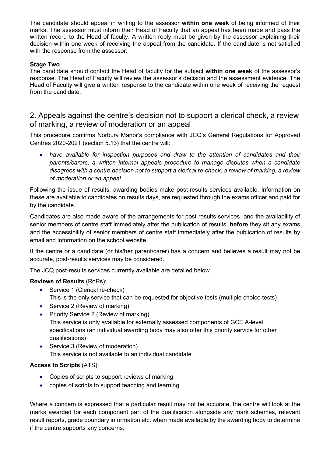The candidate should appeal in writing to the assessor **within one week** of being informed of their marks. The assessor must inform their Head of Faculty that an appeal has been made and pass the written record to the Head of faculty. A written reply must be given by the assessor explaining their decision within one week of receiving the appeal from the candidate. If the candidate is not satisfied with the response from the assessor:

# **Stage Two**

The candidate should contact the Head of faculty for the subject **within one week** of the assessor's response. The Head of Faculty will review the assessor's decision and the assessment evidence. The Head of Faculty will give a written response to the candidate within one week of receiving the request from the candidate.

# 2. Appeals against the centre's decision not to support a clerical check, a review of marking, a review of moderation or an appeal

This procedure confirms Norbury Manor's compliance with JCQ's General Regulations for Approved Centres 2020-2021 (section 5.13) that the centre will:

• *have available for inspection purposes and draw to the attention of candidates and their parents/carers, a written internal appeals procedure to manage disputes when a candidate disagrees with a centre decision not to support a clerical re-check, a review of marking, a review of moderation or an appeal*

Following the issue of results, awarding bodies make post-results services available. Information on these are available to candidates on results days, are requested through the exams officer and paid for by the candidate.

Candidates are also made aware of the arrangements for post-results services and the availability of senior members of centre staff immediately after the publication of results, **before** they sit any exams and the accessibility of senior members of centre staff immediately after the publication of results by email and information on the school website.

If the centre or a candidate (or his/her parent/carer) has a concern and believes a result may not be accurate, post-results services may be considered.

The JCQ post-results services currently available are detailed below.

# **Reviews of Results** (RoRs):

- Service 1 (Clerical re-check) This is the only service that can be requested for objective tests (multiple choice tests)
- Service 2 (Review of marking)
- Priority Service 2 (Review of marking) This service is only available for externally assessed components of GCE A-level specifications (an individual awarding body may also offer this priority service for other qualifications)
- Service 3 (Review of moderation) This service is not available to an individual candidate

# **Access to Scripts** (ATS):

- Copies of scripts to support reviews of marking
- copies of scripts to support teaching and learning

Where a concern is expressed that a particular result may not be accurate, the centre will look at the marks awarded for each component part of the qualification alongside any mark schemes, relevant result reports, grade boundary information etc. when made available by the awarding body to determine if the centre supports any concerns.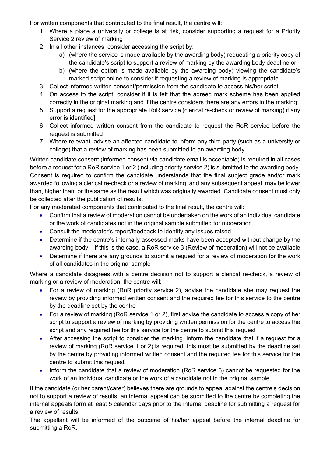For written components that contributed to the final result, the centre will:

- 1. Where a place a university or college is at risk, consider supporting a request for a Priority Service 2 review of marking
- 2. In all other instances, consider accessing the script by:
	- a) (where the service is made available by the awarding body) requesting a priority copy of the candidate's script to support a review of marking by the awarding body deadline or
	- b) (where the option is made available by the awarding body) viewing the candidate's marked script online to consider if requesting a review of marking is appropriate
- 3. Collect informed written consent/permission from the candidate to access his/her script
- 4. On access to the script, consider if it is felt that the agreed mark scheme has been applied correctly in the original marking and if the centre considers there are any errors in the marking
- 5. Support a request for the appropriate RoR service (clerical re-check or review of marking) if any error is identified]
- 6. Collect informed written consent from the candidate to request the RoR service before the request is submitted
- 7. Where relevant, advise an affected candidate to inform any third party (such as a university or college) that a review of marking has been submitted to an awarding body

Written candidate consent (informed consent via candidate email is acceptable) is required in all cases before a request for a RoR service 1 or 2 (including priority service 2) is submitted to the awarding body. Consent is required to confirm the candidate understands that the final subject grade and/or mark awarded following a clerical re-check or a review of marking, and any subsequent appeal, may be lower than, higher than, or the same as the result which was originally awarded. Candidate consent must only be collected after the publication of results.

For any moderated components that contributed to the final result, the centre will:

- Confirm that a review of moderation cannot be undertaken on the work of an individual candidate or the work of candidates not in the original sample submitted for moderation
- Consult the moderator's report/feedback to identify any issues raised
- Determine if the centre's internally assessed marks have been accepted without change by the awarding body – if this is the case, a RoR service 3 (Review of moderation) will not be available
- Determine if there are any grounds to submit a request for a review of moderation for the work of all candidates in the original sample

Where a candidate disagrees with a centre decision not to support a clerical re-check, a review of marking or a review of moderation, the centre will:

- For a review of marking (RoR priority service 2), advise the candidate she may request the review by providing informed written consent and the required fee for this service to the centre by the deadline set by the centre
- For a review of marking (RoR service 1 or 2), first advise the candidate to access a copy of her script to support a review of marking by providing written permission for the centre to access the script and any required fee for this service for the centre to submit this request
- After accessing the script to consider the marking, inform the candidate that if a request for a review of marking (RoR service 1 or 2) is required, this must be submitted by the deadline set by the centre by providing informed written consent and the required fee for this service for the centre to submit this request
- Inform the candidate that a review of moderation (RoR service 3) cannot be requested for the work of an individual candidate or the work of a candidate not in the original sample

If the candidate (or her parent/carer) believes there are grounds to appeal against the centre's decision not to support a review of results, an internal appeal can be submitted to the centre by completing the internal appeals form at least 5 calendar days prior to the internal deadline for submitting a request for a review of results.

The appellant will be informed of the outcome of his/her appeal before the internal deadline for submitting a RoR.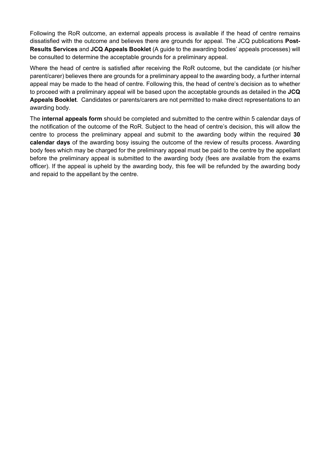Following the RoR outcome, an external appeals process is available if the head of centre remains dissatisfied with the outcome and believes there are grounds for appeal. The JCQ publications **Post-Results Services** and **JCQ Appeals Booklet** (A guide to the awarding bodies' appeals processes) will be consulted to determine the acceptable grounds for a preliminary appeal.

Where the head of centre is satisfied after receiving the RoR outcome, but the candidate (or his/her parent/carer) believes there are grounds for a preliminary appeal to the awarding body, a further internal appeal may be made to the head of centre. Following this, the head of centre's decision as to whether to proceed with a preliminary appeal will be based upon the acceptable grounds as detailed in the **JCQ Appeals Booklet**. Candidates or parents/carers are not permitted to make direct representations to an awarding body.

The **internal appeals form** should be completed and submitted to the centre within 5 calendar days of the notification of the outcome of the RoR. Subject to the head of centre's decision, this will allow the centre to process the preliminary appeal and submit to the awarding body within the required **30 calendar days** of the awarding bosy issuing the outcome of the review of results process. Awarding body fees which may be charged for the preliminary appeal must be paid to the centre by the appellant before the preliminary appeal is submitted to the awarding body (fees are available from the exams officer). If the appeal is upheld by the awarding body, this fee will be refunded by the awarding body and repaid to the appellant by the centre.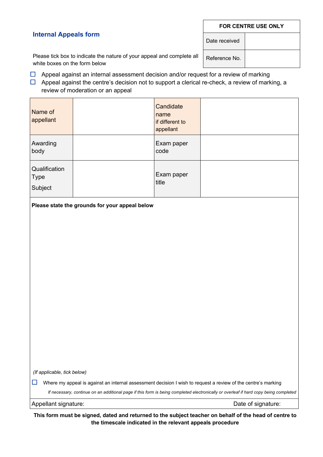#### **FOR CENTRE USE ONLY**

# **Internal Appeals form**

Date received

Please tick box to indicate the nature of your appeal and complete all white boxes on the form below

Reference No.

 $\Box$  Appeal against an internal assessment decision and/or request for a review of marking  $\Box$  Appeal against the centre's decision not to support a clerical re-check, a review of marking, a

review of moderation or an appeal

| Name of<br>appellant                    | Candidate<br>name<br>if different to<br>appellant |  |
|-----------------------------------------|---------------------------------------------------|--|
| Awarding<br>body                        | Exam paper<br>code                                |  |
| Qualification<br><b>Type</b><br>Subject | Exam paper<br>title                               |  |

**Please state the grounds for your appeal below**

*(If applicable, tick below)*

 $\square$  Where my appeal is against an internal assessment decision I wish to request a review of the centre's marking

*If necessary, continue on an additional page if this form is being completed electronically or overleaf if hard copy being completed*

Appellant signature:  $\Box$  Date of signature:

**This form must be signed, dated and returned to the subject teacher on behalf of the head of centre to the timescale indicated in the relevant appeals procedure**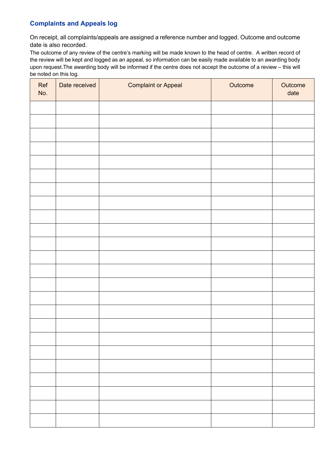# **Complaints and Appeals log**

On receipt, all complaints/appeals are assigned a reference number and logged. Outcome and outcome date is also recorded.

The outcome of any review of the centre's marking will be made known to the head of centre. A written record of the review will be kept and logged as an appeal, so information can be easily made available to an awarding body upon request.The awarding body will be informed if the centre does not accept the outcome of a review – this will be noted on this log.

| Ref<br>No. | Date received | <b>Complaint or Appeal</b> | Outcome | Outcome<br>date |
|------------|---------------|----------------------------|---------|-----------------|
|            |               |                            |         |                 |
|            |               |                            |         |                 |
|            |               |                            |         |                 |
|            |               |                            |         |                 |
|            |               |                            |         |                 |
|            |               |                            |         |                 |
|            |               |                            |         |                 |
|            |               |                            |         |                 |
|            |               |                            |         |                 |
|            |               |                            |         |                 |
|            |               |                            |         |                 |
|            |               |                            |         |                 |
|            |               |                            |         |                 |
|            |               |                            |         |                 |
|            |               |                            |         |                 |
|            |               |                            |         |                 |
|            |               |                            |         |                 |
|            |               |                            |         |                 |
|            |               |                            |         |                 |
|            |               |                            |         |                 |
|            |               |                            |         |                 |
|            |               |                            |         |                 |
|            |               |                            |         |                 |
|            |               |                            |         |                 |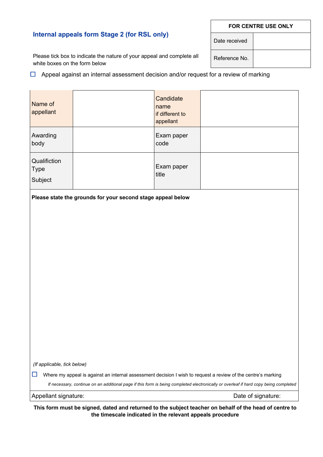#### **FOR CENTRE USE ONLY**

# **Internal appeals form Stage 2 (for RSL only)**

Please tick box to indicate the nature of your appeal and complete all white boxes on the form below

 $\Box$  Appeal against an internal assessment decision and/or request for a review of marking

| Name of<br>appellant                       |                                                             | Candidate<br>name<br>if different to<br>appellant |                                                                                                                                      |
|--------------------------------------------|-------------------------------------------------------------|---------------------------------------------------|--------------------------------------------------------------------------------------------------------------------------------------|
| Awarding<br>body                           |                                                             | Exam paper<br>code                                |                                                                                                                                      |
| Qualifiction<br>Type<br>Subject            |                                                             | Exam paper<br>title                               |                                                                                                                                      |
|                                            | Please state the grounds for your second stage appeal below |                                                   |                                                                                                                                      |
|                                            |                                                             |                                                   |                                                                                                                                      |
|                                            |                                                             |                                                   |                                                                                                                                      |
|                                            |                                                             |                                                   |                                                                                                                                      |
|                                            |                                                             |                                                   |                                                                                                                                      |
|                                            |                                                             |                                                   |                                                                                                                                      |
|                                            |                                                             |                                                   |                                                                                                                                      |
|                                            |                                                             |                                                   |                                                                                                                                      |
|                                            |                                                             |                                                   |                                                                                                                                      |
|                                            |                                                             |                                                   |                                                                                                                                      |
|                                            |                                                             |                                                   |                                                                                                                                      |
| (If applicable, tick below)                |                                                             |                                                   |                                                                                                                                      |
| ப                                          |                                                             |                                                   | Where my appeal is against an internal assessment decision I wish to request a review of the centre's marking                        |
|                                            |                                                             |                                                   | If necessary, continue on an additional page if this form is being completed electronically or overleaf if hard copy being completed |
| Appellant signature:<br>Date of signature: |                                                             |                                                   |                                                                                                                                      |

**This form must be signed, dated and returned to the subject teacher on behalf of the head of centre to the timescale indicated in the relevant appeals procedure**

Reference No.

Date received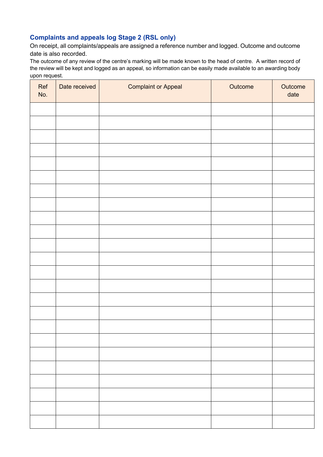# **Complaints and appeals log Stage 2 (RSL only)**

On receipt, all complaints/appeals are assigned a reference number and logged. Outcome and outcome date is also recorded.

The outcome of any review of the centre's marking will be made known to the head of centre. A written record of the review will be kept and logged as an appeal, so information can be easily made available to an awarding body upon request.

| Ref<br>No. | Date received | <b>Complaint or Appeal</b> | Outcome | Outcome<br>date |
|------------|---------------|----------------------------|---------|-----------------|
|            |               |                            |         |                 |
|            |               |                            |         |                 |
|            |               |                            |         |                 |
|            |               |                            |         |                 |
|            |               |                            |         |                 |
|            |               |                            |         |                 |
|            |               |                            |         |                 |
|            |               |                            |         |                 |
|            |               |                            |         |                 |
|            |               |                            |         |                 |
|            |               |                            |         |                 |
|            |               |                            |         |                 |
|            |               |                            |         |                 |
|            |               |                            |         |                 |
|            |               |                            |         |                 |
|            |               |                            |         |                 |
|            |               |                            |         |                 |
|            |               |                            |         |                 |
|            |               |                            |         |                 |
|            |               |                            |         |                 |
|            |               |                            |         |                 |
|            |               |                            |         |                 |
|            |               |                            |         |                 |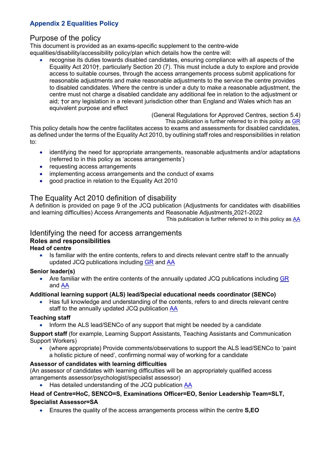# **Appendix 2 Equalities Policy**

# Purpose of the policy

This document is provided as an exams-specific supplement to the centre-wide equalities/disability/accessibility policy/plan which details how the centre will:

• recognise its duties towards disabled candidates, ensuring compliance with all aspects of the Equality Act 2010†, particularly Section 20 (7). This must include a duty to explore and provide access to suitable courses, through the access arrangements process submit applications for reasonable adjustments and make reasonable adjustments to the service the centre provides to disabled candidates. Where the centre is under a duty to make a reasonable adjustment, the centre must not charge a disabled candidate any additional fee in relation to the adjustment or aid; †or any legislation in a relevant jurisdiction other than England and Wales which has an equivalent purpose and effect

> (General Regulations for Approved Centres, section 5.4) This publication is further referred to in this policy as GR

This policy details how the centre facilitates access to exams and assessments for disabled candidates, as defined under the terms of the Equality Act 2010, by outlining staff roles and responsibilities in relation to:

- identifying the need for appropriate arrangements, reasonable adjustments and/or adaptations (referred to in this policy as 'access arrangements')
- requesting access arrangements
- implementing access arrangements and the conduct of exams
- good practice in relation to the Equality Act 2010

# The Equality Act 2010 definition of disability

A definition is provided on page 9 of the JCQ publication (Adjustments for candidates with disabilities and learning difficulties) Access Arrangements and Reasonable Adjustments 2021-2022

This publication is further referred to in this policy as AA

#### Identifying the need for access arrangements **Roles and responsibilities Head of centre**

• Is familiar with the entire contents, refers to and directs relevant centre staff to the annually updated JCQ publications including GR and AA

# **Senior leader(s)**

• Are familiar with the entire contents of the annually updated JCQ publications including GR and AA

#### **Additional learning support (ALS) lead/Special educational needs coordinator (SENCo)**

• Has full knowledge and understanding of the contents, refers to and directs relevant centre staff to the annually updated JCQ publication AA

# **Teaching staff**

• Inform the ALS lead/SENCo of any support that might be needed by a candidate

**Support staff** (for example, Learning Support Assistants, Teaching Assistants and Communication Support Workers)

• (where appropriate) Provide comments/observations to support the ALS lead/SENCo to 'paint a holistic picture of need', confirming normal way of working for a candidate

# **Assessor of candidates with learning difficulties**

(An assessor of candidates with learning difficulties will be an appropriately qualified access arrangements assessor/psychologist/specialist assessor)

• Has detailed understanding of the JCQ publication AA

# **Head of Centre=HoC, SENCO=S, Examinations Officer=EO, Senior Leadership Team=SLT, Specialist Assessor=SA**

• Ensures the quality of the access arrangements process within the centre **S,EO**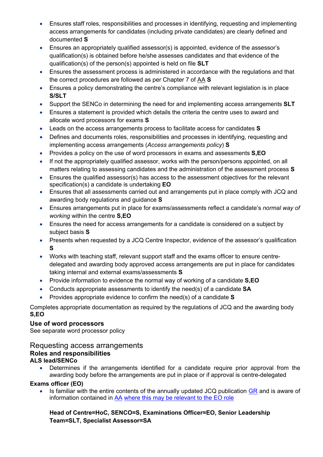- Ensures staff roles, responsibilities and processes in identifying, requesting and implementing access arrangements for candidates (including private candidates) are clearly defined and documented **S**
- Ensures an appropriately qualified assessor(s) is appointed, evidence of the assessor's qualification(s) is obtained before he/she assesses candidates and that evidence of the qualification(s) of the person(s) appointed is held on file **SLT**
- Ensures the assessment process is administered in accordance with the regulations and that the correct procedures are followed as per Chapter 7 of AA **S**
- Ensures a policy demonstrating the centre's compliance with relevant legislation is in place **S/SLT**
- Support the SENCo in determining the need for and implementing access arrangements **SLT**
- Ensures a statement is provided which details the criteria the centre uses to award and allocate word processors for exams **S**
- Leads on the access arrangements process to facilitate access for candidates **S**
- Defines and documents roles, responsibilities and processes in identifying, requesting and implementing access arrangements (*Access arrangements policy*) **S**
- Provides a policy on the use of word processors in exams and assessments **S,EO**
- If not the appropriately qualified assessor, works with the person/persons appointed, on all matters relating to assessing candidates and the administration of the assessment process **S**
- Ensures the qualified assessor(s) has access to the assessment objectives for the relevant specification(s) a candidate is undertaking **EO**
- Ensures that all assessments carried out and arrangements put in place comply with JCQ and awarding body regulations and guidance **S**
- Ensures arrangements put in place for exams/assessments reflect a candidate's *normal way of working* within the centre **S,EO**
- Ensures the need for access arrangements for a candidate is considered on a subject by subject basis **S**
- Presents when requested by a JCQ Centre Inspector, evidence of the assessor's qualification **S**
- Works with teaching staff, relevant support staff and the exams officer to ensure centredelegated and awarding body approved access arrangements are put in place for candidates taking internal and external exams/assessments **S**
- Provide information to evidence the normal way of working of a candidate **S,EO**
- Conducts appropriate assessments to identify the need(s) of a candidate **SA**
- Provides appropriate evidence to confirm the need(s) of a candidate **S**

Completes appropriate documentation as required by the requiations of JCQ and the awarding body **S,EO**

# **Use of word processors**

See separate word processor policy

# Requesting access arrangements **Roles and responsibilities ALS lead/SENCo**

• Determines if the arrangements identified for a candidate require prior approval from the awarding body before the arrangements are put in place or if approval is centre-delegated

# **Exams officer (EO)**

• Is familiar with the entire contents of the annually updated JCQ publication GR and is aware of information contained in AA where this may be relevant to the EO role

# **Head of Centre=HoC, SENCO=S, Examinations Officer=EO, Senior Leadership Team=SLT, Specialist Assessor=SA**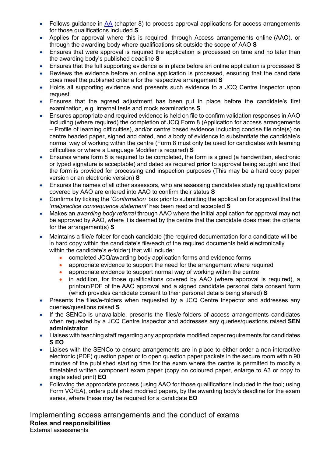- Follows quidance in AA (chapter 8) to process approval applications for access arrangements for those qualifications included **S**
- Applies for approval where this is required, through Access arrangements online (AAO), or through the awarding body where qualifications sit outside the scope of AAO **S**
- Ensures that were approval is required the application is processed on time and no later than the awarding body's published deadline **S**
- Ensures that the full supporting evidence is in place before an online application is processed **S**
- Reviews the evidence before an online application is processed, ensuring that the candidate does meet the published criteria for the respective arrangement **S**
- Holds all supporting evidence and presents such evidence to a JCQ Centre Inspector upon request
- Ensures that the agreed adjustment has been put in place before the candidate's first examination, e.g. internal tests and mock examinations **S**
- Ensures appropriate and required evidence is held on file to confirm validation responses in AAO including (where required) the completion of JCQ Form 8 (Application for access arrangements – Profile of learning difficulties), and/or centre based evidence including concise file note(s) on centre headed paper, signed and dated, and a body of evidence to substantiate the candidate's normal way of working within the centre (Form 8 must only be used for candidates with learning difficulties or where a Language Modifier is required) **S**
- Ensures where form 8 is required to be completed, the form is signed (a handwritten, electronic or typed signature is acceptable) and dated as required **prior** to approval being sought and that the form is provided for processing and inspection purposes (This may be a hard copy paper version or an electronic version) **S**
- Ensures the names of all other assessors, who are assessing candidates studying qualifications covered by AAO are entered into AAO to confirm their status **S**
- Confirms by ticking the *'Confirmation'* box prior to submitting the application for approval that the *'malpractice consequence statement'* has been read and accepted **S**
- Makes an *awarding body referral* through AAO where the initial application for approval may not be approved by AAO, where it is deemed by the centre that the candidate does meet the criteria for the arrangement(s) **S**
- Maintains a file/e-folder for each candidate (the required documentation for a candidate will be in hard copy within the candidate's file/each of the required documents held electronically within the candidate's e-folder) that will include:
	- completed JCQ/awarding body application forms and evidence forms
	- appropriate evidence to support the need for the arrangement where required
	- appropriate evidence to support normal way of working within the centre
	- in addition, for those qualifications covered by AAO (where approval is required), a printout/PDF of the AAO approval and a signed candidate personal data consent form (which provides candidate consent to their personal details being shared) **S**
- Presents the files/e-folders when requested by a JCQ Centre Inspector and addresses any queries/questions raised **S**
- If the SENCo is unavailable, presents the files/e-folders of access arrangements candidates when requested by a JCQ Centre Inspector and addresses any queries/questions raised **SEN administrator**
- Liaises with teaching staff regarding any appropriate modified paper requirements for candidates **S EO**
- Liaises with the SENCo to ensure arrangements are in place to either order a non-interactive electronic (PDF) question paper or to open question paper packets in the secure room within 90 minutes of the published starting time for the exam where the centre is permitted to modify a timetabled written component exam paper (copy on coloured paper, enlarge to A3 or copy to single sided print) **EO**
- Following the appropriate process (using AAO for those qualifications included in the tool; using Form VQ/EA), orders published modified papers, by the awarding body's deadline for the exam series, where these may be required for a candidate **EO**

Implementing access arrangements and the conduct of exams **Roles and responsibilities** External assessments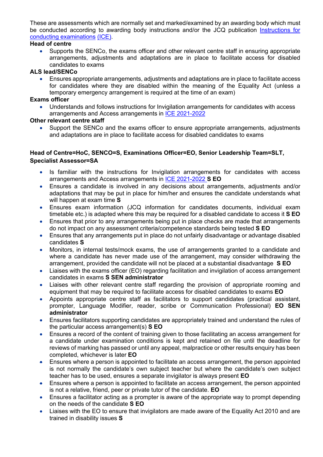These are assessments which are normally set and marked/examined by an awarding body which must be conducted according to awarding body instructions and/or the JCQ publication Instructions for conducting examinations (ICE).

#### **Head of centre**

• Supports the SENCo, the exams officer and other relevant centre staff in ensuring appropriate arrangements, adjustments and adaptations are in place to facilitate access for disabled candidates to exams

#### **ALS lead/SENCo**

• Ensures appropriate arrangements, adjustments and adaptations are in place to facilitate access for candidates where they are disabled within the meaning of the Equality Act (unless a temporary emergency arrangement is required at the time of an exam)

#### **Exams officer**

• Understands and follows instructions for Invigilation arrangements for candidates with access arrangements and Access arrangements in ICE 2021-2022

### **Other relevant centre staff**

• Support the SENCo and the exams officer to ensure appropriate arrangements, adjustments and adaptations are in place to facilitate access for disabled candidates to exams

# **Head of Centre=HoC, SENCO=S, Examinations Officer=EO, Senior Leadership Team=SLT, Specialist Assessor=SA**

- Is familiar with the instructions for Invigilation arrangements for candidates with access arrangements and Access arrangements in ICE 2021-2022 **S EO**
- Ensures a candidate is involved in any decisions about arrangements, adjustments and/or adaptations that may be put in place for him/her and ensures the candidate understands what will happen at exam time **S**
- Ensures exam information (JCQ information for candidates documents, individual exam timetable etc.) is adapted where this may be required for a disabled candidate to access it **S EO**
- Ensures that prior to any arrangements being put in place checks are made that arrangements do not impact on any assessment criteria/competence standards being tested **S EO**
- Ensures that any arrangements put in place do not unfairly disadvantage or advantage disabled candidates **S**
- Monitors, in internal tests/mock exams, the use of arrangements granted to a candidate and where a candidate has never made use of the arrangement, may consider withdrawing the arrangement, provided the candidate will not be placed at a substantial disadvantage **S EO**
- Liaises with the exams officer (EO) regarding facilitation and invigilation of access arrangement candidates in exams **S SEN administrator**
- Liaises with other relevant centre staff regarding the provision of appropriate rooming and equipment that may be required to facilitate access for disabled candidates to exams **EO**
- Appoints appropriate centre staff as facilitators to support candidates (practical assistant, prompter, Language Modifier, reader, scribe or Communication Professional) **EO SEN administrator**
- Ensures facilitators supporting candidates are appropriately trained and understand the rules of the particular access arrangement(s) **S EO**
- Ensures a record of the content of training given to those facilitating an access arrangement for a candidate under examination conditions is kept and retained on file until the deadline for reviews of marking has passed or until any appeal, malpractice or other results enquiry has been completed, whichever is later **EO**
- Ensures where a person is appointed to facilitate an access arrangement, the person appointed is not normally the candidate's own subject teacher but where the candidate's own subject teacher has to be used, ensures a separate invigilator is always present **EO**
- Ensures where a person is appointed to facilitate an access arrangement, the person appointed is not a relative, friend, peer or private tutor of the candidate. **EO**
- Ensures a facilitator acting as a prompter is aware of the appropriate way to prompt depending on the needs of the candidate **S EO**
- Liaises with the EO to ensure that invigilators are made aware of the Equality Act 2010 and are trained in disability issues **S**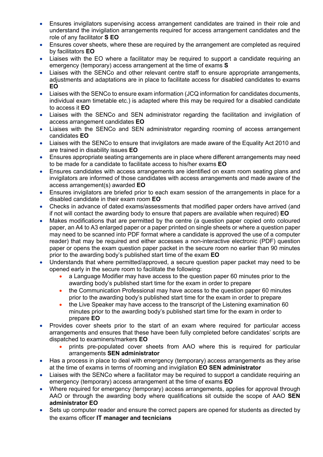- Ensures invigilators supervising access arrangement candidates are trained in their role and understand the invigilation arrangements required for access arrangement candidates and the role of any facilitator **S EO**
- Ensures cover sheets, where these are required by the arrangement are completed as required by facilitators **EO**
- Liaises with the EO where a facilitator may be required to support a candidate requiring an emergency (temporary) access arrangement at the time of exams **S**
- Liaises with the SENCo and other relevant centre staff to ensure appropriate arrangements, adjustments and adaptations are in place to facilitate access for disabled candidates to exams **EO**
- Liaises with the SENCo to ensure exam information (JCQ information for candidates documents, individual exam timetable etc.) is adapted where this may be required for a disabled candidate to access it **EO**
- Liaises with the SENCo and SEN administrator regarding the facilitation and invigilation of access arrangement candidates **EO**
- Liaises with the SENCo and SEN administrator regarding rooming of access arrangement candidates **EO**
- Liaises with the SENCo to ensure that invigilators are made aware of the Equality Act 2010 and are trained in disability issues **EO**
- Ensures appropriate seating arrangements are in place where different arrangements may need to be made for a candidate to facilitate access to his/her exams **EO**
- Ensures candidates with access arrangements are identified on exam room seating plans and invigilators are informed of those candidates with access arrangements and made aware of the access arrangement(s) awarded **EO**
- Ensures invigilators are briefed prior to each exam session of the arrangements in place for a disabled candidate in their exam room **EO**
- Checks in advance of dated exams/assessments that modified paper orders have arrived (and if not will contact the awarding body to ensure that papers are available when required) **EO**
- Makes modifications that are permitted by the centre (a question paper copied onto coloured paper, an A4 to A3 enlarged paper or a paper printed on single sheets or where a question paper may need to be scanned into PDF format where a candidate is approved the use of a computer reader) that may be required and either accesses a non-interactive electronic (PDF) question paper or opens the exam question paper packet in the secure room no earlier than 90 minutes prior to the awarding body's published start time of the exam **EO**
- Understands that where permitted/approved, a secure question paper packet may need to be opened early in the secure room to facilitate the following:
	- a Language Modifier may have access to the question paper 60 minutes prior to the awarding body's published start time for the exam in order to prepare
	- the Communication Professional may have access to the question paper 60 minutes prior to the awarding body's published start time for the exam in order to prepare
	- the Live Speaker may have access to the transcript of the Listening examination 60 minutes prior to the awarding body's published start time for the exam in order to prepare **EO**
- Provides cover sheets prior to the start of an exam where required for particular access arrangements and ensures that these have been fully completed before candidates' scripts are dispatched to examiners/markers **EO**
	- prints pre-populated cover sheets from AAO where this is required for particular arrangements **SEN administrator**
- Has a process in place to deal with emergency (temporary) access arrangements as they arise at the time of exams in terms of rooming and invigilation **EO SEN administrator**
- Liaises with the SENCo where a facilitator may be required to support a candidate requiring an emergency (temporary) access arrangement at the time of exams **EO**
- Where required for emergency (temporary) access arrangements, applies for approval through AAO or through the awarding body where qualifications sit outside the scope of AAO **SEN administrator EO**
- Sets up computer reader and ensure the correct papers are opened for students as directed by the exams officer **IT manager and tecnicians**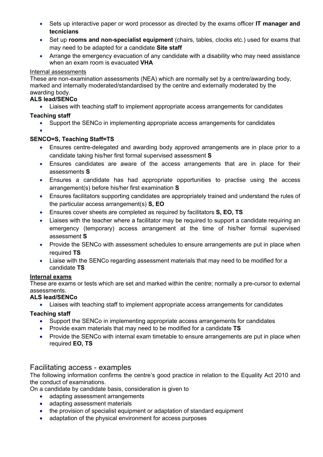- Sets up interactive paper or word processor as directed by the exams officer **IT manager and tecnicians**
- Set up **rooms and non-specialist equipment** (chairs, tables, clocks etc.) used for exams that may need to be adapted for a candidate **Site staff**
- Arrange the emergency evacuation of any candidate with a disability who may need assistance when an exam room is evacuated **VHA**

#### Internal assessments

These are non-examination assessments (NEA) which are normally set by a centre/awarding body, marked and internally moderated/standardised by the centre and externally moderated by the awarding body.

### **ALS lead/SENCo**

• Liaises with teaching staff to implement appropriate access arrangements for candidates

# **Teaching staff**

- Support the SENCo in implementing appropriate access arrangements for candidates
- •

# **SENCO=S, Teaching Staff=TS**

- Ensures centre-delegated and awarding body approved arrangements are in place prior to a candidate taking his/her first formal supervised assessment **S**
- Ensures candidates are aware of the access arrangements that are in place for their assessments **S**
- Ensures a candidate has had appropriate opportunities to practise using the access arrangement(s) before his/her first examination **S**
- Ensures facilitators supporting candidates are appropriately trained and understand the rules of the particular access arrangement(s) **S, EO**
- Ensures cover sheets are completed as required by facilitators **S, EO, TS**
- Liaises with the teacher where a facilitator may be required to support a candidate requiring an emergency (temporary) access arrangement at the time of his/her formal supervised assessment **S**
- Provide the SENCo with assessment schedules to ensure arrangements are put in place when required **TS**
- Liaise with the SENCo regarding assessment materials that may need to be modified for a candidate **TS**

# **Internal exams**

These are exams or tests which are set and marked within the centre; normally a pre-cursor to external assessments.

# **ALS lead/SENCo**

• Liaises with teaching staff to implement appropriate access arrangements for candidates

# **Teaching staff**

- Support the SENCo in implementing appropriate access arrangements for candidates
- Provide exam materials that may need to be modified for a candidate **TS**
- Provide the SENCo with internal exam timetable to ensure arrangements are put in place when required **EO, TS**

# Facilitating access - examples

The following information confirms the centre's good practice in relation to the Equality Act 2010 and the conduct of examinations.

On a candidate by candidate basis, consideration is given to

- adapting assessment arrangements
- adapting assessment materials
- the provision of specialist equipment or adaptation of standard equipment
- adaptation of the physical environment for access purposes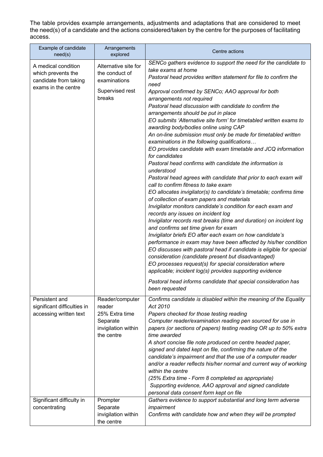The table provides example arrangements, adjustments and adaptations that are considered to meet the need(s) of a candidate and the actions considered/taken by the centre for the purposes of facilitating access.

| Example of candidate<br>need(s)                                                           | Arrangements<br>explored                                                                     | Centre actions                                                                                                                                                                                                                                                                                                                                                                                                                                                                                                                                                                                                                                                                                                                                                                                                                                                                                                                                                                                                                                                                                                                                                                                                                                                                                                                                                                                                                                                                                                                                                                                                                                                                     |
|-------------------------------------------------------------------------------------------|----------------------------------------------------------------------------------------------|------------------------------------------------------------------------------------------------------------------------------------------------------------------------------------------------------------------------------------------------------------------------------------------------------------------------------------------------------------------------------------------------------------------------------------------------------------------------------------------------------------------------------------------------------------------------------------------------------------------------------------------------------------------------------------------------------------------------------------------------------------------------------------------------------------------------------------------------------------------------------------------------------------------------------------------------------------------------------------------------------------------------------------------------------------------------------------------------------------------------------------------------------------------------------------------------------------------------------------------------------------------------------------------------------------------------------------------------------------------------------------------------------------------------------------------------------------------------------------------------------------------------------------------------------------------------------------------------------------------------------------------------------------------------------------|
| A medical condition<br>which prevents the<br>candidate from taking<br>exams in the centre | Alternative site for<br>the conduct of<br>examinations<br>Supervised rest<br>breaks          | SENCo gathers evidence to support the need for the candidate to<br>take exams at home<br>Pastoral head provides written statement for file to confirm the<br>need<br>Approval confirmed by SENCo; AAO approval for both<br>arrangements not required<br>Pastoral head discussion with candidate to confirm the<br>arrangements should be put in place<br>EO submits 'Alternative site form' for timetabled written exams to<br>awarding body/bodies online using CAP<br>An on-line submission must only be made for timetabled written<br>examinations in the following qualifications<br>EO provides candidate with exam timetable and JCQ information<br>for candidates<br>Pastoral head confirms with candidate the information is<br>understood<br>Pastoral head agrees with candidate that prior to each exam will<br>call to confirm fitness to take exam<br>EO allocates invigilator(s) to candidate's timetable; confirms time<br>of collection of exam papers and materials<br>Invigilator monitors candidate's condition for each exam and<br>records any issues on incident log<br>Invigilator records rest breaks (time and duration) on incident log<br>and confirms set time given for exam<br>Invigilator briefs EO after each exam on how candidate's<br>performance in exam may have been affected by his/her condition<br>EO discusses with pastoral head if candidate is eligible for special<br>consideration (candidate present but disadvantaged)<br>EO processes request(s) for special consideration where<br>applicable; incident log(s) provides supporting evidence<br>Pastoral head informs candidate that special consideration has<br>been requested |
| Persistent and<br>significant difficulties in<br>accessing written text                   | Reader/computer<br>reader<br>25% Extra time<br>Separate<br>invigilation within<br>the centre | Confirms candidate is disabled within the meaning of the Equality<br>Act 2010<br>Papers checked for those testing reading<br>Computer reader/examination reading pen sourced for use in<br>papers (or sections of papers) testing reading OR up to 50% extra<br>time awarded<br>A short concise file note produced on centre headed paper,<br>signed and dated kept on file, confirming the nature of the<br>candidate's impairment and that the use of a computer reader<br>and/or a reader reflects his/her normal and current way of working<br>within the centre<br>(25% Extra time - Form 8 completed as appropriate)<br>Supporting evidence, AAO approval and signed candidate<br>personal data consent form kept on file                                                                                                                                                                                                                                                                                                                                                                                                                                                                                                                                                                                                                                                                                                                                                                                                                                                                                                                                                    |
| Significant difficulty in<br>concentrating                                                | Prompter<br>Separate<br>invigilation within<br>the centre                                    | Gathers evidence to support substantial and long term adverse<br>impairment<br>Confirms with candidate how and when they will be prompted                                                                                                                                                                                                                                                                                                                                                                                                                                                                                                                                                                                                                                                                                                                                                                                                                                                                                                                                                                                                                                                                                                                                                                                                                                                                                                                                                                                                                                                                                                                                          |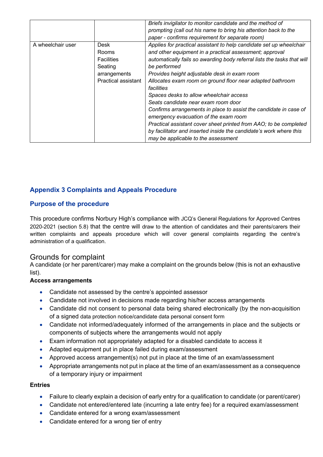|                   |                     | Briefs invigilator to monitor candidate and the method of               |
|-------------------|---------------------|-------------------------------------------------------------------------|
|                   |                     |                                                                         |
|                   |                     | prompting (call out his name to bring his attention back to the         |
|                   |                     | paper - confirms requirement for separate room)                         |
| A wheelchair user | Desk                | Applies for practical assistant to help candidate set up wheelchair     |
|                   | Rooms               | and other equipment in a practical assessment; approval                 |
|                   | <b>Facilities</b>   | automatically fails so awarding body referral lists the tasks that will |
|                   | Seating             | be performed                                                            |
|                   | arrangements        | Provides height adjustable desk in exam room                            |
|                   | Practical assistant | Allocates exam room on ground floor near adapted bathroom               |
|                   |                     | facilities                                                              |
|                   |                     | Spaces desks to allow wheelchair access                                 |
|                   |                     | Seats candidate near exam room door                                     |
|                   |                     | Confirms arrangements in place to assist the candidate in case of       |
|                   |                     | emergency evacuation of the exam room                                   |
|                   |                     | Practical assistant cover sheet printed from AAO; to be completed       |
|                   |                     | by facilitator and inserted inside the candidate's work where this      |
|                   |                     | may be applicable to the assessment                                     |

# **Appendix 3 Complaints and Appeals Procedure**

# **Purpose of the procedure**

This procedure confirms Norbury High's compliance with JCQ's General Regulations for Approved Centres 2020-2021 (section 5.8) that the centre will draw to the attention of candidates and their parents/carers their written complaints and appeals procedure which will cover general complaints regarding the centre's administration of a qualification.

# Grounds for complaint

A candidate (or her parent/carer) may make a complaint on the grounds below (this is not an exhaustive list).

#### **Access arrangements**

- Candidate not assessed by the centre's appointed assessor
- Candidate not involved in decisions made regarding his/her access arrangements
- Candidate did not consent to personal data being shared electronically (by the non-acquisition of a signed data protection notice/candidate data personal consent form
- Candidate not informed/adequately informed of the arrangements in place and the subjects or components of subjects where the arrangements would not apply
- Exam information not appropriately adapted for a disabled candidate to access it
- Adapted equipment put in place failed during exam/assessment
- Approved access arrangement(s) not put in place at the time of an exam/assessment
- Appropriate arrangements not put in place at the time of an exam/assessment as a consequence of a temporary injury or impairment

#### **Entries**

- Failure to clearly explain a decision of early entry for a qualification to candidate (or parent/carer)
- Candidate not entered/entered late (incurring a late entry fee) for a required exam/assessment
- Candidate entered for a wrong exam/assessment
- Candidate entered for a wrong tier of entry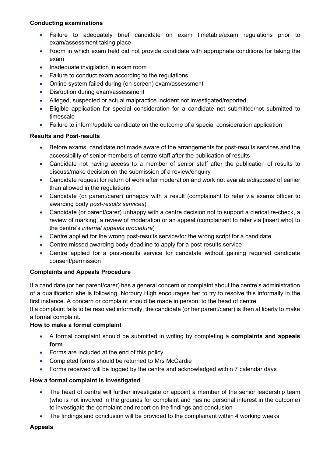### **Conducting examinations**

- Failure to adequately brief candidate on exam timetable/exam regulations prior to exam/assessment taking place
- Room in which exam held did not provide candidate with appropriate conditions for taking the exam
- Inadequate invigilation in exam room
- Failure to conduct exam according to the regulations
- Online system failed during (on-screen) exam/assessment
- Disruption during exam/assessment
- Alleged, suspected or actual malpractice incident not investigated/reported
- Eligible application for special consideration for a candidate not submitted/not submitted to timescale
- Failure to inform/update candidate on the outcome of a special consideration application

# **Results and Post-results**

- Before exams, candidate not made aware of the arrangements for post-results services and the accessibility of senior members of centre staff after the publication of results
- Candidate not having access to a member of senior staff after the publication of results to discuss/make decision on the submission of a review/enquiry
- Candidate request for return of work after moderation and work not available/disposed of earlier than allowed in the regulations
- Candidate (or parent/carer) unhappy with a result (complainant to refer via exams officer to awarding body *post-results services*)
- Candidate (or parent/carer) unhappy with a centre decision not to support a clerical re-check, a review of marking, a review of moderation or an appeal (complainant to refer via [insert who] to the centre's *internal appeals procedure*)
- Centre applied for the wrong post-results service/for the wrong script for a candidate
- Centre missed awarding body deadline to apply for a post-results service
- Centre applied for a post-results service for candidate without gaining required candidate consent/permission

# **Complaints and Appeals Procedure**

If a candidate (or her parent/carer) has a general concern or complaint about the centre's administration of a qualification she is following, Norbury High encourages her to try to resolve this informally in the first instance. A concern or complaint should be made in person, to the head of centre.

If a complaint fails to be resolved informally, the candidate (or her parent/carer) is then at liberty to make a formal complaint.

# **How to make a formal complaint**

- A formal complaint should be submitted in writing by completing a **complaints and appeals form**
- Forms are included at the end of this policy
- Completed forms should be returned to Mrs McCardie
- Forms received will be logged by the centre and acknowledged within 7 calendar days

# **How a formal complaint is investigated**

- The head of centre will further investigate or appoint a member of the senior leadership team (who is not involved in the grounds for complaint and has no personal interest in the outcome) to investigate the complaint and report on the findings and conclusion
- The findings and conclusion will be provided to the complainant within 4 working weeks

#### **Appeals**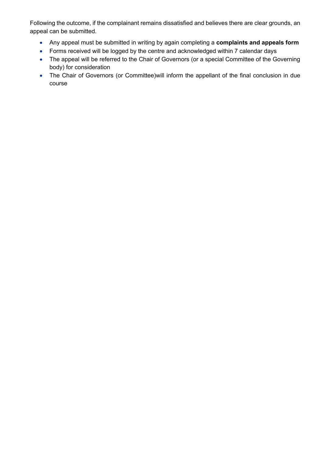Following the outcome, if the complainant remains dissatisfied and believes there are clear grounds, an appeal can be submitted.

- Any appeal must be submitted in writing by again completing a **complaints and appeals form**
- Forms received will be logged by the centre and acknowledged within 7 calendar days
- The appeal will be referred to the Chair of Governors (or a special Committee of the Governing body) for consideration
- The Chair of Governors (or Committee) will inform the appellant of the final conclusion in due course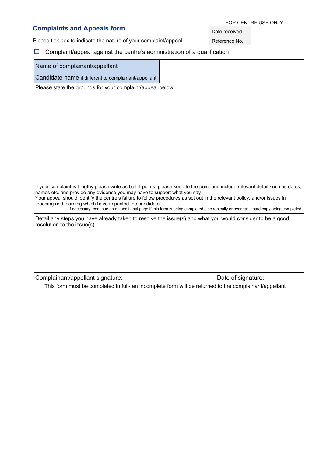# **Complaints and Appeals form**

FOR CENTRE USE ONLY Date received

Please tick box to indicate the nature of your complaint/appeal  $\sqrt{\text{Reference No.}}$ 

# $\Box$  Complaint/appeal against the centre's administration of a qualification

| Name of complainant/appellant                                                                                                       |                                                                                                                                                                                                                                                                                                                                                                                                      |
|-------------------------------------------------------------------------------------------------------------------------------------|------------------------------------------------------------------------------------------------------------------------------------------------------------------------------------------------------------------------------------------------------------------------------------------------------------------------------------------------------------------------------------------------------|
| Candidate name if different to complainant/appellant                                                                                |                                                                                                                                                                                                                                                                                                                                                                                                      |
| Please state the grounds for your complaint/appeal below                                                                            |                                                                                                                                                                                                                                                                                                                                                                                                      |
|                                                                                                                                     |                                                                                                                                                                                                                                                                                                                                                                                                      |
|                                                                                                                                     |                                                                                                                                                                                                                                                                                                                                                                                                      |
|                                                                                                                                     |                                                                                                                                                                                                                                                                                                                                                                                                      |
|                                                                                                                                     |                                                                                                                                                                                                                                                                                                                                                                                                      |
|                                                                                                                                     |                                                                                                                                                                                                                                                                                                                                                                                                      |
|                                                                                                                                     |                                                                                                                                                                                                                                                                                                                                                                                                      |
|                                                                                                                                     |                                                                                                                                                                                                                                                                                                                                                                                                      |
|                                                                                                                                     |                                                                                                                                                                                                                                                                                                                                                                                                      |
| names etc. and provide any evidence you may have to support what you say<br>teaching and learning which have impacted the candidate | If your complaint is lengthy please write as bullet points; please keep to the point and include relevant detail such as dates,<br>Your appeal should identify the centre's failure to follow procedures as set out in the relevant policy, and/or issues in<br>If necessary, continue on an additional page if this form is being completed electronically or overleaf if hard copy being completed |
| resolution to the issue(s)                                                                                                          | Detail any steps you have already taken to resolve the issue(s) and what you would consider to be a good                                                                                                                                                                                                                                                                                             |
|                                                                                                                                     |                                                                                                                                                                                                                                                                                                                                                                                                      |
|                                                                                                                                     |                                                                                                                                                                                                                                                                                                                                                                                                      |
|                                                                                                                                     |                                                                                                                                                                                                                                                                                                                                                                                                      |
|                                                                                                                                     |                                                                                                                                                                                                                                                                                                                                                                                                      |
| Complainant/appellant signature:                                                                                                    | Date of signature:                                                                                                                                                                                                                                                                                                                                                                                   |
|                                                                                                                                     | This form must be completed in full- an incomplete form will be returned to the complainant/appellant                                                                                                                                                                                                                                                                                                |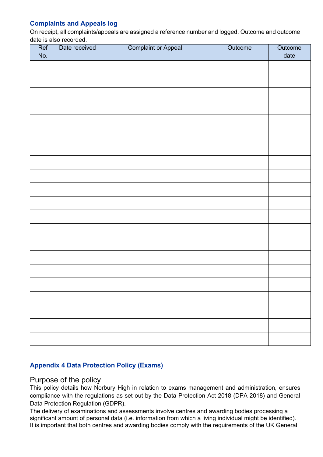# **Complaints and Appeals log**

On receipt, all complaints/appeals are assigned a reference number and logged. Outcome and outcome date is also recorded.

| Ref<br>No. | Date received | <b>Complaint or Appeal</b> | Outcome | Outcome<br>date |
|------------|---------------|----------------------------|---------|-----------------|
|            |               |                            |         |                 |
|            |               |                            |         |                 |
|            |               |                            |         |                 |
|            |               |                            |         |                 |
|            |               |                            |         |                 |
|            |               |                            |         |                 |
|            |               |                            |         |                 |
|            |               |                            |         |                 |
|            |               |                            |         |                 |
|            |               |                            |         |                 |
|            |               |                            |         |                 |
|            |               |                            |         |                 |
|            |               |                            |         |                 |
|            |               |                            |         |                 |
|            |               |                            |         |                 |
|            |               |                            |         |                 |
|            |               |                            |         |                 |
|            |               |                            |         |                 |
|            |               |                            |         |                 |
|            |               |                            |         |                 |
|            |               |                            |         |                 |

# **Appendix 4 Data Protection Policy (Exams)**

# Purpose of the policy

This policy details how Norbury High in relation to exams management and administration, ensures compliance with the regulations as set out by the Data Protection Act 2018 (DPA 2018) and General Data Protection Regulation (GDPR).

The delivery of examinations and assessments involve centres and awarding bodies processing a significant amount of personal data (i.e. information from which a living individual might be identified). It is important that both centres and awarding bodies comply with the requirements of the UK General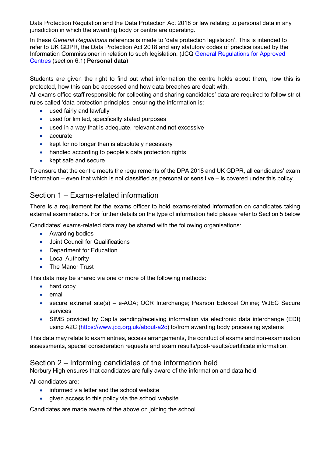Data Protection Regulation and the Data Protection Act 2018 or law relating to personal data in any jurisdiction in which the awarding body or centre are operating.

In these *General Regulations* reference is made to 'data protection legislation'. This is intended to refer to UK GDPR, the Data Protection Act 2018 and any statutory codes of practice issued by the Information Commissioner in relation to such legislation. (JCQ General Regulations for Approved Centres (section 6.1) **Personal data**)

Students are given the right to find out what information the centre holds about them, how this is protected, how this can be accessed and how data breaches are dealt with.

All exams office staff responsible for collecting and sharing candidates' data are required to follow strict rules called 'data protection principles' ensuring the information is:

- used fairly and lawfully
- used for limited, specifically stated purposes
- used in a way that is adequate, relevant and not excessive
- accurate
- kept for no longer than is absolutely necessary
- handled according to people's data protection rights
- kept safe and secure

To ensure that the centre meets the requirements of the DPA 2018 and UK GDPR, all candidates' exam information – even that which is not classified as personal or sensitive – is covered under this policy.

# Section 1 – Exams-related information

There is a requirement for the exams officer to hold exams-related information on candidates taking external examinations. For further details on the type of information held please refer to Section 5 below

Candidates' exams-related data may be shared with the following organisations:

- Awarding bodies
- Joint Council for Qualifications
- Department for Education
- Local Authority
- The Manor Trust

This data may be shared via one or more of the following methods:

- hard copy
- email
- secure extranet site(s) e-AQA; OCR Interchange; Pearson Edexcel Online; WJEC Secure services
- SIMS provided by Capita sending/receiving information via electronic data interchange (EDI) using A2C (https://www.jcq.org.uk/about-a2c) to/from awarding body processing systems

This data may relate to exam entries, access arrangements, the conduct of exams and non-examination assessments, special consideration requests and exam results/post-results/certificate information.

# Section 2 – Informing candidates of the information held

Norbury High ensures that candidates are fully aware of the information and data held.

All candidates are:

- informed via letter and the school website
- given access to this policy via the school website

Candidates are made aware of the above on joining the school.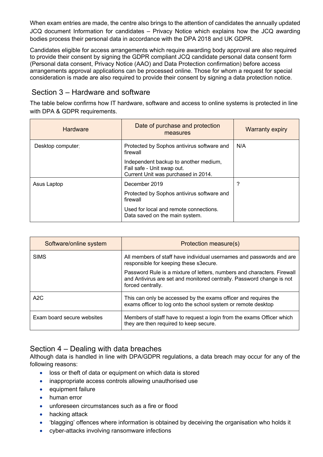When exam entries are made, the centre also brings to the attention of candidates the annually updated JCQ document Information for candidates – Privacy Notice which explains how the JCQ awarding bodies process their personal data in accordance with the DPA 2018 and UK GDPR.

Candidates eligible for access arrangements which require awarding body approval are also required to provide their consent by signing the GDPR compliant JCQ candidate personal data consent form (Personal data consent, Privacy Notice (AAO) and Data Protection confirmation) before access arrangements approval applications can be processed online. Those for whom a request for special consideration is made are also required to provide their consent by signing a data protection notice.

# Section 3 – Hardware and software

The table below confirms how IT hardware, software and access to online systems is protected in line with DPA & GDPR requirements.

| <b>Hardware</b>   | Date of purchase and protection<br>measures                                                                | <b>Warranty expiry</b> |
|-------------------|------------------------------------------------------------------------------------------------------------|------------------------|
| Desktop computer: | Protected by Sophos antivirus software and<br>firewall                                                     | N/A                    |
|                   | Independent backup to another medium,<br>Fail safe - Unit swap out.<br>Current Unit was purchased in 2014. |                        |
| Asus Laptop       | December 2019                                                                                              | ?                      |
|                   | Protected by Sophos antivirus software and<br>firewall                                                     |                        |
|                   | Used for local and remote connections.<br>Data saved on the main system.                                   |                        |

| Software/online system     | Protection measure(s)                                                                                                                                                 |
|----------------------------|-----------------------------------------------------------------------------------------------------------------------------------------------------------------------|
| <b>SIMS</b>                | All members of staff have individual usernames and passwords and are<br>responsible for keeping these s3ecure.                                                        |
|                            | Password Rule is a mixture of letters, numbers and characters. Firewall<br>and Antivirus are set and monitored centrally. Password change is not<br>forced centrally. |
| A2C                        | This can only be accessed by the exams officer and requires the<br>exams officer to log onto the school system or remote desktop                                      |
| Exam board secure websites | Members of staff have to request a login from the exams Officer which<br>they are then required to keep secure.                                                       |

# Section 4 – Dealing with data breaches

Although data is handled in line with DPA/GDPR regulations, a data breach may occur for any of the following reasons:

- loss or theft of data or equipment on which data is stored
- inappropriate access controls allowing unauthorised use
- equipment failure
- human error
- unforeseen circumstances such as a fire or flood
- hacking attack
- 'blagging' offences where information is obtained by deceiving the organisation who holds it
- cyber-attacks involving ransomware infections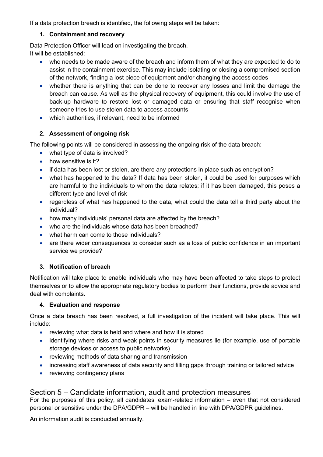If a data protection breach is identified, the following steps will be taken:

# **1. Containment and recovery**

Data Protection Officer will lead on investigating the breach. It will be established:

- who needs to be made aware of the breach and inform them of what they are expected to do to assist in the containment exercise. This may include isolating or closing a compromised section of the network, finding a lost piece of equipment and/or changing the access codes
- whether there is anything that can be done to recover any losses and limit the damage the breach can cause. As well as the physical recovery of equipment, this could involve the use of back-up hardware to restore lost or damaged data or ensuring that staff recognise when someone tries to use stolen data to access accounts
- which authorities, if relevant, need to be informed

# **2. Assessment of ongoing risk**

The following points will be considered in assessing the ongoing risk of the data breach:

- what type of data is involved?
- how sensitive is it?
- if data has been lost or stolen, are there any protections in place such as encryption?
- what has happened to the data? If data has been stolen, it could be used for purposes which are harmful to the individuals to whom the data relates; if it has been damaged, this poses a different type and level of risk
- regardless of what has happened to the data, what could the data tell a third party about the individual?
- how many individuals' personal data are affected by the breach?
- who are the individuals whose data has been breached?
- what harm can come to those individuals?
- are there wider consequences to consider such as a loss of public confidence in an important service we provide?

# **3. Notification of breach**

Notification will take place to enable individuals who may have been affected to take steps to protect themselves or to allow the appropriate regulatory bodies to perform their functions, provide advice and deal with complaints.

# **4. Evaluation and response**

Once a data breach has been resolved, a full investigation of the incident will take place. This will include:

- reviewing what data is held and where and how it is stored
- identifying where risks and weak points in security measures lie (for example, use of portable storage devices or access to public networks)
- reviewing methods of data sharing and transmission
- increasing staff awareness of data security and filling gaps through training or tailored advice
- reviewing contingency plans

# Section 5 – Candidate information, audit and protection measures

For the purposes of this policy, all candidates' exam-related information – even that not considered personal or sensitive under the DPA/GDPR – will be handled in line with DPA/GDPR guidelines.

An information audit is conducted annually.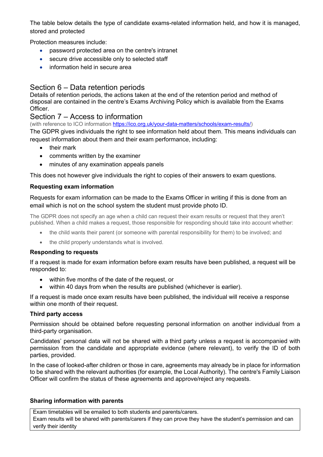The table below details the type of candidate exams-related information held, and how it is managed, stored and protected

Protection measures include:

- password protected area on the centre's intranet
- secure drive accessible only to selected staff
- information held in secure area

# Section 6 – Data retention periods

Details of retention periods, the actions taken at the end of the retention period and method of disposal are contained in the centre's Exams Archiving Policy which is available from the Exams **Officer** 

# Section 7 – Access to information

(with reference to ICO information https://ico.org.uk/your-data-matters/schools/exam-results/)

The GDPR gives individuals the right to see information held about them. This means individuals can request information about them and their exam performance, including:

- their mark
- comments written by the examiner
- minutes of any examination appeals panels

This does not however give individuals the right to copies of their answers to exam questions.

# **Requesting exam information**

Requests for exam information can be made to the Exams Officer in writing if this is done from an email which is not on the school system the student must provide photo ID.

The GDPR does not specify an age when a child can request their exam results or request that they aren't published. When a child makes a request, those responsible for responding should take into account whether:

- the child wants their parent (or someone with parental responsibility for them) to be involved; and
- the child properly understands what is involved.

#### **Responding to requests**

If a request is made for exam information before exam results have been published, a request will be responded to:

- within five months of the date of the request, or
- within 40 days from when the results are published (whichever is earlier).

If a request is made once exam results have been published, the individual will receive a response within one month of their request.

#### **Third party access**

Permission should be obtained before requesting personal information on another individual from a third-party organisation.

Candidates' personal data will not be shared with a third party unless a request is accompanied with permission from the candidate and appropriate evidence (where relevant), to verify the ID of both parties, provided.

In the case of looked-after children or those in care, agreements may already be in place for information to be shared with the relevant authorities (for example, the Local Authority). The centre's Family Liaison Officer will confirm the status of these agreements and approve/reject any requests.

#### **Sharing information with parents**

Exam timetables will be emailed to both students and parents/carers.

Exam results will be shared with parents/carers if they can prove they have the student's permission and can verify their identity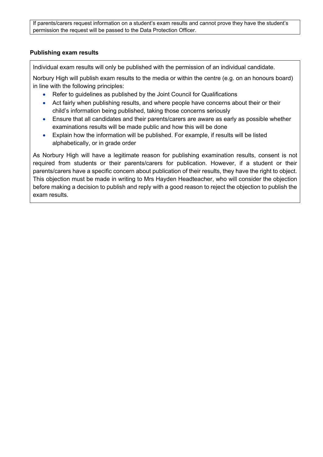If parents/carers request information on a student's exam results and cannot prove they have the student's permission the request will be passed to the Data Protection Officer.

#### **Publishing exam results**

Individual exam results will only be published with the permission of an individual candidate.

Norbury High will publish exam results to the media or within the centre (e.g. on an honours board) in line with the following principles:

- Refer to guidelines as published by the Joint Council for Qualifications
- Act fairly when publishing results, and where people have concerns about their or their child's information being published, taking those concerns seriously
- Ensure that all candidates and their parents/carers are aware as early as possible whether examinations results will be made public and how this will be done
- Explain how the information will be published. For example, if results will be listed alphabetically, or in grade order

As Norbury High will have a legitimate reason for publishing examination results, consent is not required from students or their parents/carers for publication. However, if a student or their parents/carers have a specific concern about publication of their results, they have the right to object. This objection must be made in writing to Mrs Hayden Headteacher, who will consider the objection before making a decision to publish and reply with a good reason to reject the objection to publish the exam results.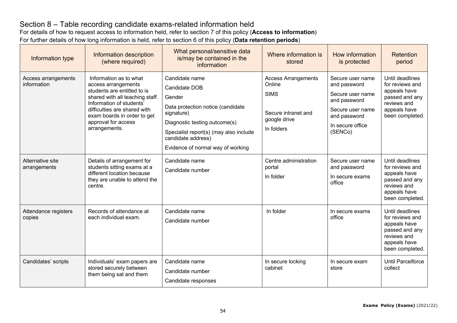# Section 8 – Table recording candidate exams-related information held

For details of how to request access to information held, refer to section 7 of this policy (**Access to information**)

For further details of how long information is held, refer to section 6 of this policy (**Data retention periods**)

| Information type                   | Information description<br>(where required)                                                                                                                                                                                                        | What personal/sensitive data<br>is/may be contained in the<br>information                                                                                                                                                          | Where information is<br>stored                                                                           | How information<br>is protected                                                                                                         | Retention<br>period                                                                                                    |
|------------------------------------|----------------------------------------------------------------------------------------------------------------------------------------------------------------------------------------------------------------------------------------------------|------------------------------------------------------------------------------------------------------------------------------------------------------------------------------------------------------------------------------------|----------------------------------------------------------------------------------------------------------|-----------------------------------------------------------------------------------------------------------------------------------------|------------------------------------------------------------------------------------------------------------------------|
| Access arrangements<br>information | Information as to what<br>access arrangements<br>students are entitled to is<br>shared with all teaching staff.<br>Information of students'<br>difficulties are shared with<br>exam boards in order to get<br>approval for access<br>arrangements. | Candidate name<br>Candidate DOB<br>Gender<br>Data protection notice (candidate<br>signature)<br>Diagnostic testing outcome(s)<br>Specialist report(s) (may also include<br>candidate address)<br>Evidence of normal way of working | <b>Access Arrangements</b><br>Online<br><b>SIMS</b><br>Secure intranet and<br>google drive<br>In folders | Secure user name<br>and password<br>Secure user name<br>and password<br>Secure user name<br>and password<br>In secure office<br>(SENCo) | Until deadlines<br>for reviews and<br>appeals have<br>passed and any<br>reviews and<br>appeals have<br>been completed. |
| Alternative site<br>arrangements   | Details of arrangement for<br>students sitting exams at a<br>different location because<br>they are unable to attend the<br>centre.                                                                                                                | Candidate name<br>Candidate number                                                                                                                                                                                                 | Centre administration<br>portal<br>In folder                                                             | Secure user name<br>and password<br>In secure exams<br>office                                                                           | Until deadlines<br>for reviews and<br>appeals have<br>passed and any<br>reviews and<br>appeals have<br>been completed. |
| Attendance registers<br>copies     | Records of attendance at<br>each individual exam.                                                                                                                                                                                                  | Candidate name<br>Candidate number                                                                                                                                                                                                 | In folder                                                                                                | In secure exams<br>office                                                                                                               | Until deadlines<br>for reviews and<br>appeals have<br>passed and any<br>reviews and<br>appeals have<br>been completed. |
| Candidates' scripts                | Individuals' exam papers are<br>stored securely between<br>them being sat and them                                                                                                                                                                 | Candidate name<br>Candidate number<br>Candidate responses                                                                                                                                                                          | In secure locking<br>cabinet                                                                             | In secure exam<br>store                                                                                                                 | <b>Until Parcelforce</b><br>collect                                                                                    |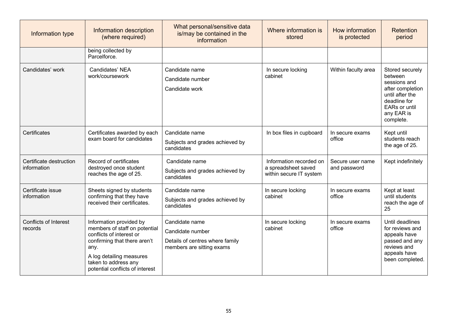| Information type                        | Information description<br>(where required)                                                                                                                                                                         | What personal/sensitive data<br>is/may be contained in the<br>information                          | Where information is<br>stored                                            | How information<br>is protected  | <b>Retention</b><br>period                                                                                                                           |
|-----------------------------------------|---------------------------------------------------------------------------------------------------------------------------------------------------------------------------------------------------------------------|----------------------------------------------------------------------------------------------------|---------------------------------------------------------------------------|----------------------------------|------------------------------------------------------------------------------------------------------------------------------------------------------|
|                                         | being collected by<br>Parcelforce.                                                                                                                                                                                  |                                                                                                    |                                                                           |                                  |                                                                                                                                                      |
| Candidates' work                        | Candidates' NEA<br>work/coursework                                                                                                                                                                                  | Candidate name<br>Candidate number<br>Candidate work                                               | In secure locking<br>cabinet                                              | Within faculty area              | Stored securely<br>between<br>sessions and<br>after completion<br>until after the<br>deadline for<br><b>EARs or until</b><br>any EAR is<br>complete. |
| Certificates                            | Certificates awarded by each<br>exam board for candidates                                                                                                                                                           | Candidate name<br>Subjects and grades achieved by<br>candidates                                    | In box files in cupboard                                                  | In secure exams<br>office        | Kept until<br>students reach<br>the age of 25.                                                                                                       |
| Certificate destruction<br>information  | Record of certificates<br>destroyed once student<br>reaches the age of 25.                                                                                                                                          | Candidate name<br>Subjects and grades achieved by<br>candidates                                    | Information recorded on<br>a spreadsheet saved<br>within secure IT system | Secure user name<br>and password | Kept indefinitely                                                                                                                                    |
| Certificate issue<br>information        | Sheets signed by students<br>confirming that they have<br>received their certificates.                                                                                                                              | Candidate name<br>Subjects and grades achieved by<br>candidates                                    | In secure locking<br>cabinet                                              | In secure exams<br>office        | Kept at least<br>until students<br>reach the age of<br>25                                                                                            |
| <b>Conflicts of Interest</b><br>records | Information provided by<br>members of staff on potential<br>conflicts of interest or<br>confirming that there aren't<br>any.<br>A log detailing measures<br>taken to address any<br>potential conflicts of interest | Candidate name<br>Candidate number<br>Details of centres where family<br>members are sitting exams | In secure locking<br>cabinet                                              | In secure exams<br>office        | Until deadlines<br>for reviews and<br>appeals have<br>passed and any<br>reviews and<br>appeals have<br>been completed.                               |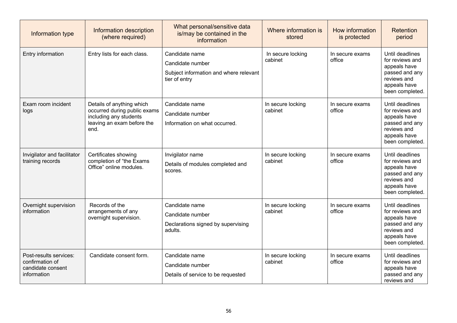| Information type                                                              | Information description<br>(where required)                                                                               | What personal/sensitive data<br>is/may be contained in the<br>information                     | Where information is<br>stored | How information<br>is protected | Retention<br>period                                                                                                    |
|-------------------------------------------------------------------------------|---------------------------------------------------------------------------------------------------------------------------|-----------------------------------------------------------------------------------------------|--------------------------------|---------------------------------|------------------------------------------------------------------------------------------------------------------------|
| Entry information                                                             | Entry lists for each class.                                                                                               | Candidate name<br>Candidate number<br>Subject information and where relevant<br>tier of entry | In secure locking<br>cabinet   | In secure exams<br>office       | Until deadlines<br>for reviews and<br>appeals have<br>passed and any<br>reviews and<br>appeals have<br>been completed. |
| Exam room incident<br>logs                                                    | Details of anything which<br>occurred during public exams<br>including any students<br>leaving an exam before the<br>end. | Candidate name<br>Candidate number<br>Information on what occurred.                           | In secure locking<br>cabinet   | In secure exams<br>office       | Until deadlines<br>for reviews and<br>appeals have<br>passed and any<br>reviews and<br>appeals have<br>been completed. |
| Invigilator and facilitator<br>training records                               | Certificates showing<br>completion of "the Exams<br>Office" online modules.                                               | Invigilator name<br>Details of modules completed and<br>scores.                               | In secure locking<br>cabinet   | In secure exams<br>office       | Until deadlines<br>for reviews and<br>appeals have<br>passed and any<br>reviews and<br>appeals have<br>been completed. |
| Overnight supervision<br>information                                          | Records of the<br>arrangements of any<br>overnight supervision.                                                           | Candidate name<br>Candidate number<br>Declarations signed by supervising<br>adults.           | In secure locking<br>cabinet   | In secure exams<br>office       | Until deadlines<br>for reviews and<br>appeals have<br>passed and any<br>reviews and<br>appeals have<br>been completed. |
| Post-results services:<br>confirmation of<br>candidate consent<br>information | Candidate consent form.                                                                                                   | Candidate name<br>Candidate number<br>Details of service to be requested                      | In secure locking<br>cabinet   | In secure exams<br>office       | Until deadlines<br>for reviews and<br>appeals have<br>passed and any<br>reviews and                                    |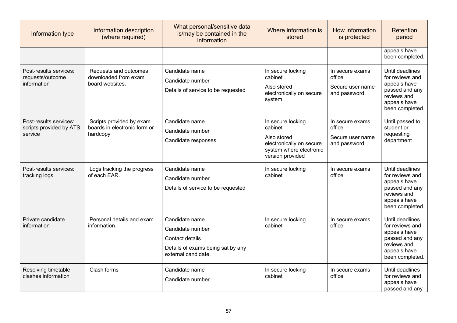| Information type                                             | Information description<br>(where required)                          | What personal/sensitive data<br>is/may be contained in the<br>information                                         | Where information is<br>stored                                                                                         | How information<br>is protected                               | Retention<br>period                                                                                                    |
|--------------------------------------------------------------|----------------------------------------------------------------------|-------------------------------------------------------------------------------------------------------------------|------------------------------------------------------------------------------------------------------------------------|---------------------------------------------------------------|------------------------------------------------------------------------------------------------------------------------|
|                                                              |                                                                      |                                                                                                                   |                                                                                                                        |                                                               | appeals have<br>been completed.                                                                                        |
| Post-results services:<br>requests/outcome<br>information    | Requests and outcomes<br>downloaded from exam<br>board websites.     | Candidate name<br>Candidate number<br>Details of service to be requested                                          | In secure locking<br>cabinet<br>Also stored<br>electronically on secure<br>system                                      | In secure exams<br>office<br>Secure user name<br>and password | Until deadlines<br>for reviews and<br>appeals have<br>passed and any<br>reviews and<br>appeals have<br>been completed. |
| Post-results services:<br>scripts provided by ATS<br>service | Scripts provided by exam<br>boards in electronic form or<br>hardcopy | Candidate name<br>Candidate number<br>Candidate responses                                                         | In secure locking<br>cabinet<br>Also stored<br>electronically on secure<br>system where electronic<br>version provided | In secure exams<br>office<br>Secure user name<br>and password | Until passed to<br>student or<br>requesting<br>department                                                              |
| Post-results services:<br>tracking logs                      | Logs tracking the progress<br>of each EAR.                           | Candidate name<br>Candidate number<br>Details of service to be requested                                          | In secure locking<br>cabinet                                                                                           | In secure exams<br>office                                     | Until deadlines<br>for reviews and<br>appeals have<br>passed and any<br>reviews and<br>appeals have<br>been completed. |
| Private candidate<br>information                             | Personal details and exam<br>information.                            | Candidate name<br>Candidate number<br>Contact details<br>Details of exams being sat by any<br>external candidate. | In secure locking<br>cabinet                                                                                           | In secure exams<br>office                                     | Until deadlines<br>for reviews and<br>appeals have<br>passed and any<br>reviews and<br>appeals have<br>been completed. |
| Resolving timetable<br>clashes information                   | Clash forms                                                          | Candidate name<br>Candidate number                                                                                | In secure locking<br>cabinet                                                                                           | In secure exams<br>office                                     | Until deadlines<br>for reviews and<br>appeals have<br>passed and any                                                   |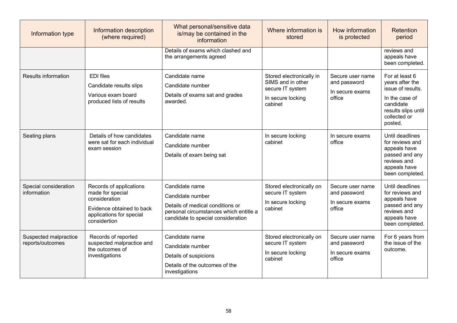| Information type                          | Information description<br>(where required)                                                                                           | What personal/sensitive data<br>is/may be contained in the<br>information                                                                              | Where information is<br>stored                                                                    | How information<br>is protected                               | <b>Retention</b><br>period                                                                                                              |
|-------------------------------------------|---------------------------------------------------------------------------------------------------------------------------------------|--------------------------------------------------------------------------------------------------------------------------------------------------------|---------------------------------------------------------------------------------------------------|---------------------------------------------------------------|-----------------------------------------------------------------------------------------------------------------------------------------|
|                                           |                                                                                                                                       | Details of exams which clashed and<br>the arrangements agreed                                                                                          |                                                                                                   |                                                               | reviews and<br>appeals have<br>been completed.                                                                                          |
| <b>Results information</b>                | <b>EDI</b> files<br>Candidate results slips<br>Various exam board<br>produced lists of results                                        | Candidate name<br>Candidate number<br>Details of exams sat and grades<br>awarded.                                                                      | Stored electronically in<br>SIMS and in other<br>secure IT system<br>In secure locking<br>cabinet | Secure user name<br>and password<br>In secure exams<br>office | For at least 6<br>years after the<br>issue of results.<br>In the case of<br>candidate<br>results slips until<br>collected or<br>posted. |
| Seating plans                             | Details of how candidates<br>were sat for each individual<br>exam session                                                             | Candidate name<br>Candidate number<br>Details of exam being sat                                                                                        | In secure locking<br>cabinet                                                                      | In secure exams<br>office                                     | Until deadlines<br>for reviews and<br>appeals have<br>passed and any<br>reviews and<br>appeals have<br>been completed.                  |
| Special consideration<br>information      | Records of applications<br>made for special<br>consideration<br>Evidence obtained to back<br>applications for special<br>considertion | Candidate name<br>Candidate number<br>Details of medical conditions or<br>personal circumstances which entitle a<br>candidate to special consideration | Stored electronically on<br>secure IT system<br>In secure locking<br>cabinet                      | Secure user name<br>and password<br>In secure exams<br>office | Until deadlines<br>for reviews and<br>appeals have<br>passed and any<br>reviews and<br>appeals have<br>been completed.                  |
| Suspected malpractice<br>reports/outcomes | Records of reported<br>suspected malpractice and<br>the outcomes of<br>investigations                                                 | Candidate name<br>Candidate number<br>Details of suspicions<br>Details of the outcomes of the<br>investigations                                        | Stored electronically on<br>secure IT system<br>In secure locking<br>cabinet                      | Secure user name<br>and password<br>In secure exams<br>office | For 6 years from<br>the issue of the<br>outcome.                                                                                        |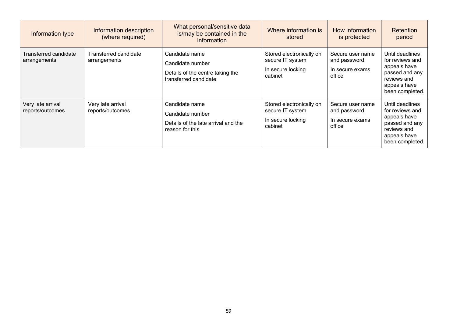| Information type                      | Information description<br>(where required) | What personal/sensitive data<br>is/may be contained in the<br>information                       | Where information is<br>stored                                               | How information<br>is protected                               | <b>Retention</b><br>period                                                                                             |
|---------------------------------------|---------------------------------------------|-------------------------------------------------------------------------------------------------|------------------------------------------------------------------------------|---------------------------------------------------------------|------------------------------------------------------------------------------------------------------------------------|
| Transferred candidate<br>arrangements | Transferred candidate<br>arrangements       | Candidate name<br>Candidate number<br>Details of the centre taking the<br>transferred candidate | Stored electronically on<br>secure IT system<br>In secure locking<br>cabinet | Secure user name<br>and password<br>In secure exams<br>office | Until deadlines<br>for reviews and<br>appeals have<br>passed and any<br>reviews and<br>appeals have<br>been completed. |
| Very late arrival<br>reports/outcomes | Very late arrival<br>reports/outcomes       | Candidate name<br>Candidate number<br>Details of the late arrival and the<br>reason for this    | Stored electronically on<br>secure IT system<br>In secure locking<br>cabinet | Secure user name<br>and password<br>In secure exams<br>office | Until deadlines<br>for reviews and<br>appeals have<br>passed and any<br>reviews and<br>appeals have<br>been completed. |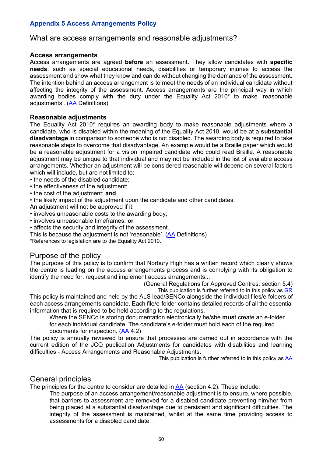# **Appendix 5 Access Arrangements Policy**

### What are access arrangements and reasonable adjustments?

#### **Access arrangements**

Access arrangements are agreed **before** an assessment. They allow candidates with **specific needs**, such as special educational needs, disabilities or temporary injuries to access the assessment and show what they know and can do without changing the demands of the assessment. The intention behind an access arrangement is to meet the needs of an individual candidate without affecting the integrity of the assessment. Access arrangements are the principal way in which awarding bodies comply with the duty under the Equality Act 2010\* to make 'reasonable adjustments'. (AA Definitions)

#### **Reasonable adjustments**

The Equality Act 2010\* requires an awarding body to make reasonable adjustments where a candidate, who is disabled within the meaning of the Equality Act 2010, would be at a **substantial disadvantage** in comparison to someone who is not disabled. The awarding body is required to take reasonable steps to overcome that disadvantage. An example would be a Braille paper which would be a reasonable adjustment for a vision impaired candidate who could read Braille. A reasonable adjustment may be unique to that individual and may not be included in the list of available access arrangements. Whether an adjustment will be considered reasonable will depend on several factors which will include, but are not limited to:

- the needs of the disabled candidate;
- the effectiveness of the adjustment;
- the cost of the adjustment; **and**
- the likely impact of the adjustment upon the candidate and other candidates.
- An adjustment will not be approved if it:
- involves unreasonable costs to the awarding body;
- involves unreasonable timeframes; **or**
- affects the security and integrity of the assessment.

This is because the adjustment is not 'reasonable'. (AA Definitions)

\*References to legislation are to the Equality Act 2010.

# Purpose of the policy

The purpose of this policy is to confirm that Norbury High has a written record which clearly shows the centre is leading on the access arrangements process and is complying with its obligation to identify the need for, request and implement access arrangements...

(General Regulations for Approved Centres, section 5.4)

This publication is further referred to in this policy as GR This policy is maintained and held by the ALS lead/SENCo alongside the individual files/e-folders of each access arrangements candidate. Each file/e-folder contains detailed records of all the essential information that is required to be held according to the regulations.

Where the SENCo is storing documentation electronically he/she **mus**t create an e-folder for each individual candidate. The candidate's e-folder must hold each of the required documents for inspection. (AA 4.2)

The policy is annually reviewed to ensure that processes are carried out in accordance with the current edition of the JCQ publication Adjustments for candidates with disabilities and learning difficulties - Access Arrangements and Reasonable Adjustments.

This publication is further referred to in this policy as AA

# General principles

The principles for the centre to consider are detailed in AA (section 4.2). These include:

The purpose of an access arrangement/reasonable adjustment is to ensure, where possible, that barriers to assessment are removed for a disabled candidate preventing him/her from being placed at a substantial disadvantage due to persistent and significant difficulties. The integrity of the assessment is maintained, whilst at the same time providing access to assessments for a disabled candidate.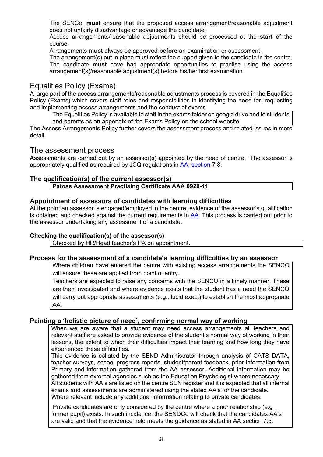The SENCo, **must** ensure that the proposed access arrangement/reasonable adjustment does not unfairly disadvantage or advantage the candidate.

Access arrangements/reasonable adjustments should be processed at the **start** of the course.

Arrangements **must** always be approved **before** an examination or assessment.

The arrangement(s) put in place must reflect the support given to the candidate in the centre. The candidate **must** have had appropriate opportunities to practise using the access arrangement(s)/reasonable adjustment(s) before his/her first examination.

# Equalities Policy (Exams)

A large part of the access arrangements/reasonable adjustments process is covered in the Equalities Policy (Exams) which covers staff roles and responsibilities in identifying the need for, requesting and implementing access arrangements and the conduct of exams.

The Equalities Policy is available to staff in the exams folder on google drive and to students and parents as an appendix of the Exams Policy on the school website.

The Access Arrangements Policy further covers the assessment process and related issues in more detail.

# The assessment process

Assessments are carried out by an assessor(s) appointed by the head of centre. The assessor is appropriately qualified as required by JCQ regulations in AA, section 7.3.

# **The qualification(s) of the current assessor(s)**

**Patoss Assessment Practising Certificate AAA 0920-11** 

# **Appointment of assessors of candidates with learning difficulties**

At the point an assessor is engaged/employed in the centre, evidence of the assessor's qualification is obtained and checked against the current requirements in AA. This process is carried out prior to the assessor undertaking any assessment of a candidate.

#### **Checking the qualification(s) of the assessor(s)**

Checked by HR/Head teacher's PA on appointment.

#### **Process for the assessment of a candidate's learning difficulties by an assessor**

Where children have entered the centre with existing access arrangements the SENCO will ensure these are applied from point of entry.

Teachers are expected to raise any concerns with the SENCO in a timely manner. These are then investigated and where evidence exists that the student has a need the SENCO will carry out appropriate assessments (e.g., lucid exact) to establish the most appropriate AA.

# **Painting a 'holistic picture of need', confirming normal way of working**

When we are aware that a student may need access arrangements all teachers and relevant staff are asked to provide evidence of the student's normal way of working in their lessons, the extent to which their difficulties impact their learning and how long they have experienced these difficulties.

This evidence is collated by the SEND Administrator through analysis of CATS DATA, teacher surveys, school progress reports, student/parent feedback, prior information from Primary and information gathered from the AA assessor. Additional information may be gathered from external agencies such as the Education Psychologist where necessary. All students with AA's are listed on the centre SEN register and it is expected that all internal exams and assessments are administered using the stated AA's for the candidate. Where relevant include any additional information relating to private candidates.

Private candidates are only considered by the centre where a prior relationship (e.g former pupil) exists. In such incidence, the SENDCo will check that the candidates AA's are valid and that the evidence held meets the guidance as stated in AA section 7.5.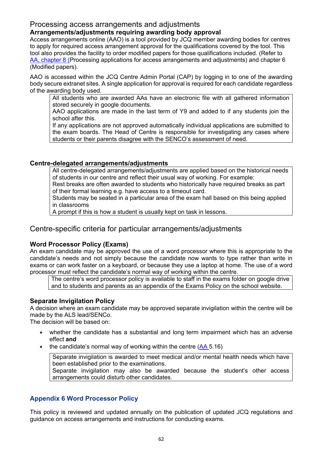# Processing access arrangements and adjustments

# **Arrangements/adjustments requiring awarding body approval**

Access arrangements online (AAO) is a tool provided by JCQ member awarding bodies for centres to apply for required access arrangement approval for the qualifications covered by the tool. This tool also provides the facility to order modified papers for those qualifications included. (Refer to AA, chapter 8 (Processing applications for access arrangements and adjustments) and chapter 6 (Modified papers).

AAO is accessed within the JCQ Centre Admin Portal (CAP) by logging in to one of the awarding body secure extranet sites. A single application for approval is required for each candidate regardless of the awarding body used.

All students who are awarded AAs have an electronic file with all gathered information stored securely in google documents.

AAO applications are made in the last term of Y9 and added to if any students join the school after this.

If any applications are not approved automatically individual applications are submitted to the exam boards. The Head of Centre is responsible for investigating any cases where students or their parents disagree with the SENCO's assessment of need.

# **Centre-delegated arrangements/adjustments**

All centre-delegated arrangements/adjustments are applied based on the historical needs of students in our centre and reflect their usual way of working. For example:

Rest breaks are often awarded to students who historically have required breaks as part of their formal learning e.g. have access to a timeout card.

Students may be seated in a particular area of the exam hall based on this being applied in classrooms

A prompt if this is how a student is usually kept on task in lessons.

# Centre-specific criteria for particular arrangements/adjustments

# **Word Processor Policy (Exams)**

An exam candidate may be approved the use of a word processor where this is appropriate to the candidate's needs and not simply because the candidate now wants to type rather than write in exams or can work faster on a keyboard, or because they use a laptop at home. The use of a word processor must reflect the candidate's normal way of working within the centre.

The centre's word processor policy is available to staff in the exams folder on google drive and to students and parents as an appendix of the Exams Policy on the school website.

# **Separate Invigilation Policy**

A decision where an exam candidate may be approved separate invigilation within the centre will be made by the ALS lead/SENCo.

The decision will be based on:

- whether the candidate has a substantial and long term impairment which has an adverse effect **and**
- the candidate's normal way of working within the centre  $(AA 5.16)$

Separate invigilation is awarded to meet medical and/or mental health needs which have been established prior to the examinations.

Separate invigilation may also be awarded because the student's other access arrangements could disturb other candidates.

# **Appendix 6 Word Processor Policy**

This policy is reviewed and updated annually on the publication of updated JCQ regulations and guidance on access arrangements and instructions for conducting exams.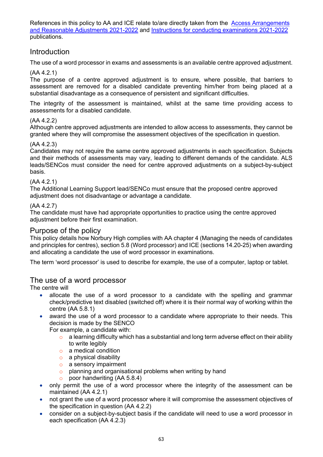References in this policy to AA and ICE relate to/are directly taken from the Access Arrangements and Reasonable Adjustments 2021-2022 and Instructions for conducting examinations 2021-2022 publications.

# Introduction

The use of a word processor in exams and assessments is an available centre approved adjustment.

#### (AA 4.2.1)

The purpose of a centre approved adjustment is to ensure, where possible, that barriers to assessment are removed for a disabled candidate preventing him/her from being placed at a substantial disadvantage as a consequence of persistent and significant difficulties.

The integrity of the assessment is maintained, whilst at the same time providing access to assessments for a disabled candidate.

#### (AA 4.2.2)

Although centre approved adjustments are intended to allow access to assessments, they cannot be granted where they will compromise the assessment objectives of the specification in question.

#### (AA 4.2.3)

Candidates may not require the same centre approved adjustments in each specification. Subjects and their methods of assessments may vary, leading to different demands of the candidate. ALS leads/SENCos must consider the need for centre approved adjustments on a subject-by-subject basis.

#### (AA 4.2.1)

The Additional Learning Support lead/SENCo must ensure that the proposed centre approved adjustment does not disadvantage or advantage a candidate.

#### (AA 4.2.7)

The candidate must have had appropriate opportunities to practice using the centre approved adjustment before their first examination.

### Purpose of the policy

This policy details how Norbury High complies with AA chapter 4 (Managing the needs of candidates and principles for centres), section 5.8 (Word processor) and ICE (sections 14.20-25) when awarding and allocating a candidate the use of word processor in examinations.

The term 'word processor' is used to describe for example, the use of a computer, laptop or tablet.

# The use of a word processor

The centre will

- allocate the use of a word processor to a candidate with the spelling and grammar check/predictive text disabled (switched off) where it is their normal way of working within the centre (AA 5.8.1)
- award the use of a word processor to a candidate where appropriate to their needs. This decision is made by the SENCO
	- For example, a candidate with:
		- $\circ$  a learning difficulty which has a substantial and long term adverse effect on their ability to write legibly
		- o a medical condition
		- $\circ$  a physical disability
		- o a sensory impairment
		- o planning and organisational problems when writing by hand
		- o poor handwriting (AA 5.8.4)
- only permit the use of a word processor where the integrity of the assessment can be maintained (AA 4.2.1)
- not grant the use of a word processor where it will compromise the assessment objectives of the specification in question (AA 4.2.2)
- consider on a subject-by-subject basis if the candidate will need to use a word processor in each specification (AA 4.2.3)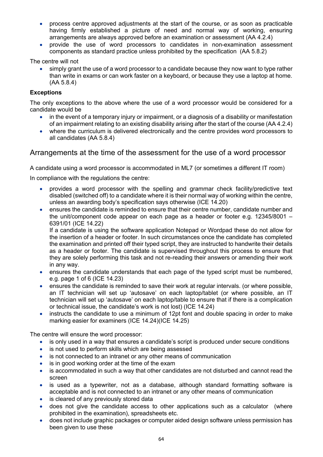- process centre approved adjustments at the start of the course, or as soon as practicable having firmly established a picture of need and normal way of working, ensuring arrangements are always approved before an examination or assessment (AA 4.2.4)
- provide the use of word processors to candidates in non-examination assessment components as standard practice unless prohibited by the specification (AA 5.8.2)

The centre will not

• simply grant the use of a word processor to a candidate because they now want to type rather than write in exams or can work faster on a keyboard, or because they use a laptop at home. (AA 5.8.4)

### **Exceptions**

The only exceptions to the above where the use of a word processor would be considered for a candidate would be

- in the event of a temporary injury or impairment, or a diagnosis of a disability or manifestation of an impairment relating to an existing disability arising after the start of the course (AA 4.2.4)
- where the curriculum is delivered electronically and the centre provides word processors to all candidates (AA 5.8.4)

# Arrangements at the time of the assessment for the use of a word processor

A candidate using a word processor is accommodated in ML7 (or sometimes a different IT room)

In compliance with the regulations the centre:

- provides a word processor with the spelling and grammar check facility/predictive text disabled (switched off) to a candidate where it is their normal way of working within the centre, unless an awarding body's specification says otherwise (ICE 14.20)
- ensures the candidate is reminded to ensure that their centre number, candidate number and the unit/component code appear on each page as a header or footer e.g. 12345/8001 – 6391/01 (ICE 14.22)

If a candidate is using the software application Notepad or Wordpad these do not allow for the insertion of a header or footer. In such circumstances once the candidate has completed the examination and printed off their typed script, they are instructed to handwrite their details as a header or footer. The candidate is supervised throughout this process to ensure that they are solely performing this task and not re-reading their answers or amending their work in any way.

- ensures the candidate understands that each page of the typed script must be numbered, e.g. page 1 of 6 (ICE 14.23)
- ensures the candidate is reminded to save their work at regular intervals. (or where possible, an IT technician will set up 'autosave' on each laptop/tablet (or where possible, an IT technician will set up 'autosave' on each laptop/table to ensure that if there is a complication or technical issue, the candidate's work is not lost) (ICE 14.24)
- instructs the candidate to use a minimum of 12pt font and double spacing in order to make marking easier for examiners (ICE 14.24)(ICE 14.25)

The centre will ensure the word processor:

- is only used in a way that ensures a candidate's script is produced under secure conditions
- is not used to perform skills which are being assessed
- is not connected to an intranet or any other means of communication
- is in good working order at the time of the exam
- is accommodated in such a way that other candidates are not disturbed and cannot read the screen
- is used as a typewriter, not as a database, although standard formatting software is acceptable and is not connected to an intranet or any other means of communication
- is cleared of any previously stored data
- does not give the candidate access to other applications such as a calculator (where prohibited in the examination), spreadsheets etc.
- does not include graphic packages or computer aided design software unless permission has been given to use these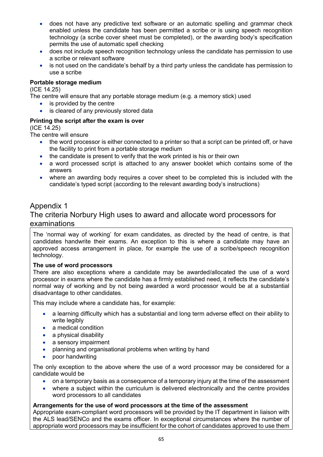- does not have any predictive text software or an automatic spelling and grammar check enabled unless the candidate has been permitted a scribe or is using speech recognition technology (a scribe cover sheet must be completed), or the awarding body's specification permits the use of automatic spell checking
- does not include speech recognition technology unless the candidate has permission to use a scribe or relevant software
- is not used on the candidate's behalf by a third party unless the candidate has permission to use a scribe

### **Portable storage medium**

(ICE 14.25)

The centre will ensure that any portable storage medium (e.g. a memory stick) used

- is provided by the centre
- is cleared of any previously stored data

### **Printing the script after the exam is over**

(ICE 14.25)

The centre will ensure

- the word processor is either connected to a printer so that a script can be printed off, or have the facility to print from a portable storage medium
- the candidate is present to verify that the work printed is his or their own
- a word processed script is attached to any answer booklet which contains some of the answers
- where an awarding body requires a cover sheet to be completed this is included with the candidate's typed script (according to the relevant awarding body's instructions)

# Appendix 1

# The criteria Norbury High uses to award and allocate word processors for examinations

The 'normal way of working' for exam candidates, as directed by the head of centre, is that candidates handwrite their exams. An exception to this is where a candidate may have an approved access arrangement in place, for example the use of a scribe/speech recognition technology.

#### **The use of word processors**

There are also exceptions where a candidate may be awarded/allocated the use of a word processor in exams where the candidate has a firmly established need, it reflects the candidate's normal way of working and by not being awarded a word processor would be at a substantial disadvantage to other candidates.

This may include where a candidate has, for example:

- a learning difficulty which has a substantial and long term adverse effect on their ability to write legibly
- a medical condition
- a physical disability
- a sensory impairment
- planning and organisational problems when writing by hand
- poor handwriting

The only exception to the above where the use of a word processor may be considered for a candidate would be

- on a temporary basis as a consequence of a temporary injury at the time of the assessment
- where a subject within the curriculum is delivered electronically and the centre provides word processors to all candidates

# **Arrangements for the use of word processors at the time of the assessment**

Appropriate exam-compliant word processors will be provided by the IT department in liaison with the ALS lead/SENCo and the exams officer. In exceptional circumstances where the number of appropriate word processors may be insufficient for the cohort of candidates approved to use them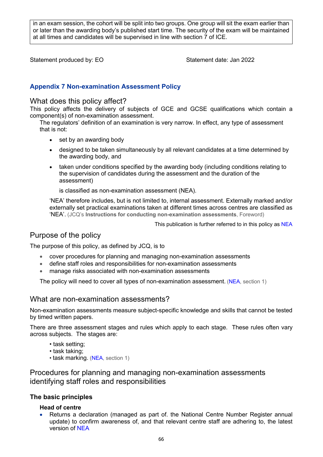in an exam session, the cohort will be split into two groups. One group will sit the exam earlier than or later than the awarding body's published start time. The security of the exam will be maintained at all times and candidates will be supervised in line with section 7 of ICE.

Statement produced by: EO Statement date: Jan 2022

# **Appendix 7 Non-examination Assessment Policy**

# What does this policy affect?

This policy affects the delivery of subjects of GCE and GCSE qualifications which contain a component(s) of non-examination assessment.

The regulators' definition of an examination is very narrow. In effect, any type of assessment that is not:

- set by an awarding body
- designed to be taken simultaneously by all relevant candidates at a time determined by the awarding body, and
- taken under conditions specified by the awarding body (including conditions relating to the supervision of candidates during the assessment and the duration of the assessment)

is classified as non-examination assessment (NEA).

'NEA' therefore includes, but is not limited to, internal assessment. Externally marked and/or externally set practical examinations taken at different times across centres are classified as 'NEA'. (JCQ's **Instructions for conducting non-examination assessments**, Foreword)

This publication is further referred to in this policy as NEA

# Purpose of the policy

The purpose of this policy, as defined by JCQ, is to

- cover procedures for planning and managing non-examination assessments
- define staff roles and responsibilities for non-examination assessments
- manage risks associated with non-examination assessments

The policy will need to cover all types of non-examination assessment. (NEA, section 1)

# What are non-examination assessments?

Non-examination assessments measure subject-specific knowledge and skills that cannot be tested by timed written papers.

There are three assessment stages and rules which apply to each stage. These rules often vary across subjects. The stages are:

- task setting;
- task taking;
- task marking. (NEA, section 1)

Procedures for planning and managing non-examination assessments identifying staff roles and responsibilities

# **The basic principles**

#### **Head of centre**

• Returns a declaration (managed as part of. the National Centre Number Register annual update) to confirm awareness of, and that relevant centre staff are adhering to, the latest version of NEA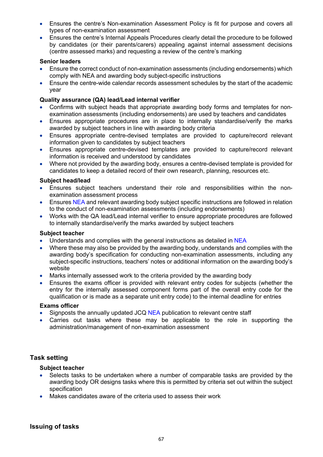- Ensures the centre's Non-examination Assessment Policy is fit for purpose and covers all types of non-examination assessment
- Ensures the centre's Internal Appeals Procedures clearly detail the procedure to be followed by candidates (or their parents/carers) appealing against internal assessment decisions (centre assessed marks) and requesting a review of the centre's marking

#### **Senior leaders**

- Ensure the correct conduct of non-examination assessments (including endorsements) which comply with NEA and awarding body subject-specific instructions
- Ensure the centre-wide calendar records assessment schedules by the start of the academic year

### **Quality assurance (QA) lead/Lead internal verifier**

- Confirms with subject heads that appropriate awarding body forms and templates for nonexamination assessments (including endorsements) are used by teachers and candidates
- Ensures appropriate procedures are in place to internally standardise/verify the marks awarded by subject teachers in line with awarding body criteria
- Ensures appropriate centre-devised templates are provided to capture/record relevant information given to candidates by subject teachers
- Ensures appropriate centre-devised templates are provided to capture/record relevant information is received and understood by candidates
- Where not provided by the awarding body, ensures a centre-devised template is provided for candidates to keep a detailed record of their own research, planning, resources etc.

#### **Subject head/lead**

- Ensures subject teachers understand their role and responsibilities within the nonexamination assessment process
- Ensures NEA and relevant awarding body subject specific instructions are followed in relation to the conduct of non-examination assessments (including endorsements)
- Works with the QA lead/Lead internal verifier to ensure appropriate procedures are followed to internally standardise/verify the marks awarded by subject teachers

#### **Subject teacher**

- Understands and complies with the general instructions as detailed in NEA
- Where these may also be provided by the awarding body, understands and complies with the awarding body's specification for conducting non-examination assessments, including any subject-specific instructions, teachers' notes or additional information on the awarding body's website
- Marks internally assessed work to the criteria provided by the awarding body
- Ensures the exams officer is provided with relevant entry codes for subjects (whether the entry for the internally assessed component forms part of the overall entry code for the qualification or is made as a separate unit entry code) to the internal deadline for entries

#### **Exams officer**

- Signposts the annually updated JCQ NEA publication to relevant centre staff
- Carries out tasks where these may be applicable to the role in supporting the administration/management of non-examination assessment

# **Task setting**

- Selects tasks to be undertaken where a number of comparable tasks are provided by the awarding body OR designs tasks where this is permitted by criteria set out within the subject specification
- Makes candidates aware of the criteria used to assess their work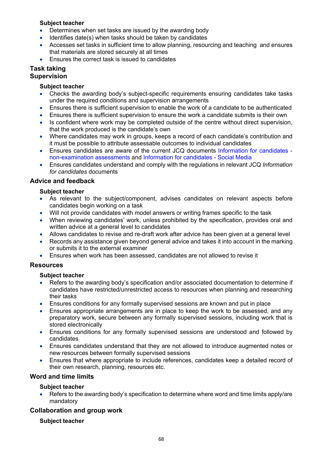### **Subject teacher**

- Determines when set tasks are issued by the awarding body
- Identifies date(s) when tasks should be taken by candidates
- Accesses set tasks in sufficient time to allow planning, resourcing and teaching and ensures that materials are stored securely at all times
- Ensures the correct task is issued to candidates

#### **Task taking Supervision**

### **Subject teacher**

- Checks the awarding body's subject-specific requirements ensuring candidates take tasks under the required conditions and supervision arrangements
- Ensures there is sufficient supervision to enable the work of a candidate to be authenticated
- Ensures there is sufficient supervision to ensure the work a candidate submits is their own
- Is confident where work may be completed outside of the centre without direct supervision, that the work produced is the candidate's own
- Where candidates may work in groups, keeps a record of each candidate's contribution and it must be possible to attribute assessable outcomes to individual candidates
- Ensures candidates are aware of the current JCQ documents Information for candidates non-examination assessments and Information for candidates - Social Media
- Ensures candidates understand and comply with the regulations in relevant JCQ *Information for candidates* documents

# **Advice and feedback**

### **Subject teacher**

- As relevant to the subject/component, advises candidates on relevant aspects before candidates begin working on a task
- Will not provide candidates with model answers or writing frames specific to the task
- When reviewing candidates' work, unless prohibited by the specification, provides oral and written advice at a general level to candidates
- Allows candidates to revise and re-draft work after advice has been given at a general level
- Records any assistance given beyond general advice and takes it into account in the marking or submits it to the external examiner
- Ensures when work has been assessed, candidates are not allowed to revise it

# **Resources**

#### **Subject teacher**

- Refers to the awarding body's specification and/or associated documentation to determine if candidates have restricted/unrestricted access to resources when planning and researching their tasks
- Ensures conditions for any formally supervised sessions are known and put in place
- Ensures appropriate arrangements are in place to keep the work to be assessed, and any preparatory work, secure between any formally supervised sessions, including work that is stored electronically
- Ensures conditions for any formally supervised sessions are understood and followed by candidates
- Ensures candidates understand that they are not allowed to introduce augmented notes or new resources between formally supervised sessions
- Ensures that where appropriate to include references, candidates keep a detailed record of their own research, planning, resources etc.

# **Word and time limits**

# **Subject teacher**

• Refers to the awarding body's specification to determine where word and time limits apply/are mandatory

# **Collaboration and group work**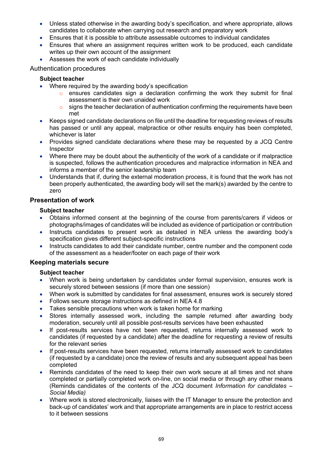- Unless stated otherwise in the awarding body's specification, and where appropriate, allows candidates to collaborate when carrying out research and preparatory work
- Ensures that it is possible to attribute assessable outcomes to individual candidates
- Ensures that where an assignment requires written work to be produced, each candidate writes up their own account of the assignment
- Assesses the work of each candidate individually

#### Authentication procedures

### **Subject teacher**

- Where required by the awarding body's specification
	- $\circ$  ensures candidates sign a declaration confirming the work they submit for final assessment is their own unaided work
	- o signs the teacher declaration of authentication confirming the requirements have been met
- Keeps signed candidate declarations on file until the deadline for requesting reviews of results has passed or until any appeal, malpractice or other results enquiry has been completed, whichever is later
- Provides signed candidate declarations where these may be requested by a JCQ Centre Inspector
- Where there may be doubt about the authenticity of the work of a candidate or if malpractice is suspected, follows the authentication procedures and malpractice information in NEA and informs a member of the senior leadership team
- Understands that if, during the external moderation process, it is found that the work has not been properly authenticated, the awarding body will set the mark(s) awarded by the centre to zero

### **Presentation of work**

### **Subject teacher**

- Obtains informed consent at the beginning of the course from parents/carers if videos or photographs/images of candidates will be included as evidence of participation or contribution
- Instructs candidates to present work as detailed in NEA unless the awarding body's specification gives different subject-specific instructions
- Instructs candidates to add their candidate number, centre number and the component code of the assessment as a header/footer on each page of their work

# **Keeping materials secure**

- When work is being undertaken by candidates under formal supervision, ensures work is securely stored between sessions (if more than one session)
- When work is submitted by candidates for final assessment, ensures work is securely stored
- Follows secure storage instructions as defined in NEA 4.8
- Takes sensible precautions when work is taken home for marking
- Stores internally assessed work, including the sample returned after awarding body moderation, securely until all possible post-results services have been exhausted
- If post-results services have not been requested, returns internally assessed work to candidates (if requested by a candidate) after the deadline for requesting a review of results for the relevant series
- If post-results services have been requested, returns internally assessed work to candidates (if requested by a candidate) once the review of results and any subsequent appeal has been completed
- Reminds candidates of the need to keep their own work secure at all times and not share completed or partially completed work on-line, on social media or through any other means (Reminds candidates of the contents of the JCQ document *Information for candidates – Social Media)*
- Where work is stored electronically, liaises with the IT Manager to ensure the protection and back-up of candidates' work and that appropriate arrangements are in place to restrict access to it between sessions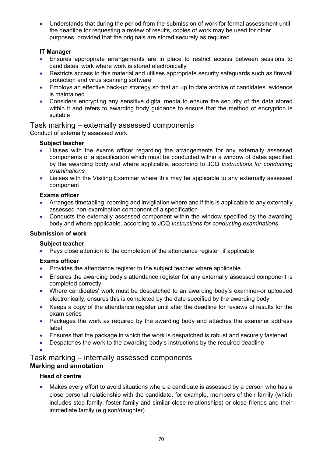• Understands that during the period from the submission of work for formal assessment until the deadline for requesting a review of results, copies of work may be used for other purposes, provided that the originals are stored securely as required

# **IT Manager**

- Ensures appropriate arrangements are in place to restrict access between sessions to candidates' work where work is stored electronically
- Restricts access to this material and utilises appropriate security safequards such as firewall protection and virus scanning software
- Employs an effective back-up strategy so that an up to date archive of candidates' evidence is maintained
- Considers encrypting any sensitive digital media to ensure the security of the data stored within it and refers to awarding body guidance to ensure that the method of encryption is suitable

# Task marking – externally assessed components

Conduct of externally assessed work

### **Subject teacher**

- Liaises with the exams officer regarding the arrangements for any externally assessed components of a specification which must be conducted within a window of dates specified by the awarding body and where applicable, according to JCQ *Instructions for conducting examinations*
- Liaises with the Visiting Examiner where this may be applicable to any externally assessed component

# **Exams officer**

- Arranges timetabling, rooming and invigilation where and if this is applicable to any externally assessed non-examination component of a specification
- Conducts the externally assessed component within the window specified by the awarding body and where applicable, according to JCQ *Instructions for conducting examinations*

#### **Submission of work**

# **Subject teacher**

• Pays close attention to the completion of the attendance register, if applicable

# **Exams officer**

- Provides the attendance register to the subject teacher where applicable
- Ensures the awarding body's attendance register for any externally assessed component is completed correctly
- Where candidates' work must be despatched to an awarding body's examiner-or uploaded electronically, ensures this is completed by the date specified by the awarding body
- Keeps a copy of the attendance register until after the deadline for reviews of results for the exam series
- Packages the work as required by the awarding body and attaches the examiner address label
- Ensures that the package in which the work is despatched is robust and securely fastened
- Despatches the work to the awarding body's instructions by the required deadline
- •

# Task marking – internally assessed components **Marking and annotation**

# **Head of centre**

• Makes every effort to avoid situations where a candidate is assessed by a person who has a close personal relationship with the candidate, for example, members of their family (which includes step-family, foster family and similar close relationships) or close friends and their immediate family (e.g son/daughter)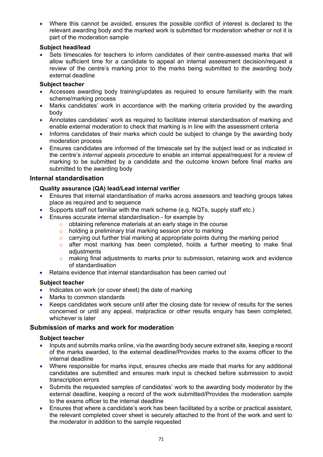• Where this cannot be avoided, ensures the possible conflict of interest is declared to the relevant awarding body and the marked work is submitted for moderation whether or not it is part of the moderation sample

#### **Subject head/lead**

• Sets timescales for teachers to inform candidates of their centre-assessed marks that will allow sufficient time for a candidate to appeal an internal assessment decision/request a review of the centre's marking prior to the marks being submitted to the awarding body external deadline

#### **Subject teacher**

- Accesses awarding body training/updates as required to ensure familiarity with the mark scheme/marking process
- Marks candidates' work in accordance with the marking criteria provided by the awarding body
- Annotates candidates' work as required to facilitate internal standardisation of marking and enable external moderation to check that marking is in line with the assessment criteria
- Informs candidates of their marks which could be subject to change by the awarding body moderation process
- Ensures candidates are informed of the timescale set by the subject lead or as indicated in the centre's *internal appeals procedure* to enable an internal appeal/request for a review of marking to be submitted by a candidate and the outcome known before final marks are submitted to the awarding body

### **Internal standardisation**

### **Quality assurance (QA) lead/Lead internal verifier**

- Ensures that internal standardisation of marks across assessors and teaching groups takes place as required and to sequence
- Supports staff not familiar with the mark scheme (e.g. NQTs, supply staff etc.)
- Ensures accurate internal standardisation for example by
	- obtaining reference materials at an early stage in the course
	- o holding a preliminary trial marking session prior to marking
	- $\circ$  carrying out further trial marking at appropriate points during the marking period
	- o after most marking has been completed, holds a further meeting to make final adjustments
	- o making final adjustments to marks prior to submission, retaining work and evidence of standardisation
- Retains evidence that internal standardisation has been carried out

#### **Subject teacher**

- Indicates on work (or cover sheet) the date of marking
- Marks to common standards
- Keeps candidates work secure until after the closing date for review of results for the series concerned or until any appeal, malpractice or other results enquiry has been completed, whichever is later

# **Submission of marks and work for moderation**

- Inputs and submits marks online, via the awarding body secure extranet site, keeping a record of the marks awarded, to the external deadline/Provides marks to the exams officer to the internal deadline
- Where responsible for marks input, ensures checks are made that marks for any additional candidates are submitted and ensures mark input is checked before submission to avoid transcription errors
- Submits the requested samples of candidates' work to the awarding body moderator by the external deadline, keeping a record of the work submitted/Provides the moderation sample to the exams officer to the internal deadline
- Ensures that where a candidate's work has been facilitated by a scribe or practical assistant, the relevant completed cover sheet is securely attached to the front of the work and sent to the moderator in addition to the sample requested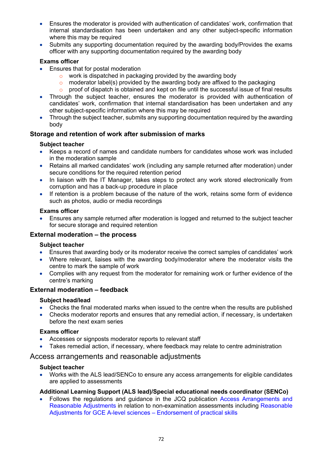- Ensures the moderator is provided with authentication of candidates' work, confirmation that internal standardisation has been undertaken and any other subject-specific information where this may be required
- Submits any supporting documentation required by the awarding body/Provides the exams officer with any supporting documentation required by the awarding body

### **Exams officer**

- Ensures that for postal moderation
	- o work is dispatched in packaging provided by the awarding body
	- $\circ$  moderator label(s) provided by the awarding body are affixed to the packaging
	- $\circ$  proof of dispatch is obtained and kept on file until the successful issue of final results
- Through the subject teacher, ensures the moderator is provided with authentication of candidates' work, confirmation that internal standardisation has been undertaken and any other subject-specific information where this may be required
- Through the subject teacher, submits any supporting documentation required by the awarding body

### **Storage and retention of work after submission of marks**

#### **Subject teacher**

- Keeps a record of names and candidate numbers for candidates whose work was included in the moderation sample
- Retains all marked candidates' work (including any sample returned after moderation) under secure conditions for the required retention period
- In liaison with the IT Manager, takes steps to protect any work stored electronically from corruption and has a back-up procedure in place
- If retention is a problem because of the nature of the work, retains some form of evidence such as photos, audio or media recordings

#### **Exams officer**

• Ensures any sample returned after moderation is logged and returned to the subject teacher for secure storage and required retention

#### **External moderation – the process**

#### **Subject teacher**

- Ensures that awarding body or its moderator receive the correct samples of candidates' work
- Where relevant, liaises with the awarding body/moderator where the moderator visits the centre to mark the sample of work
- Complies with any request from the moderator for remaining work or further evidence of the centre's marking

# **External moderation – feedback**

#### **Subject head/lead**

- Checks the final moderated marks when issued to the centre when the results are published
- Checks moderator reports and ensures that any remedial action, if necessary, is undertaken before the next exam series

#### **Exams officer**

- Accesses or signposts moderator reports to relevant staff
- Takes remedial action, if necessary, where feedback may relate to centre administration

# Access arrangements and reasonable adjustments

#### **Subject teacher**

• Works with the ALS lead/SENCo to ensure any access arrangements for eligible candidates are applied to assessments

#### **Additional Learning Support (ALS lead)/Special educational needs coordinator (SENCo)**

• Follows the regulations and guidance in the JCQ publication Access Arrangements and Reasonable Adjustments in relation to non-examination assessments including Reasonable Adjustments for GCE A-level sciences – Endorsement of practical skills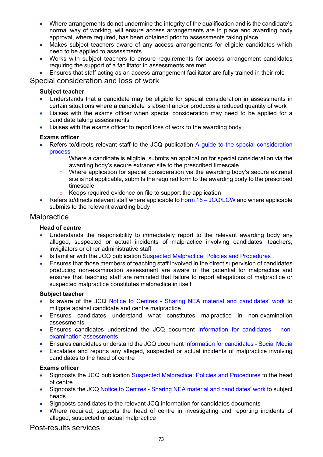- Where arrangements do not undermine the integrity of the qualification and is the candidate's normal way of working, will ensure access arrangements are in place and awarding body approval, where required, has been obtained prior to assessments taking place
- Makes subject teachers aware of any access arrangements for eligible candidates which need to be applied to assessments
- Works with subject teachers to ensure requirements for access arrangement candidates requiring the support of a facilitator in assessments are met
- Ensures that staff acting as an access arrangement facilitator are fully trained in their role

## Special consideration and loss of work

## **Subject teacher**

- Understands that a candidate may be eligible for special consideration in assessments in certain situations where a candidate is absent and/or produces a reduced quantity of work
- Liaises with the exams officer when special consideration may need to be applied for a candidate taking assessments
- Liaises with the exams officer to report loss of work to the awarding body

### **Exams officer**

- Refers to/directs relevant staff to the JCQ publication A guide to the special consideration process
	- $\circ$  Where a candidate is eligible, submits an application for special consideration via the awarding body's secure extranet site to the prescribed timescale
	- $\circ$  Where application for special consideration via the awarding body's secure extranet site is not applicable, submits the required form to the awarding body to the prescribed timescale
	- o Keeps required evidence on file to support the application
- Refers to/directs relevant staff where applicable to Form  $15 JCQ/LCW$  and where applicable submits to the relevant awarding body

## **Malpractice**

### **Head of centre**

- Understands the responsibility to immediately report to the relevant awarding body any alleged, suspected or actual incidents of malpractice involving candidates, teachers, invigilators or other administrative staff
- Is familiar with the JCQ publication Suspected Malpractice: Policies and Procedures
- Ensures that those members of teaching staff involved in the direct supervision of candidates producing non-examination assessment are aware of the potential for malpractice and ensures that teaching staff are reminded that failure to report allegations of malpractice or suspected malpractice constitutes malpractice in itself

### **Subject teacher**

- Is aware of the JCQ Notice to Centres Sharing NEA material and candidates' work to mitigate against candidate and centre malpractice
- Ensures candidates understand what constitutes malpractice in non-examination assessments
- Ensures candidates understand the JCQ document Information for candidates nonexamination assessments
- Ensures candidates understand the JCQ document Information for candidates Social Media
- Escalates and reports any alleged, suspected or actual incidents of malpractice involving candidates to the head of centre

### **Exams officer**

- Signposts the JCQ publication Suspected Malpractice: Policies and Procedures to the head of centre
- Signposts the JCQ Notice to Centres Sharing NEA material and candidates' work to subject heads
- Signposts candidates to the relevant JCQ information for candidates documents
- Where required, supports the head of centre in investigating and reporting incidents of alleged, suspected or actual malpractice

Post-results services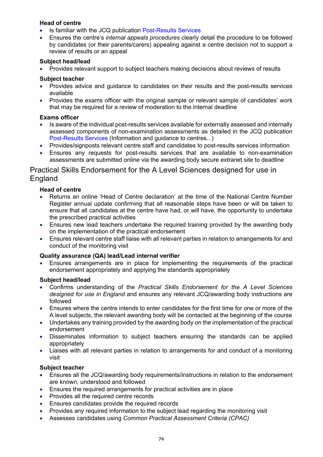### **Head of centre**

- Is familiar with the JCQ publication Post-Results Services
- Ensures the centre's *internal appeals procedures* clearly detail the procedure to be followed by candidates (or their parents/carers) appealing against a centre decision not to support a review of results or an appeal

### **Subject head/lead**

• Provides relevant support to subject teachers making decisions about reviews of results

### **Subject teacher**

- Provides advice and guidance to candidates on their results and the post-results services available
- Provides the exams officer with the original sample or relevant sample of candidates' work that may be required for a review of moderation to the internal deadline

### **Exams officer**

- Is aware of the individual post-results services available for externally assessed and internally assessed components of non-examination assessments as detailed in the JCQ publication Post-Results Services (Information and guidance to centres...)
- Provides/signposts relevant centre staff and candidates to post-results services information
- Ensures any requests for post-results services that are available to non-examination assessments are submitted online via the awarding body secure extranet site to deadline

## Practical Skills Endorsement for the A Level Sciences designed for use in **England**

### **Head of centre**

- Returns an online 'Head of Centre declaration' at the time of the National Centre Number Register annual update confirming that all reasonable steps have been or will be taken to ensure that all candidates at the centre have had, or will have, the opportunity to undertake the prescribed practical activities
- Ensures new lead teachers undertake the required training provided by the awarding body on the implementation of the practical endorsement
- Ensures relevant centre staff liaise with all relevant parties in relation to arrangements for and conduct of the monitoring visit

### **Quality assurance (QA) lead/Lead internal verifier**

• Ensures arrangements are in place for implementing the requirements of the practical endorsement appropriately and applying the standards appropriately

### **Subject head/lead**

- Confirms understanding of the *Practical Skills Endorsement for the A Level Sciences designed for use in England* and ensures any relevant JCQ/awarding body instructions are followed
- Ensures where the centre intends to enter candidates for the first time for one or more of the A level subjects, the relevant awarding body will be contacted at the beginning of the course
- Undertakes any training provided by the awarding body on the implementation of the practical endorsement
- Disseminates information to subject teachers ensuring the standards can be applied appropriately
- Liaises with all relevant parties in relation to arrangements for and conduct of a monitoring visit

## **Subject teacher**

- Ensures all the JCQ/awarding body requirements/instructions in relation to the endorsement are known, understood and followed
- Ensures the required arrangements for practical activities are in place
- Provides all the required centre records
- Ensures candidates provide the required records
- Provides any required information to the subject lead regarding the monitoring visit
- Assesses candidates using *Common Practical Assessment Criteria (CPAC)*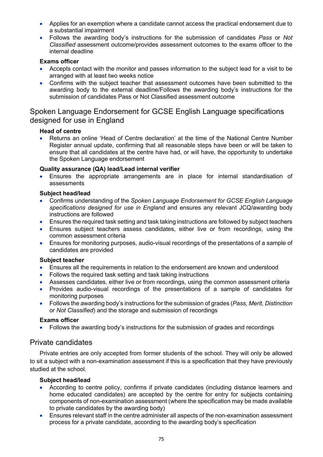- Applies for an exemption where a candidate cannot access the practical endorsement due to a substantial impairment
- Follows the awarding body's instructions for the submission of candidates *Pass* or *Not Classified* assessment outcome/provides assessment outcomes to the exams officer to the internal deadline

### **Exams officer**

- Accepts contact with the monitor and passes information to the subject lead for a visit to be arranged with at least two weeks notice
- Confirms with the subject teacher that assessment outcomes have been submitted to the awarding body to the external deadline/Follows the awarding body's instructions for the submission of candidates Pass or Not Classified assessment outcome

## Spoken Language Endorsement for GCSE English Language specifications designed for use in England

### **Head of centre**

• Returns an online 'Head of Centre declaration' at the time of the National Centre Number Register annual update, confirming that all reasonable steps have been or will be taken to ensure that all candidates at the centre have had, or will have, the opportunity to undertake the Spoken Language endorsement

### **Quality assurance (QA) lead/Lead internal verifier**

• Ensures the appropriate arrangements are in place for internal standardisation of assessments

### **Subject head/lead**

- Confirms understanding of the *Spoken Language Endorsement for GCSE English Language specifications designed for use in England* and ensures any relevant JCQ/awarding body instructions are followed
- Ensures the required task setting and task taking instructions are followed by subject teachers
- Ensures subject teachers assess candidates, either live or from recordings, using the common assessment criteria
- Ensures for monitoring purposes, audio-visual recordings of the presentations of a sample of candidates are provided

### **Subject teacher**

- Ensures all the requirements in relation to the endorsement are known and understood
- Follows the required task setting and task taking instructions
- Assesses candidates, either live or from recordings, using the common assessment criteria
- Provides audio-visual recordings of the presentations of a sample of candidates for monitoring purposes
- Follows the awarding body's instructions for the submission of grades (*Pass, Merit, Distinction* or *Not Classified*) and the storage and submission of recordings

### **Exams officer**

• Follows the awarding body's instructions for the submission of grades and recordings

## Private candidates

Private entries are only accepted from former students of the school. They will only be allowed to sit a subject with a non-examination assessment if this is a specification that they have previously studied at the school.

### **Subject head/lead**

- According to centre policy, confirms if private candidates (including distance learners and home educated candidates) are accepted by the centre for entry for subjects containing components of non-examination assessment (where the specification may be made available to private candidates by the awarding body)
- Ensures relevant staff in the centre administer all aspects of the non-examination assessment process for a private candidate, according to the awarding body's specification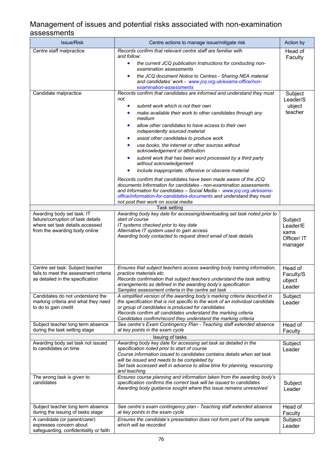# Management of issues and potential risks associated with non-examination assessments

| <b>Issue/Risk</b>                                                                                                                    | Centre actions to manage issue/mitigate risk                                                                                                                                                                                                                                                                                                                                                                                                                                                                                                                                                                                                                                                                                                                                                                                                                                                                      | Action by                                            |  |  |
|--------------------------------------------------------------------------------------------------------------------------------------|-------------------------------------------------------------------------------------------------------------------------------------------------------------------------------------------------------------------------------------------------------------------------------------------------------------------------------------------------------------------------------------------------------------------------------------------------------------------------------------------------------------------------------------------------------------------------------------------------------------------------------------------------------------------------------------------------------------------------------------------------------------------------------------------------------------------------------------------------------------------------------------------------------------------|------------------------------------------------------|--|--|
| Centre staff malpractice                                                                                                             | Records confirm that relevant centre staff are familiar with<br>and follow:                                                                                                                                                                                                                                                                                                                                                                                                                                                                                                                                                                                                                                                                                                                                                                                                                                       | Head of<br>Faculty                                   |  |  |
|                                                                                                                                      | the current JCQ publication Instructions for conducting non-<br>$\bullet$<br>examination assessments                                                                                                                                                                                                                                                                                                                                                                                                                                                                                                                                                                                                                                                                                                                                                                                                              |                                                      |  |  |
|                                                                                                                                      | the JCQ document Notice to Centres - Sharing NEA material<br>and candidates' work - www.jcq.org.uk/exams-office/non-<br>examination-assessments                                                                                                                                                                                                                                                                                                                                                                                                                                                                                                                                                                                                                                                                                                                                                                   |                                                      |  |  |
| Candidate malpractice                                                                                                                | Records confirm that candidates are informed and understand they must<br>not:<br>submit work which is not their own<br>make available their work to other candidates through any<br>medium<br>allow other candidates to have access to their own<br>independently sourced material<br>assist other candidates to produce work<br>use books, the internet or other sources without<br>acknowledgement or attribution<br>submit work that has been word processed by a third party<br>without acknowledgement<br>include inappropriate, offensive or obscene material<br>$\bullet$<br>Records confirm that candidates have been made aware of the JCQ<br>documents Information for candidates - non-examination assessments<br>and Information for candidates - Social Media - www.jcq.org.uk/exams-<br>office/information-for-candidates-documents and understand they must<br>not post their work on social media | Subject<br>Leader/S<br>ubject<br>teacher             |  |  |
|                                                                                                                                      | <b>Task setting</b>                                                                                                                                                                                                                                                                                                                                                                                                                                                                                                                                                                                                                                                                                                                                                                                                                                                                                               |                                                      |  |  |
| Awarding body set task: IT<br>failure/corruption of task details<br>where set task details accessed<br>from the awarding body online | Awarding body key date for accessing/downloading set task noted prior to<br>start of course<br>IT systems checked prior to key date<br>Alternative IT system used to gain access<br>Awarding body contacted to request direct email of task details                                                                                                                                                                                                                                                                                                                                                                                                                                                                                                                                                                                                                                                               | Subject<br>Leader/E<br>xams<br>Officer/IT<br>manager |  |  |
| Centre set task: Subject teacher<br>fails to meet the assessment criteria<br>as detailed in the specification                        | Ensures that subject teachers access awarding body training information,<br>practice materials etc.<br>Records confirmation that subject teachers understand the task setting<br>arrangements as defined in the awarding body's specification<br>Samples assessment criteria in the centre set task                                                                                                                                                                                                                                                                                                                                                                                                                                                                                                                                                                                                               | Head of<br>Faculty/S<br>ubject<br>Leader             |  |  |
| Candidates do not understand the<br>marking criteria and what they need<br>to do to gain credit                                      | A simplified version of the awarding body's marking criteria described in<br>the specification that is not specific to the work of an individual candidate<br>or group of candidates is produced for candidates<br>Records confirm all candidates understand the marking criteria<br>Candidates confirm/record they understand the marking criteria                                                                                                                                                                                                                                                                                                                                                                                                                                                                                                                                                               | Subject<br>Leader                                    |  |  |
| Subject teacher long term absence<br>during the task setting stage                                                                   | See centre's Exam Contingency Plan - Teaching staff extended absence<br>at key points in the exam cycle                                                                                                                                                                                                                                                                                                                                                                                                                                                                                                                                                                                                                                                                                                                                                                                                           | Head of<br>Faculty                                   |  |  |
| Issuing of tasks                                                                                                                     |                                                                                                                                                                                                                                                                                                                                                                                                                                                                                                                                                                                                                                                                                                                                                                                                                                                                                                                   |                                                      |  |  |
| Awarding body set task not issued<br>to candidates on time                                                                           | Awarding body key date for accessing set task as detailed in the<br>specification noted prior to start of course<br>Course information issued to candidates contains details when set task<br>will be issued and needs to be completed by<br>Set task accessed well in advance to allow time for planning, resourcing<br>and teaching                                                                                                                                                                                                                                                                                                                                                                                                                                                                                                                                                                             | Subject<br>Leader                                    |  |  |
| The wrong task is given to<br>candidates                                                                                             | Ensures course planning and information taken from the awarding body's<br>specification confirms the correct task will be issued to candidates<br>Awarding body guidance sought where this issue remains unresolved                                                                                                                                                                                                                                                                                                                                                                                                                                                                                                                                                                                                                                                                                               | Subject<br>Leader                                    |  |  |
| Subject teacher long term absence<br>during the issuing of tasks stage                                                               | See centre's exam contingency plan - Teaching staff extended absence<br>at key points in the exam cycle                                                                                                                                                                                                                                                                                                                                                                                                                                                                                                                                                                                                                                                                                                                                                                                                           | Head of<br>Faculty                                   |  |  |
| A candidate (or parent/carer)<br>expresses concern about<br>safeguarding, confidentiality or faith                                   | Ensures the candidate's presentation does not form part of the sample<br>which will be recorded                                                                                                                                                                                                                                                                                                                                                                                                                                                                                                                                                                                                                                                                                                                                                                                                                   | Subject<br>Leader                                    |  |  |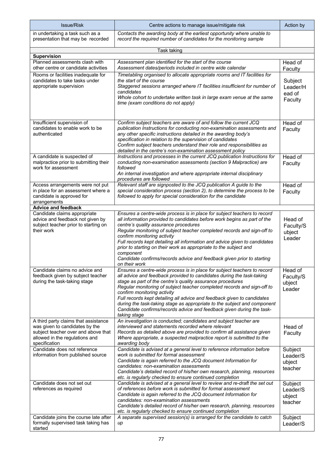| <b>Issue/Risk</b>                                                                                                                                                | Centre actions to manage issue/mitigate risk                                                                                                                                                                                                                                                                                                                                                                                                                                                                                                                              | Action by                                |
|------------------------------------------------------------------------------------------------------------------------------------------------------------------|---------------------------------------------------------------------------------------------------------------------------------------------------------------------------------------------------------------------------------------------------------------------------------------------------------------------------------------------------------------------------------------------------------------------------------------------------------------------------------------------------------------------------------------------------------------------------|------------------------------------------|
| in undertaking a task such as a<br>presentation that may be recorded                                                                                             | Contacts the awarding body at the earliest opportunity where unable to<br>record the required number of candidates for the monitoring sample                                                                                                                                                                                                                                                                                                                                                                                                                              |                                          |
|                                                                                                                                                                  | Task taking                                                                                                                                                                                                                                                                                                                                                                                                                                                                                                                                                               |                                          |
| <b>Supervision</b>                                                                                                                                               |                                                                                                                                                                                                                                                                                                                                                                                                                                                                                                                                                                           |                                          |
| Planned assessments clash with<br>other centre or candidate activities                                                                                           | Assessment plan identified for the start of the course<br>Assessment dates/periods included in centre wide calendar                                                                                                                                                                                                                                                                                                                                                                                                                                                       | Head of<br>Faculty                       |
| Rooms or facilities inadequate for<br>candidates to take tasks under<br>appropriate supervision                                                                  | Timetabling organised to allocate appropriate rooms and IT facilities for<br>the start of the course<br>Staggered sessions arranged where IT facilities insufficient for number of<br>candidates<br>Whole cohort to undertake written task in large exam venue at the same<br>time (exam conditions do not apply)                                                                                                                                                                                                                                                         | Subject<br>Leader/H<br>ead of<br>Faculty |
| Insufficient supervision of<br>candidates to enable work to be<br>authenticated                                                                                  | Confirm subject teachers are aware of and follow the current JCQ<br>publication Instructions for conducting non-examination assessments and<br>any other specific instructions detailed in the awarding body's<br>specification in relation to the supervision of candidates<br>Confirm subject teachers understand their role and responsibilities as<br>detailed in the centre's non-examination assessment policy                                                                                                                                                      | Head of<br>Faculty                       |
| A candidate is suspected of<br>malpractice prior to submitting their<br>work for assessment                                                                      | Instructions and processes in the current JCQ publication Instructions for<br>conducting non-examination assessments (section 9 Malpractice) are<br>followed<br>An internal investigation and where appropriate internal disciplinary<br>procedures are followed                                                                                                                                                                                                                                                                                                          | Head of<br>Faculty                       |
| Access arrangements were not put<br>in place for an assessment where a<br>candidate is approved for<br>arrangements                                              | Relevant staff are signposted to the JCQ publication A guide to the<br>special consideration process (section 2), to determine the process to be<br>followed to apply for special consideration for the candidate                                                                                                                                                                                                                                                                                                                                                         | Head of<br>Faculty                       |
| <b>Advice and feedback</b>                                                                                                                                       |                                                                                                                                                                                                                                                                                                                                                                                                                                                                                                                                                                           |                                          |
| Candidate claims appropriate<br>advice and feedback not given by<br>subject teacher prior to starting on<br>their work                                           | Ensures a centre-wide process is in place for subject teachers to record<br>all information provided to candidates before work begins as part of the<br>centre's quality assurance procedures<br>Regular monitoring of subject teacher completed records and sign-off to<br>confirm monitoring activity<br>Full records kept detailing all information and advice given to candidates<br>prior to starting on their work as appropriate to the subject and<br>component<br>Candidate confirms/records advice and feedback given prior to starting<br>on their work        | Head of<br>Faculty/S<br>ubject<br>Leader |
| Candidate claims no advice and<br>feedback given by subject teacher<br>during the task-taking stage                                                              | Ensures a centre-wide process is in place for subject teachers to record<br>all advice and feedback provided to candidates during the task-taking<br>stage as part of the centre's quality assurance procedures<br>Regular monitoring of subject teacher completed records and sign-off to<br>confirm monitoring activity<br>Full records kept detailing all advice and feedback given to candidates<br>during the task-taking stage as appropriate to the subject and component<br>Candidate confirms/records advice and feedback given during the task-<br>taking stage | Head of<br>Faculty/S<br>ubject<br>Leader |
| A third party claims that assistance<br>was given to candidates by the<br>subject teacher over and above that<br>allowed in the regulations and<br>specification | An investigation is conducted; candidates and subject teacher are<br>interviewed and statements recorded where relevant<br>Records as detailed above are provided to confirm all assistance given<br>Where appropriate, a suspected malpractice report is submitted to the<br>awarding body                                                                                                                                                                                                                                                                               | Head of<br>Faculty                       |
| Candidate does not reference<br>information from published source                                                                                                | Candidate is advised at a general level to reference information before<br>work is submitted for formal assessment<br>Candidate is again referred to the JCQ document Information for<br>candidates: non-examination assessments<br>Candidate's detailed record of his/her own research, planning, resources<br>etc. is regularly checked to ensure continued completion                                                                                                                                                                                                  | Subject<br>Leader/S<br>ubject<br>teacher |
| Candidate does not set out<br>references as required                                                                                                             | Candidate is advised at a general level to review and re-draft the set out<br>of references before work is submitted for formal assessment<br>Candidate is again referred to the JCQ document Information for<br>candidates: non-examination assessments<br>Candidate's detailed record of his/her own research, planning, resources<br>etc. is regularly checked to ensure continued completion                                                                                                                                                                          | Subject<br>Leader/S<br>ubject<br>teacher |
| Candidate joins the course late after<br>formally supervised task taking has<br>started                                                                          | A separate supervised session(s) is arranged for the candidate to catch<br>up                                                                                                                                                                                                                                                                                                                                                                                                                                                                                             | Subject<br>Leader/S                      |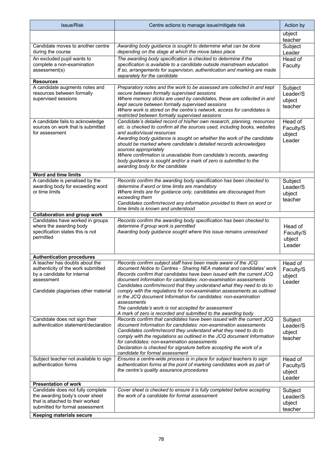| <b>Issue/Risk</b>                                                                                                                                         | Centre actions to manage issue/mitigate risk                                                                                                                                                                                                                                                                                                                                                                                                                                                                                                                                                                                                        | Action by                                |
|-----------------------------------------------------------------------------------------------------------------------------------------------------------|-----------------------------------------------------------------------------------------------------------------------------------------------------------------------------------------------------------------------------------------------------------------------------------------------------------------------------------------------------------------------------------------------------------------------------------------------------------------------------------------------------------------------------------------------------------------------------------------------------------------------------------------------------|------------------------------------------|
|                                                                                                                                                           |                                                                                                                                                                                                                                                                                                                                                                                                                                                                                                                                                                                                                                                     | ubject<br>teacher                        |
| Candidate moves to another centre<br>during the course                                                                                                    | Awarding body guidance is sought to determine what can be done<br>depending on the stage at which the move takes place                                                                                                                                                                                                                                                                                                                                                                                                                                                                                                                              | Subject<br>Leader                        |
| An excluded pupil wants to<br>complete a non-examination<br>assessment(s)                                                                                 | The awarding body specification is checked to determine if the<br>specification is available to a candidate outside mainstream education<br>If so, arrangements for supervision, authentication and marking are made<br>separately for the candidate                                                                                                                                                                                                                                                                                                                                                                                                | Head of<br>Faculty                       |
| <b>Resources</b>                                                                                                                                          |                                                                                                                                                                                                                                                                                                                                                                                                                                                                                                                                                                                                                                                     |                                          |
| A candidate augments notes and<br>resources between formally<br>supervised sessions                                                                       | Preparatory notes and the work to be assessed are collected in and kept<br>secure between formally supervised sessions<br>Where memory sticks are used by candidates, these are collected in and<br>kept secure between formally supervised sessions<br>Where work is stored on the centre's network, access for candidates is<br>restricted between formally supervised sessions                                                                                                                                                                                                                                                                   | Subject<br>Leader/S<br>ubject<br>teacher |
| A candidate fails to acknowledge<br>sources on work that is submitted<br>for assessment                                                                   | Candidate's detailed record of his/her own research, planning, resources<br>etc. is checked to confirm all the sources used, including books, websites<br>and audio/visual resources<br>Awarding body guidance is sought on whether the work of the candidate<br>should be marked where candidate's detailed records acknowledges<br>sources appropriately<br>Where confirmation is unavailable from candidate's records, awarding<br>body guidance is sought and/or a mark of zero is submitted to the<br>awarding body for the candidate                                                                                                          | Head of<br>Faculty/S<br>ubject<br>Leader |
| <b>Word and time limits</b>                                                                                                                               |                                                                                                                                                                                                                                                                                                                                                                                                                                                                                                                                                                                                                                                     |                                          |
| A candidate is penalised by the<br>awarding body for exceeding word<br>or time limits                                                                     | Records confirm the awarding body specification has been checked to<br>determine if word or time limits are mandatory<br>Where limits are for guidance only, candidates are discouraged from<br>exceeding them<br>Candidates confirm/record any information provided to them on word or<br>time limits is known and understood                                                                                                                                                                                                                                                                                                                      | Subject<br>Leader/S<br>ubject<br>teacher |
| <b>Collaboration and group work</b>                                                                                                                       |                                                                                                                                                                                                                                                                                                                                                                                                                                                                                                                                                                                                                                                     |                                          |
| Candidates have worked in groups<br>where the awarding body<br>specification states this is not<br>permitted                                              | Records confirm the awarding body specification has been checked to<br>determine if group work is permitted<br>Awarding body guidance sought where this issue remains unresolved                                                                                                                                                                                                                                                                                                                                                                                                                                                                    | Head of<br>Faculty/S<br>ubject<br>Leader |
| <b>Authentication procedures</b>                                                                                                                          |                                                                                                                                                                                                                                                                                                                                                                                                                                                                                                                                                                                                                                                     |                                          |
| A teacher has doubts about the<br>authenticity of the work submitted<br>by a candidate for internal<br>assessment<br>Candidate plagiarises other material | Records confirm subject staff have been made aware of the JCQ<br>document Notice to Centres - Sharing NEA material and candidates' work<br>Records confirm that candidates have been issued with the current JCQ<br>document Information for candidates: non-examination assessments<br>Candidates confirm/record that they understand what they need to do to<br>comply with the regulations for non-examination assessments as outlined<br>in the JCQ document Information for candidates: non-examination<br>assessments<br>The candidate's work is not accepted for assessment<br>A mark of zero is recorded and submitted to the awarding body | Head of<br>Faculty/S<br>ubject<br>Leader |
| Candidate does not sign their<br>authentication statement/declaration                                                                                     | Records confirm that candidates have been issued with the current JCQ<br>document Information for candidates: non-examination assessments<br>Candidates confirm/record they understand what they need to do to<br>comply with the regulations as outlined in the JCQ document Information<br>for candidates: non-examination assessments<br>Declaration is checked for signature before accepting the work of a<br>candidate for formal assessment                                                                                                                                                                                                  | Subject<br>Leader/S<br>ubject<br>teacher |
| Subject teacher not available to sign<br>authentication forms                                                                                             | Ensures a centre-wide process is in place for subject teachers to sign<br>authentication forms at the point of marking candidates work as part of<br>the centre's quality assurance procedures                                                                                                                                                                                                                                                                                                                                                                                                                                                      | Head of<br>Faculty/S<br>ubject<br>Leader |
| <b>Presentation of work</b>                                                                                                                               |                                                                                                                                                                                                                                                                                                                                                                                                                                                                                                                                                                                                                                                     |                                          |
| Candidate does not fully complete<br>the awarding body's cover sheet<br>that is attached to their worked<br>submitted for formal assessment               | Cover sheet is checked to ensure it is fully completed before accepting<br>the work of a candidate for formal assessment                                                                                                                                                                                                                                                                                                                                                                                                                                                                                                                            | Subject<br>Leader/S<br>ubject<br>teacher |
| <b>Keeping materials secure</b>                                                                                                                           |                                                                                                                                                                                                                                                                                                                                                                                                                                                                                                                                                                                                                                                     |                                          |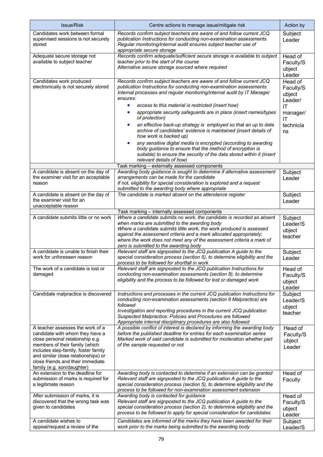| Issue/Risk                                                                                                                                                                                                                                                                                 | Centre actions to manage issue/mitigate risk                                                                                                                                                                                                                                                                                                                                                                                                                                                                                                                                                                                                                                                                                                                                                    | Action by                                                                            |
|--------------------------------------------------------------------------------------------------------------------------------------------------------------------------------------------------------------------------------------------------------------------------------------------|-------------------------------------------------------------------------------------------------------------------------------------------------------------------------------------------------------------------------------------------------------------------------------------------------------------------------------------------------------------------------------------------------------------------------------------------------------------------------------------------------------------------------------------------------------------------------------------------------------------------------------------------------------------------------------------------------------------------------------------------------------------------------------------------------|--------------------------------------------------------------------------------------|
| Candidates work between formal<br>supervised sessions is not securely<br>stored                                                                                                                                                                                                            | Records confirm subject teachers are aware of and follow current JCQ<br>publication Instructions for conducting non-examination assessments<br>Regular monitoring/internal audit ensures subject teacher use of<br>appropriate secure storage                                                                                                                                                                                                                                                                                                                                                                                                                                                                                                                                                   | Subject<br>Leader                                                                    |
| Adequate secure storage not<br>available to subject teacher                                                                                                                                                                                                                                | Records confirm adequate/sufficient secure storage is available to subject<br>teacher prior to the start of the course<br>Alternative secure storage sourced where required                                                                                                                                                                                                                                                                                                                                                                                                                                                                                                                                                                                                                     | Head of<br>Faculty/S<br>ubject<br>Leader                                             |
| Candidates work produced<br>electronically is not securely stored                                                                                                                                                                                                                          | Records confirm subject teachers are aware of and follow current JCQ<br>publication Instructions for conducting non-examination assessments<br>Internal processes and regular monitoring/internal audit by IT Manager<br>ensures:<br>access to this material is restricted (insert how)<br>appropriate security safeguards are in place (insert names/types<br>of protection)<br>an effective back-up strategy is employed so that an up to date<br>$\bullet$<br>archive of candidates' evidence is maintained (insert details of<br>how work is backed up)<br>any sensitive digital media is encrypted (according to awarding<br>body guidance to ensure that the method of encryption is<br>suitable) to ensure the security of the data stored within it (insert<br>relevant details of how) | Head of<br>Faculty/S<br>ubject<br>Leader/<br>IT<br>manager/<br>IT<br>technicia<br>ns |
|                                                                                                                                                                                                                                                                                            | Task marking - externally assessed components                                                                                                                                                                                                                                                                                                                                                                                                                                                                                                                                                                                                                                                                                                                                                   |                                                                                      |
| A candidate is absent on the day of<br>the examiner visit for an acceptable<br>reason                                                                                                                                                                                                      | Awarding body guidance is sought to determine if alternative assessment<br>arrangements can be made for the candidate<br>If not, eligibility for special consideration is explored and a request<br>submitted to the awarding body where appropriate                                                                                                                                                                                                                                                                                                                                                                                                                                                                                                                                            | Subject<br>Leader                                                                    |
| A candidate is absent on the day of<br>the examiner visit for an<br>unacceptable reason                                                                                                                                                                                                    | The candidate is marked absent on the attendance register                                                                                                                                                                                                                                                                                                                                                                                                                                                                                                                                                                                                                                                                                                                                       | Subject<br>Leader                                                                    |
| A candidate submits little or no work                                                                                                                                                                                                                                                      | Task marking - internally assessed components<br>Where a candidate submits no work, the candidate is recorded as absent                                                                                                                                                                                                                                                                                                                                                                                                                                                                                                                                                                                                                                                                         | Subject                                                                              |
|                                                                                                                                                                                                                                                                                            | when marks are submitted to the awarding body<br>Where a candidate submits little work, the work produced is assessed<br>against the assessment criteria and a mark allocated appropriately;<br>where the work does not meet any of the assessment criteria a mark of<br>zero is submitted to the awarding body                                                                                                                                                                                                                                                                                                                                                                                                                                                                                 | Leader/S<br>ubject<br>teacher                                                        |
| A candidate is unable to finish their<br>work for unforeseen reason                                                                                                                                                                                                                        | Relevant staff are signposted to the JCQ publication A guide to the<br>special consideration process (section 5), to determine eligibility and the<br>process to be followed for shortfall in work                                                                                                                                                                                                                                                                                                                                                                                                                                                                                                                                                                                              | Subject<br>Leader                                                                    |
| The work of a candidate is lost or<br>damaged                                                                                                                                                                                                                                              | Relevant staff are signposted to the JCQ publication Instructions for<br>conducting non-examination assessments (section 8), to determine<br>eligibility and the process to be followed for lost or damaged work                                                                                                                                                                                                                                                                                                                                                                                                                                                                                                                                                                                | Head of<br>Faculty/S<br>ubject<br>Leader                                             |
| Candidate malpractice is discovered                                                                                                                                                                                                                                                        | Instructions and processes in the current JCQ publication Instructions for<br>conducting non-examination assessments (section 9 Malpractice) are<br>followed<br>Investigation and reporting procedures in the current JCQ publication<br>Suspected Malpractice: Policies and Procedures are followed<br>Appropriate internal disciplinary procedures are also followed                                                                                                                                                                                                                                                                                                                                                                                                                          | Subject<br>Leader/S<br>ubject<br>teacher                                             |
| A teacher assesses the work of a<br>candidate with whom they have a<br>close personal relationship e.g.<br>members of their family (which<br>includes step-family, foster family<br>and similar close relationships) or<br>close friends and their immediate<br>family (e.g. son/daughter) | A possible conflict of interest is declared by informing the awarding body<br>before the published deadline for entries for each examination series<br>Marked work of said candidate is submitted for moderation whether part<br>of the sample requested or not                                                                                                                                                                                                                                                                                                                                                                                                                                                                                                                                 | Head of<br>Faculty/S<br>ubject<br>Leader                                             |
| An extension to the deadline for<br>submission of marks is required for<br>a legitimate reason                                                                                                                                                                                             | Awarding body is contacted to determine if an extension can be granted<br>Relevant staff are signposted to the JCQ publication A guide to the<br>special consideration process (section 5), to determine eligibility and the<br>process to be followed for non-examination assessment extension                                                                                                                                                                                                                                                                                                                                                                                                                                                                                                 | Head of<br>Faculty                                                                   |
| After submission of marks, it is<br>discovered that the wrong task was<br>given to candidates                                                                                                                                                                                              | Awarding body is contacted for guidance<br>Relevant staff are signposted to the JCQ publication A guide to the<br>special consideration process (section 2), to determine eligibility and the<br>process to be followed to apply for special consideration for candidates                                                                                                                                                                                                                                                                                                                                                                                                                                                                                                                       | Head of<br>Faculty/S<br>ubject<br>Leader                                             |
| A candidate wishes to<br>appeal/request a review of the                                                                                                                                                                                                                                    | Candidates are informed of the marks they have been awarded for their<br>work prior to the marks being submitted to the awarding body                                                                                                                                                                                                                                                                                                                                                                                                                                                                                                                                                                                                                                                           | Subject<br>Leader/S                                                                  |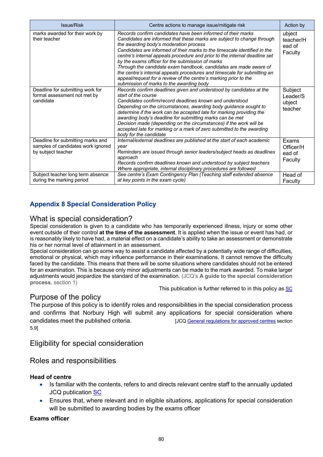| <b>Issue/Risk</b>                                                                             | Centre actions to manage issue/mitigate risk                                                                                                                                                                                                                                                                                                                                                                                                                                                                                                                                                                                                                     | Action by                                |
|-----------------------------------------------------------------------------------------------|------------------------------------------------------------------------------------------------------------------------------------------------------------------------------------------------------------------------------------------------------------------------------------------------------------------------------------------------------------------------------------------------------------------------------------------------------------------------------------------------------------------------------------------------------------------------------------------------------------------------------------------------------------------|------------------------------------------|
| marks awarded for their work by<br>their teacher                                              | Records confirm candidates have been informed of their marks<br>Candidates are informed that these marks are subject to change through<br>the awarding body's moderation process<br>Candidates are informed of their marks to the timescale identified in the<br>centre's internal appeals procedure and prior to the internal deadline set<br>by the exams officer for the submission of marks<br>Through the candidate exam handbook, candidates are made aware of<br>the centre's internal appeals procedures and timescale for submitting an<br>appeal/request for a review of the centre's marking prior to the<br>submission of marks to the awarding body | ubject<br>teacher/H<br>ead of<br>Faculty |
| Deadline for submitting work for<br>formal assessment not met by<br>candidate                 | Records confirm deadlines given and understood by candidates at the<br>start of the course<br>Candidates confirm/record deadlines known and understood<br>Depending on the circumstances, awarding body guidance sought to<br>determine if the work can be accepted late for marking providing the<br>awarding body's deadline for submitting marks can be met<br>Decision made (depending on the circumstances) if the work will be<br>accepted late for marking or a mark of zero submitted to the awarding<br>body for the candidate                                                                                                                          | Subject<br>Leader/S<br>ubject<br>teacher |
| Deadline for submitting marks and<br>samples of candidates work ignored<br>by subject teacher | Internal/external deadlines are published at the start of each academic<br>year<br>Reminders are issued through senior leaders/subject heads as deadlines<br>approach<br>Records confirm deadlines known and understood by subject teachers<br>Where appropriate, internal disciplinary procedures are followed                                                                                                                                                                                                                                                                                                                                                  | Exams<br>Officer/H<br>ead of<br>Faculty  |
| Subject teacher long term absence<br>during the marking period                                | See centre's Exam Contingency Plan (Teaching staff extended absence<br>at key points in the exam cycle)                                                                                                                                                                                                                                                                                                                                                                                                                                                                                                                                                          | Head of<br>Faculty                       |

# **Appendix 8 Special Consideration Policy**

## What is special consideration?

Special consideration is given to a candidate who has temporarily experienced illness, injury or some other event outside of their control **at the time of the assessment**. It is applied when the issue or event has had, or is reasonably likely to have had, a material effect on a candidate's ability to take an assessment or demonstrate his or her normal level of attainment in an assessment.

Special consideration can go some way to assist a candidate affected by a potentially wide range of difficulties, emotional or physical, which may influence performance in their examinations. It cannot remove the difficulty faced by the candidate. This means that there will be some situations where candidates should not be entered for an examination. This is because only minor adjustments can be made to the mark awarded. To make larger adjustments would jeopardize the standard of the examination. (JCQ's **A guide to the special consideration process**, section 1)

This publication is further referred to in this policy as SC

## Purpose of the policy

The purpose of this policy is to identify roles and responsibilities in the special consideration process and confirms that Norbury High will submit any applications for special consideration where candidates meet the published criteria.[JCQ General regulations for approved centres section 5.9]

## Eligibility for special consideration

## Roles and responsibilities

## **Head of centre**

- Is familiar with the contents, refers to and directs relevant centre staff to the annually updated JCQ publication SC
- Ensures that, where relevant and in eligible situations, applications for special consideration will be submitted to awarding bodies by the exams officer

## **Exams officer**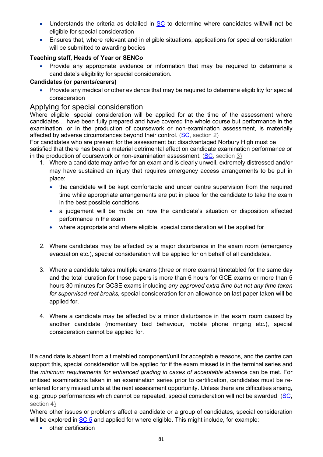- Understands the criteria as detailed in SC to determine where candidates will/will not be eligible for special consideration
- Ensures that, where relevant and in eligible situations, applications for special consideration will be submitted to awarding bodies

## **Teaching staff, Heads of Year or SENCo**

• Provide any appropriate evidence or information that may be required to determine a candidate's eligibility for special consideration.

## **Candidates (or parents/carers)**

• Provide any medical or other evidence that may be required to determine eligibility for special consideration

## Applying for special consideration

Where eligible, special consideration will be applied for at the time of the assessment where candidates*…* have been fully prepared and have covered the whole course but performance in the examination, or in the production of coursework or non-examination assessment, is materially affected by adverse circumstances beyond their control. (SC, section 2)

For candidates who are present for the assessment but disadvantaged Norbury High must be satisfied that there has been a material detrimental effect on candidate examination performance or in the production of coursework or non-examination assessment.  $(SC, section 3)$ 

- 1. Where a candidate may arrive for an exam and is clearly unwell, extremely distressed and/or may have sustained an injury that requires emergency access arrangements to be put in place:
	- the candidate will be kept comfortable and under centre supervision from the required time while appropriate arrangements are put in place for the candidate to take the exam in the best possible conditions
	- a judgement will be made on how the candidate's situation or disposition affected performance in the exam
	- where appropriate and where eligible, special consideration will be applied for
- 2. Where candidates may be affected by a major disturbance in the exam room (emergency evacuation etc.), special consideration will be applied for on behalf of all candidates.
- 3. Where a candidate takes multiple exams (three or more exams) timetabled for the same day and the total duration for those papers is more than 6 hours for GCE exams or more than 5 hours 30 minutes for GCSE exams including *any approved extra time but not any time taken for supervised rest breaks,* special consideration for an allowance on last paper taken will be applied for.
- 4. Where a candidate may be affected by a minor disturbance in the exam room caused by another candidate (momentary bad behaviour, mobile phone ringing etc.), special consideration cannot be applied for.

If a candidate is absent from a timetabled component/unit for acceptable reasons, and the centre can support this, special consideration will be applied for if the exam missed is in the terminal series and the *minimum requirements for enhanced grading in cases of acceptable absence* can be met. For unitised examinations taken in an examination series prior to certification, candidates must be reentered for any missed units at the next assessment opportunity. Unless there are difficulties arising, e.g. group performances which cannot be repeated, special consideration will not be awarded. (SC, section 4)

Where other issues or problems affect a candidate or a group of candidates, special consideration will be explored in SC 5 and applied for where eligible. This might include, for example:

• other certification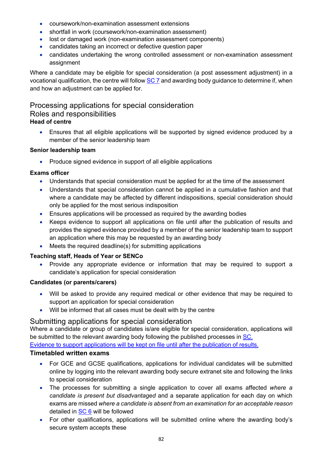- coursework/non-examination assessment extensions
- shortfall in work (coursework/non-examination assessment)
- lost or damaged work (non-examination assessment components)
- candidates taking an incorrect or defective question paper
- candidates undertaking the wrong controlled assessment or non-examination assessment assignment

Where a candidate may be eligible for special consideration (a post assessment adjustment) in a vocational qualification, the centre will follow SC 7 and awarding body guidance to determine if, when and how an adjustment can be applied for.

## Processing applications for special consideration Roles and responsibilities

## **Head of centre**

• Ensures that all eligible applications will be supported by signed evidence produced by a member of the senior leadership team

## **Senior leadership team**

• Produce signed evidence in support of all eligible applications

## **Exams officer**

- Understands that special consideration must be applied for at the time of the assessment
- Understands that special consideration cannot be applied in a cumulative fashion and that where a candidate may be affected by different indispositions, special consideration should only be applied for the most serious indisposition
- Ensures applications will be processed as required by the awarding bodies
- Keeps evidence to support all applications on file until after the publication of results and provides the signed evidence provided by a member of the senior leadership team to support an application where this may be requested by an awarding body
- Meets the required deadline(s) for submitting applications

## **Teaching staff, Heads of Year or SENCo**

• Provide any appropriate evidence or information that may be required to support a candidate's application for special consideration

## **Candidates (or parents/carers)**

- Will be asked to provide any required medical or other evidence that may be required to support an application for special consideration
- Will be informed that all cases must be dealt with by the centre

## Submitting applications for special consideration

Where a candidate or group of candidates is/are eligible for special consideration, applications will be submitted to the relevant awarding body following the published processes in SC.

Evidence to support applications will be kept on file until after the publication of results.

## **Timetabled written exams**

- For GCE and GCSE qualifications, applications for individual candidates will be submitted online by logging into the relevant awarding body secure extranet site and following the links to special consideration
- The processes for submitting a single application to cover all exams affected *where a candidate is present but disadvantaged* and a separate application for each day on which exams are missed *where a candidate is absent from an examination for an acceptable reason* detailed in SC 6 will be followed
- For other qualifications, applications will be submitted online where the awarding body's secure system accepts these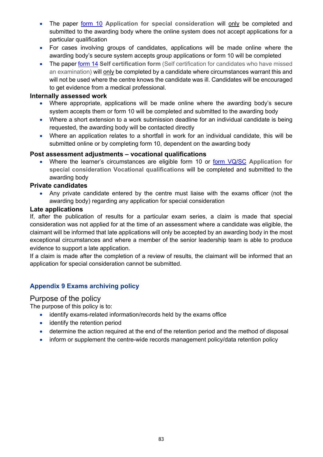- The paper **form 10** Application for special consideration will only be completed and submitted to the awarding body where the online system does not accept applications for a particular qualification
- For cases involving groups of candidates, applications will be made online where the awarding body's secure system accepts group applications or form 10 will be completed
- The paper form 14 **Self certification form** (Self certification for candidates who have missed an examination) will only be completed by a candidate where circumstances warrant this and will not be used where the centre knows the candidate was ill. Candidates will be encouraged to get evidence from a medical professional.

### **Internally assessed work**

- Where appropriate, applications will be made online where the awarding body's secure system accepts them or form 10 will be completed and submitted to the awarding body
- Where a short extension to a work submission deadline for an individual candidate is being requested, the awarding body will be contacted directly
- Where an application relates to a shortfall in work for an individual candidate, this will be submitted online or by completing form 10, dependent on the awarding body

## **Post assessment adjustments – vocational qualifications**

• Where the learner's circumstances are eligible form 10 or form VQ/SC **Application for special consideration Vocational qualifications** will be completed and submitted to the awarding body

### **Private candidates**

• Any private candidate entered by the centre must liaise with the exams officer (not the awarding body) regarding any application for special consideration

### **Late applications**

If, after the publication of results for a particular exam series, a claim is made that special consideration was not applied for at the time of an assessment where a candidate was eligible, the claimant will be informed that late applications will only be accepted by an awarding body in the most exceptional circumstances and where a member of the senior leadership team is able to produce evidence to support a late application.

If a claim is made after the completion of a review of results, the claimant will be informed that an application for special consideration cannot be submitted.

## **Appendix 9 Exams archiving policy**

## Purpose of the policy

The purpose of this policy is to:

- identify exams-related information/records held by the exams office
- identify the retention period
- determine the action required at the end of the retention period and the method of disposal
- inform or supplement the centre-wide records management policy/data retention policy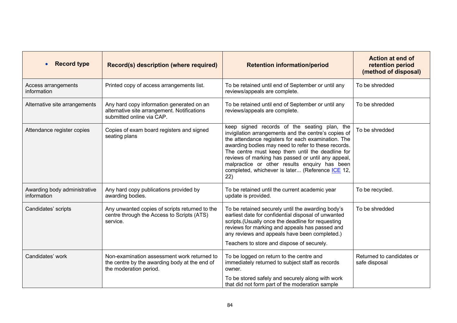| <b>Record type</b>                          | Record(s) description (where required)                                                                                 | <b>Retention information/period</b>                                                                                                                                                                                                                                                                                                                                                                                                     | <b>Action at end of</b><br>retention period<br>(method of disposal) |
|---------------------------------------------|------------------------------------------------------------------------------------------------------------------------|-----------------------------------------------------------------------------------------------------------------------------------------------------------------------------------------------------------------------------------------------------------------------------------------------------------------------------------------------------------------------------------------------------------------------------------------|---------------------------------------------------------------------|
| Access arrangements<br>information          | Printed copy of access arrangements list.                                                                              | To be retained until end of September or until any<br>reviews/appeals are complete.                                                                                                                                                                                                                                                                                                                                                     | To be shredded                                                      |
| Alternative site arrangements               | Any hard copy information generated on an<br>alternative site arrangement. Notifications<br>submitted online via CAP.  | To be retained until end of September or until any<br>reviews/appeals are complete.                                                                                                                                                                                                                                                                                                                                                     | To be shredded                                                      |
| Attendance register copies                  | Copies of exam board registers and signed<br>seating plans                                                             | keep signed records of the seating plan, the<br>invigilation arrangements and the centre's copies of<br>the attendance registers for each examination. The<br>awarding bodies may need to refer to these records.<br>The centre must keep them until the deadline for<br>reviews of marking has passed or until any appeal,<br>malpractice or other results enquiry has been<br>completed, whichever is later (Reference ICE 12,<br>22) | To be shredded                                                      |
| Awarding body administrative<br>information | Any hard copy publications provided by<br>awarding bodies.                                                             | To be retained until the current academic year<br>update is provided.                                                                                                                                                                                                                                                                                                                                                                   | To be recycled.                                                     |
| Candidates' scripts                         | Any unwanted copies of scripts returned to the<br>centre through the Access to Scripts (ATS)<br>service.               | To be retained securely until the awarding body's<br>earliest date for confidential disposal of unwanted<br>scripts.(Usually once the deadline for requesting<br>reviews for marking and appeals has passed and<br>any reviews and appeals have been completed.)<br>Teachers to store and dispose of securely.                                                                                                                          | To be shredded                                                      |
|                                             |                                                                                                                        |                                                                                                                                                                                                                                                                                                                                                                                                                                         |                                                                     |
| Candidates' work                            | Non-examination assessment work returned to<br>the centre by the awarding body at the end of<br>the moderation period. | To be logged on return to the centre and<br>immediately returned to subject staff as records<br>owner.                                                                                                                                                                                                                                                                                                                                  | Returned to candidates or<br>safe disposal                          |
|                                             |                                                                                                                        | To be stored safely and securely along with work<br>that did not form part of the moderation sample                                                                                                                                                                                                                                                                                                                                     |                                                                     |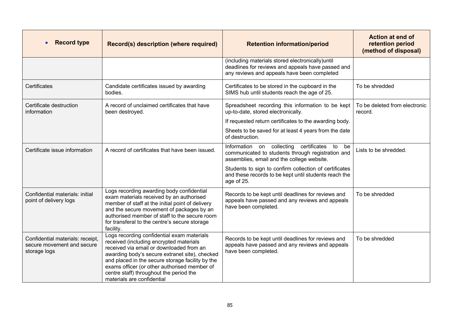| <b>Record type</b>                                                             | Record(s) description (where required)                                                                                                                                                                                                                                                                                                                           | <b>Retention information/period</b>                                                                                                                         | <b>Action at end of</b><br>retention period<br>(method of disposal) |
|--------------------------------------------------------------------------------|------------------------------------------------------------------------------------------------------------------------------------------------------------------------------------------------------------------------------------------------------------------------------------------------------------------------------------------------------------------|-------------------------------------------------------------------------------------------------------------------------------------------------------------|---------------------------------------------------------------------|
|                                                                                |                                                                                                                                                                                                                                                                                                                                                                  | (including materials stored electronically)until<br>deadlines for reviews and appeals have passed and<br>any reviews and appeals have been completed        |                                                                     |
| Certificates                                                                   | Candidate certificates issued by awarding<br>bodies.                                                                                                                                                                                                                                                                                                             | Certificates to be stored in the cupboard in the<br>SIMS hub until students reach the age of 25.                                                            | To be shredded                                                      |
| Certificate destruction<br>information                                         | A record of unclaimed certificates that have<br>been destroyed.                                                                                                                                                                                                                                                                                                  | Spreadsheet recording this information to be kept<br>up-to-date, stored electronically.                                                                     | To be deleted from electronic<br>record.                            |
|                                                                                |                                                                                                                                                                                                                                                                                                                                                                  | If requested return certificates to the awarding body.                                                                                                      |                                                                     |
|                                                                                |                                                                                                                                                                                                                                                                                                                                                                  | Sheets to be saved for at least 4 years from the date<br>of destruction.                                                                                    |                                                                     |
| Certificate issue information                                                  | A record of certificates that have been issued.                                                                                                                                                                                                                                                                                                                  | collecting<br>certificates<br>Information on<br>to<br>be<br>communicated to students through registration and<br>assemblies, email and the college website. | Lists to be shredded.                                               |
|                                                                                |                                                                                                                                                                                                                                                                                                                                                                  | Students to sign to confirm collection of certificates<br>and these records to be kept until students reach the<br>age of 25.                               |                                                                     |
| Confidential materials: initial<br>point of delivery logs                      | Logs recording awarding body confidential<br>exam materials received by an authorised<br>member of staff at the initial point of delivery<br>and the secure movement of packages by an<br>authorised member of staff to the secure room<br>for transferal to the centre's secure storage<br>facility.                                                            | Records to be kept until deadlines for reviews and<br>appeals have passed and any reviews and appeals<br>have been completed.                               | To be shredded                                                      |
| Confidential materials: receipt,<br>secure movement and secure<br>storage logs | Logs recording confidential exam materials<br>received (including encrypted materials<br>received via email or downloaded from an<br>awarding body's secure extranet site), checked<br>and placed in the secure storage facility by the<br>exams officer (or other authorised member of<br>centre staff) throughout the period the<br>materials are confidential | Records to be kept until deadlines for reviews and<br>appeals have passed and any reviews and appeals<br>have been completed.                               | To be shredded                                                      |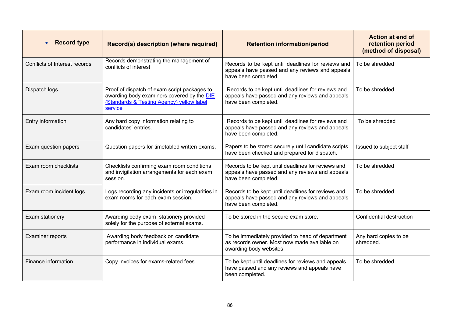| <b>Record type</b>            | Record(s) description (where required)                                                                                                             | <b>Retention information/period</b>                                                                                           | <b>Action at end of</b><br>retention period<br>(method of disposal) |
|-------------------------------|----------------------------------------------------------------------------------------------------------------------------------------------------|-------------------------------------------------------------------------------------------------------------------------------|---------------------------------------------------------------------|
| Conflicts of Interest records | Records demonstrating the management of<br>conflicts of interest                                                                                   | Records to be kept until deadlines for reviews and<br>appeals have passed and any reviews and appeals<br>have been completed. | To be shredded                                                      |
| Dispatch logs                 | Proof of dispatch of exam script packages to<br>awarding body examiners covered by the DfE<br>(Standards & Testing Agency) yellow label<br>service | Records to be kept until deadlines for reviews and<br>appeals have passed and any reviews and appeals<br>have been completed. | To be shredded                                                      |
| Entry information             | Any hard copy information relating to<br>candidates' entries.                                                                                      | Records to be kept until deadlines for reviews and<br>appeals have passed and any reviews and appeals<br>have been completed. | To be shredded                                                      |
| Exam question papers          | Question papers for timetabled written exams.                                                                                                      | Papers to be stored securely until candidate scripts<br>have been checked and prepared for dispatch.                          | Issued to subject staff                                             |
| Exam room checklists          | Checklists confirming exam room conditions<br>and invigilation arrangements for each exam<br>session.                                              | Records to be kept until deadlines for reviews and<br>appeals have passed and any reviews and appeals<br>have been completed. | To be shredded                                                      |
| Exam room incident logs       | Logs recording any incidents or irregularities in<br>exam rooms for each exam session.                                                             | Records to be kept until deadlines for reviews and<br>appeals have passed and any reviews and appeals<br>have been completed. | To be shredded                                                      |
| Exam stationery               | Awarding body exam stationery provided<br>solely for the purpose of external exams.                                                                | To be stored in the secure exam store.                                                                                        | Confidential destruction                                            |
| <b>Examiner reports</b>       | Awarding body feedback on candidate<br>performance in individual exams.                                                                            | To be immediately provided to head of department<br>as records owner. Most now made available on<br>awarding body websites.   | Any hard copies to be<br>shredded.                                  |
| Finance information           | Copy invoices for exams-related fees.                                                                                                              | To be kept until deadlines for reviews and appeals<br>have passed and any reviews and appeals have<br>been completed.         | To be shredded                                                      |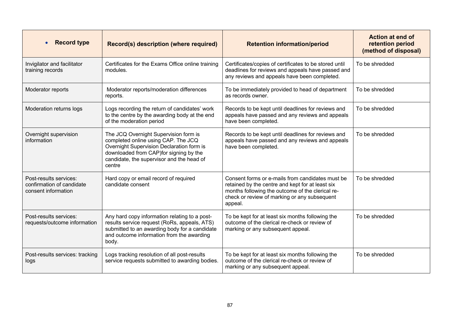| <b>Record type</b>                                                         | Record(s) description (where required)                                                                                                                                                                                      | <b>Retention information/period</b>                                                                                                                                                                                 | Action at end of<br>retention period<br>(method of disposal) |
|----------------------------------------------------------------------------|-----------------------------------------------------------------------------------------------------------------------------------------------------------------------------------------------------------------------------|---------------------------------------------------------------------------------------------------------------------------------------------------------------------------------------------------------------------|--------------------------------------------------------------|
| Invigilator and facilitator<br>training records                            | Certificates for the Exams Office online training<br>modules.                                                                                                                                                               | Certificates/copies of certificates to be stored until<br>deadlines for reviews and appeals have passed and<br>any reviews and appeals have been completed.                                                         | To be shredded                                               |
| Moderator reports                                                          | Moderator reports/moderation differences<br>reports.                                                                                                                                                                        | To be immediately provided to head of department<br>as records owner.                                                                                                                                               | To be shredded                                               |
| Moderation returns logs                                                    | Logs recording the return of candidates' work<br>to the centre by the awarding body at the end<br>of the moderation period                                                                                                  | Records to be kept until deadlines for reviews and<br>appeals have passed and any reviews and appeals<br>have been completed.                                                                                       | To be shredded                                               |
| Overnight supervision<br>information                                       | The JCQ Overnight Supervision form is<br>completed online using CAP. The JCQ<br>Overnight Supervision Declaration form is<br>downloaded from CAP) for signing by the<br>candidate, the supervisor and the head of<br>centre | Records to be kept until deadlines for reviews and<br>appeals have passed and any reviews and appeals<br>have been completed.                                                                                       | To be shredded                                               |
| Post-results services:<br>confirmation of candidate<br>consent information | Hard copy or email record of required<br>candidate consent                                                                                                                                                                  | Consent forms or e-mails from candidates must be<br>retained by the centre and kept for at least six<br>months following the outcome of the clerical re-<br>check or review of marking or any subsequent<br>appeal. | To be shredded                                               |
| Post-results services:<br>requests/outcome information                     | Any hard copy information relating to a post-<br>results service request (RoRs, appeals, ATS)<br>submitted to an awarding body for a candidate<br>and outcome information from the awarding<br>body.                        | To be kept for at least six months following the<br>outcome of the clerical re-check or review of<br>marking or any subsequent appeal.                                                                              | To be shredded                                               |
| Post-results services: tracking<br>logs                                    | Logs tracking resolution of all post-results<br>service requests submitted to awarding bodies.                                                                                                                              | To be kept for at least six months following the<br>outcome of the clerical re-check or review of<br>marking or any subsequent appeal.                                                                              | To be shredded                                               |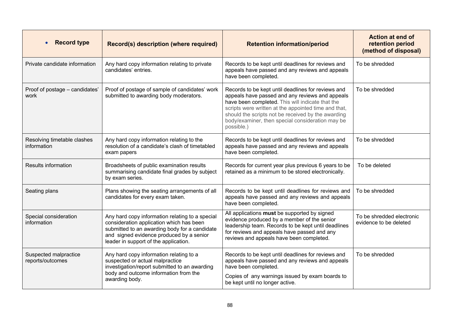| <b>Record type</b>                         | Record(s) description (where required)                                                                                                                                                                                            | <b>Retention information/period</b>                                                                                                                                                                                                                                                                                                       | <b>Action at end of</b><br>retention period<br>(method of disposal) |
|--------------------------------------------|-----------------------------------------------------------------------------------------------------------------------------------------------------------------------------------------------------------------------------------|-------------------------------------------------------------------------------------------------------------------------------------------------------------------------------------------------------------------------------------------------------------------------------------------------------------------------------------------|---------------------------------------------------------------------|
| Private candidate information              | Any hard copy information relating to private<br>candidates' entries.                                                                                                                                                             | Records to be kept until deadlines for reviews and<br>appeals have passed and any reviews and appeals<br>have been completed.                                                                                                                                                                                                             | To be shredded                                                      |
| Proof of postage - candidates'<br>work     | Proof of postage of sample of candidates' work<br>submitted to awarding body moderators.                                                                                                                                          | Records to be kept until deadlines for reviews and<br>appeals have passed and any reviews and appeals<br>have been completed. This will indicate that the<br>scripts were written at the appointed time and that,<br>should the scripts not be received by the awarding<br>body/examiner, then special consideration may be<br>possible.) | To be shredded                                                      |
| Resolving timetable clashes<br>information | Any hard copy information relating to the<br>resolution of a candidate's clash of timetabled<br>exam papers                                                                                                                       | Records to be kept until deadlines for reviews and<br>appeals have passed and any reviews and appeals<br>have been completed.                                                                                                                                                                                                             | To be shredded                                                      |
| Results information                        | Broadsheets of public examination results<br>summarising candidate final grades by subject<br>by exam series.                                                                                                                     | Records for current year plus previous 6 years to be<br>retained as a minimum to be stored electronically.                                                                                                                                                                                                                                | To be deleted                                                       |
| Seating plans                              | Plans showing the seating arrangements of all<br>candidates for every exam taken.                                                                                                                                                 | Records to be kept until deadlines for reviews and<br>appeals have passed and any reviews and appeals<br>have been completed.                                                                                                                                                                                                             | To be shredded                                                      |
| Special consideration<br>information       | Any hard copy information relating to a special<br>consideration application which has been<br>submitted to an awarding body for a candidate<br>and signed evidence produced by a senior<br>leader in support of the application. | All applications must be supported by signed<br>evidence produced by a member of the senior<br>leadership team. Records to be kept until deadlines<br>for reviews and appeals have passed and any<br>reviews and appeals have been completed.                                                                                             | To be shredded electronic<br>evidence to be deleted                 |
| Suspected malpractice<br>reports/outcomes  | Any hard copy information relating to a<br>suspected or actual malpractice<br>investigation/report submitted to an awarding<br>body and outcome information from the<br>awarding body.                                            | Records to be kept until deadlines for reviews and<br>appeals have passed and any reviews and appeals<br>have been completed.<br>Copies of any warnings issued by exam boards to<br>be kept until no longer active.                                                                                                                       | To be shredded                                                      |